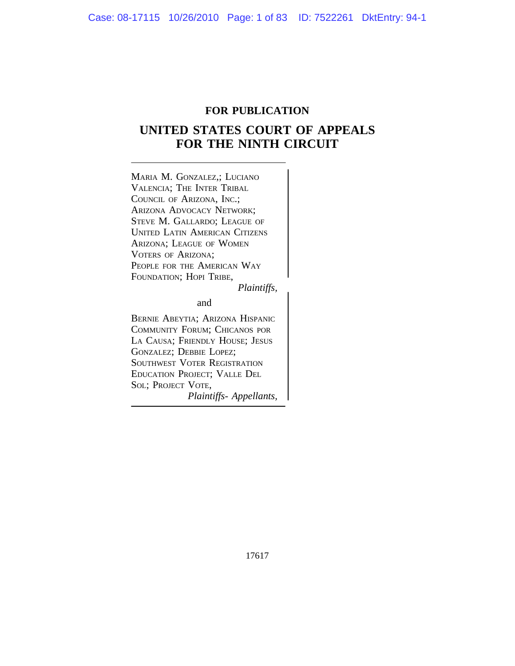# **FOR PUBLICATION**

# **UNITED STATES COURT OF APPEALS FOR THE NINTH CIRCUIT**

<sup>M</sup>ARIA M. GONZALEZ,; LUCIANO VALENCIA; THE INTER TRIBAL COUNCIL OF ARIZONA, INC.; ARIZONA ADVOCACY NETWORK; STEVE M. GALLARDO; LEAGUE OF UNITED LATIN AMERICAN CITIZENS ARIZONA; LEAGUE OF WOMEN VOTERS OF ARIZONA; PEOPLE FOR THE AMERICAN WAY FOUNDATION; HOPI TRIBE,

*Plaintiffs,*

and

BERNIE ABEYTIA; ARIZONA HISPANIC COMMUNITY FORUM; CHICANOS POR LA CAUSA; FRIENDLY HOUSE; JESUS GONZALEZ; DEBBIE LOPEZ; SOUTHWEST VOTER REGISTRATION EDUCATION PROJECT; VALLE DEL SOL; PROJECT VOTE, *Plaintiffs- Appellants,*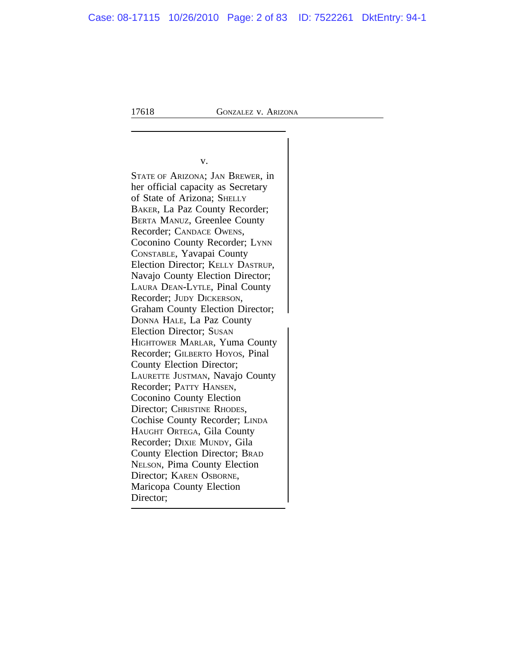$\vert$ 

v.

STATE OF ARIZONA; JAN BREWER, in her official capacity as Secretary of State of Arizona; SHELLY BAKER, La Paz County Recorder; BERTA MANUZ, Greenlee County Recorder; CANDACE OWENS, Coconino County Recorder; LYNN CONSTABLE, Yavapai County Election Director; KELLY DASTRUP, Navajo County Election Director; LAURA DEAN-LYTLE, Pinal County Recorder; JUDY DICKERSON, Graham County Election Director; <sup>D</sup>ONNA HALE, La Paz County Election Director; SUSAN HIGHTOWER MARLAR, Yuma County Recorder; GILBERTO HOYOS, Pinal County Election Director; LAURETTE JUSTMAN, Navajo County Recorder; PATTY HANSEN, Coconino County Election Director; CHRISTINE RHODES, Cochise County Recorder; LINDA HAUGHT ORTEGA, Gila County Recorder; DIXIE MUNDY, Gila County Election Director; BRAD NELSON, Pima County Election Director; KAREN OSBORNE, Maricopa County Election Director;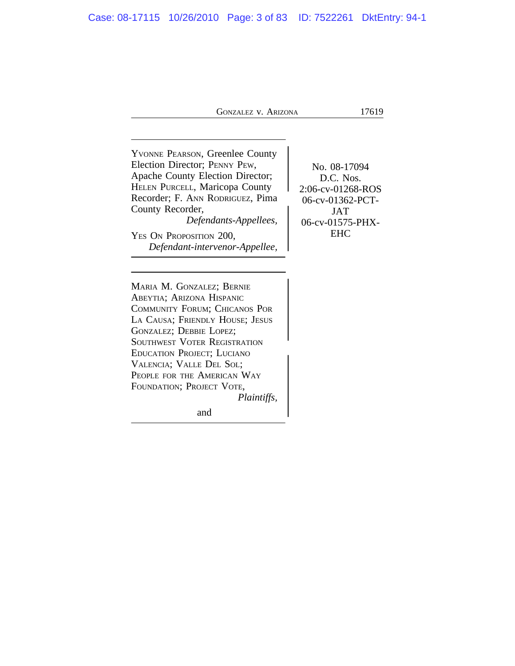<sup>Y</sup>VONNE PEARSON, Greenlee County Election Director; PENNY PEW, No. 08-17094 Apache County Election Director; D.C. Nos. HELEN PURCELL, Maricopa County 2:06-cv-01268-ROS Recorder; F. ANN RODRIGUEZ, Pima<br>County Recorder, JAT County Recorder,<br>Defendants-Appellees, 16-cv-01575-PHX- $Defendants$ -Appellees, YES ON PROPOSITION 200, EHC *Defendant-intervenor-Appellee,*

<sup>M</sup>ARIA M. GONZALEZ; BERNIE ABEYTIA; ARIZONA HISPANIC COMMUNITY FORUM; CHICANOS POR LA CAUSA; FRIENDLY HOUSE; JESUS GONZALEZ; DEBBIE LOPEZ; SOUTHWEST VOTER REGISTRATION <sup>E</sup>DUCATION PROJECT; LUCIANO VALENCIA; VALLE DEL SOL; PEOPLE FOR THE AMERICAN WAY FOUNDATION; PROJECT VOTE, *Plaintiffs,*

and the contract of the contract of the contract of the contract of the contract of the contract of the contract of the contract of the contract of the contract of the contract of the contract of the contract of the contra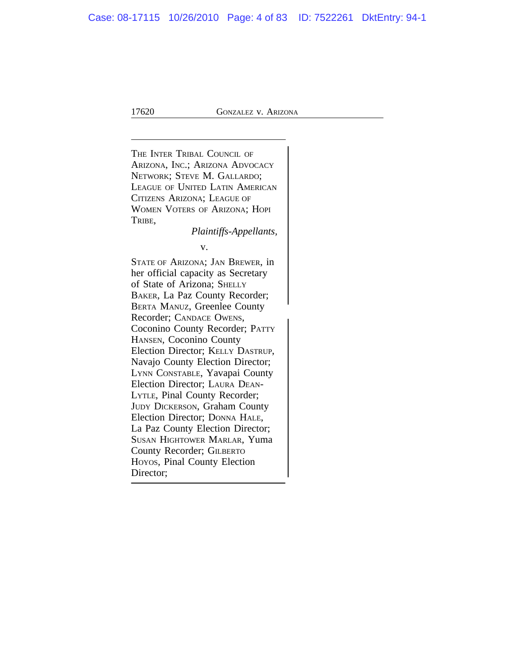<sup>T</sup>HE INTER TRIBAL COUNCIL OF ARIZONA, INC.; ARIZONA ADVOCACY NETWORK; STEVE M. GALLARDO; LEAGUE OF UNITED LATIN AMERICAN CITIZENS ARIZONA; LEAGUE OF WOMEN VOTERS OF ARIZONA; HOPI TRIBE, *Plaintiffs-Appellants,* v. STATE OF ARIZONA; JAN BREWER, in her official capacity as Secretary of State of Arizona; SHELLY BAKER, La Paz County Recorder; BERTA MANUZ, Greenlee County Recorder; CANDACE OWENS, Coconino County Recorder; PATTY HANSEN, Coconino County Election Director; KELLY DASTRUP, Navajo County Election Director; LYNN CONSTABLE, Yavapai County Election Director; LAURA DEAN-LYTLE, Pinal County Recorder; JUDY DICKERSON, Graham County Election Director; DONNA HALE, La Paz County Election Director; SUSAN HIGHTOWER MARLAR, Yuma County Recorder; GILBERTO HOYOS, Pinal County Election Director;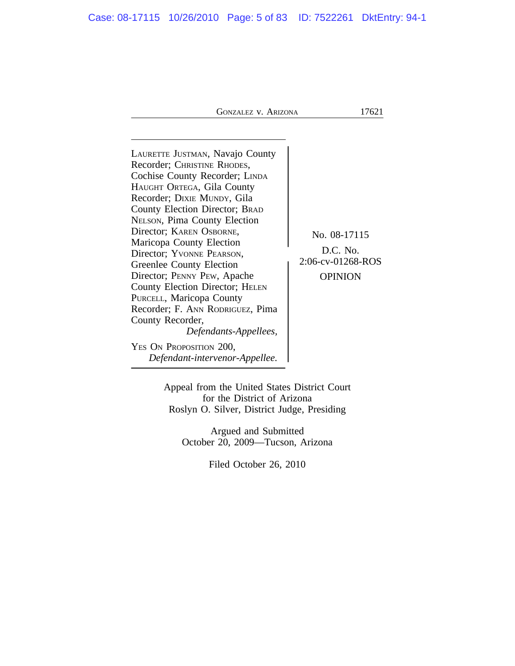| LAURETTE JUSTMAN, Navajo County<br>Recorder; CHRISTINE RHODES,<br>Cochise County Recorder; LINDA<br>HAUGHT ORTEGA, Gila County<br>Recorder; DIXIE MUNDY, Gila<br>County Election Director; BRAD<br><b>NELSON, Pima County Election</b><br>Director; KAREN OSBORNE,<br>Maricopa County Election<br>Director; YVONNE PEARSON,<br>Greenlee County Election<br>Director; PENNY PEW, Apache<br>County Election Director; HELEN<br>PURCELL, Maricopa County<br>Recorder; F. ANN RODRIGUEZ, Pima<br>County Recorder,<br>Defendants-Appellees,<br>YES ON PROPOSITION 200, | No. 08-17115<br>D.C. No.<br>2:06-cv-01268-ROS<br><b>OPINION</b> |
|-------------------------------------------------------------------------------------------------------------------------------------------------------------------------------------------------------------------------------------------------------------------------------------------------------------------------------------------------------------------------------------------------------------------------------------------------------------------------------------------------------------------------------------------------------------------|-----------------------------------------------------------------|
| Defendant-intervenor-Appellee.                                                                                                                                                                                                                                                                                                                                                                                                                                                                                                                                    |                                                                 |

Appeal from the United States District Court for the District of Arizona Roslyn O. Silver, District Judge, Presiding

Argued and Submitted October 20, 2009—Tucson, Arizona

Filed October 26, 2010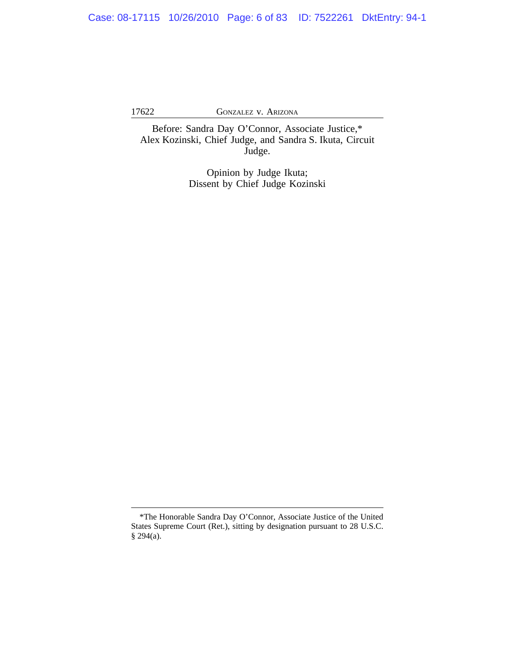Before: Sandra Day O'Connor, Associate Justice,\* Alex Kozinski, Chief Judge, and Sandra S. Ikuta, Circuit Judge.

> Opinion by Judge Ikuta; Dissent by Chief Judge Kozinski

<sup>\*</sup>The Honorable Sandra Day O'Connor, Associate Justice of the United States Supreme Court (Ret.), sitting by designation pursuant to 28 U.S.C. § 294(a).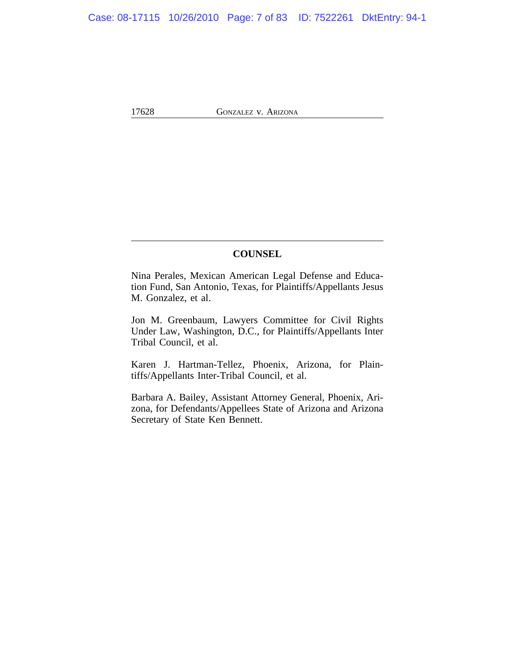## **COUNSEL**

Nina Perales, Mexican American Legal Defense and Education Fund, San Antonio, Texas, for Plaintiffs/Appellants Jesus M. Gonzalez, et al.

Jon M. Greenbaum, Lawyers Committee for Civil Rights Under Law, Washington, D.C., for Plaintiffs/Appellants Inter Tribal Council, et al.

Karen J. Hartman-Tellez, Phoenix, Arizona, for Plaintiffs/Appellants Inter-Tribal Council, et al.

Barbara A. Bailey, Assistant Attorney General, Phoenix, Arizona, for Defendants/Appellees State of Arizona and Arizona Secretary of State Ken Bennett.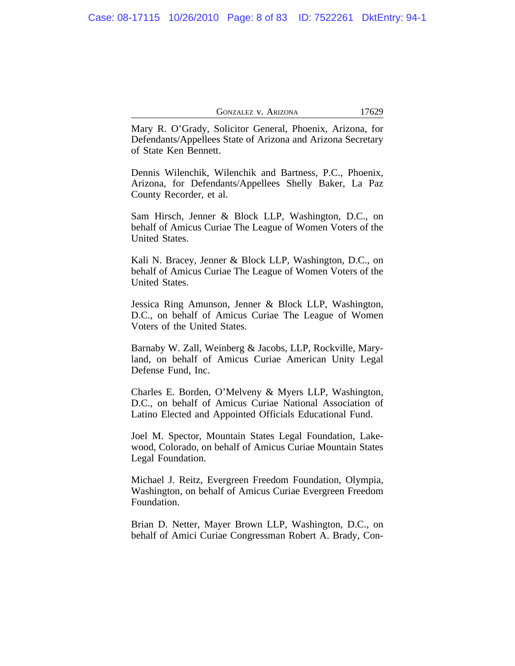Mary R. O'Grady, Solicitor General, Phoenix, Arizona, for Defendants/Appellees State of Arizona and Arizona Secretary of State Ken Bennett.

Dennis Wilenchik, Wilenchik and Bartness, P.C., Phoenix, Arizona, for Defendants/Appellees Shelly Baker, La Paz County Recorder, et al.

Sam Hirsch, Jenner & Block LLP, Washington, D.C., on behalf of Amicus Curiae The League of Women Voters of the United States.

Kali N. Bracey, Jenner & Block LLP, Washington, D.C., on behalf of Amicus Curiae The League of Women Voters of the United States.

Jessica Ring Amunson, Jenner & Block LLP, Washington, D.C., on behalf of Amicus Curiae The League of Women Voters of the United States.

Barnaby W. Zall, Weinberg & Jacobs, LLP, Rockville, Maryland, on behalf of Amicus Curiae American Unity Legal Defense Fund, Inc.

Charles E. Borden, O'Melveny & Myers LLP, Washington, D.C., on behalf of Amicus Curiae National Association of Latino Elected and Appointed Officials Educational Fund.

Joel M. Spector, Mountain States Legal Foundation, Lakewood, Colorado, on behalf of Amicus Curiae Mountain States Legal Foundation.

Michael J. Reitz, Evergreen Freedom Foundation, Olympia, Washington, on behalf of Amicus Curiae Evergreen Freedom Foundation.

Brian D. Netter, Mayer Brown LLP, Washington, D.C., on behalf of Amici Curiae Congressman Robert A. Brady, Con-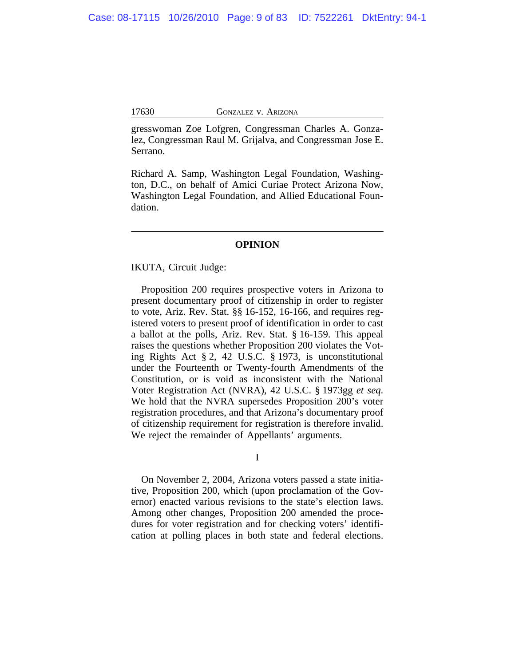gresswoman Zoe Lofgren, Congressman Charles A. Gonzalez, Congressman Raul M. Grijalva, and Congressman Jose E. Serrano.

Richard A. Samp, Washington Legal Foundation, Washington, D.C., on behalf of Amici Curiae Protect Arizona Now, Washington Legal Foundation, and Allied Educational Foundation.

### **OPINION**

IKUTA, Circuit Judge:

Proposition 200 requires prospective voters in Arizona to present documentary proof of citizenship in order to register to vote, Ariz. Rev. Stat. §§ 16-152, 16-166, and requires registered voters to present proof of identification in order to cast a ballot at the polls, Ariz. Rev. Stat. § 16-159. This appeal raises the questions whether Proposition 200 violates the Voting Rights Act § 2, 42 U.S.C. § 1973, is unconstitutional under the Fourteenth or Twenty-fourth Amendments of the Constitution, or is void as inconsistent with the National Voter Registration Act (NVRA), 42 U.S.C. § 1973gg *et seq*. We hold that the NVRA supersedes Proposition 200's voter registration procedures, and that Arizona's documentary proof of citizenship requirement for registration is therefore invalid. We reject the remainder of Appellants' arguments.

I

On November 2, 2004, Arizona voters passed a state initiative, Proposition 200, which (upon proclamation of the Governor) enacted various revisions to the state's election laws. Among other changes, Proposition 200 amended the procedures for voter registration and for checking voters' identification at polling places in both state and federal elections.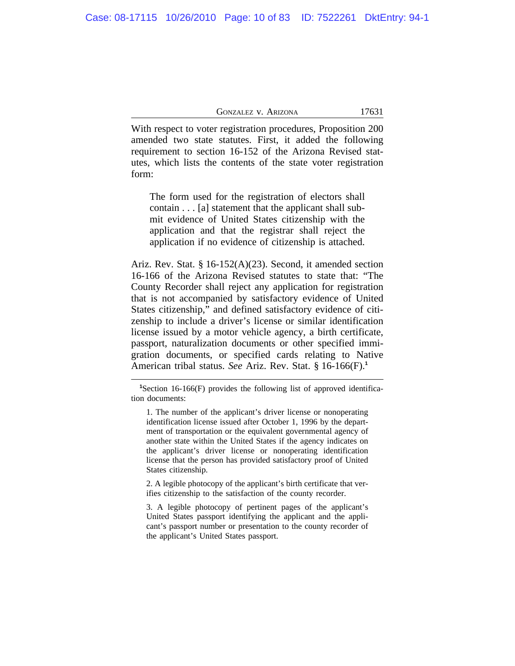With respect to voter registration procedures, Proposition 200 amended two state statutes. First, it added the following requirement to section 16-152 of the Arizona Revised statutes, which lists the contents of the state voter registration form:

The form used for the registration of electors shall contain . . . [a] statement that the applicant shall submit evidence of United States citizenship with the application and that the registrar shall reject the application if no evidence of citizenship is attached.

Ariz. Rev. Stat. § 16-152(A)(23). Second, it amended section 16-166 of the Arizona Revised statutes to state that: "The County Recorder shall reject any application for registration that is not accompanied by satisfactory evidence of United States citizenship," and defined satisfactory evidence of citizenship to include a driver's license or similar identification license issued by a motor vehicle agency, a birth certificate, passport, naturalization documents or other specified immigration documents, or specified cards relating to Native American tribal status. *See* Ariz. Rev. Stat. § 16-166(F).**<sup>1</sup>**

2. A legible photocopy of the applicant's birth certificate that verifies citizenship to the satisfaction of the county recorder.

3. A legible photocopy of pertinent pages of the applicant's United States passport identifying the applicant and the applicant's passport number or presentation to the county recorder of the applicant's United States passport.

**<sup>1</sup>**Section 16-166(F) provides the following list of approved identification documents:

<sup>1.</sup> The number of the applicant's driver license or nonoperating identification license issued after October 1, 1996 by the department of transportation or the equivalent governmental agency of another state within the United States if the agency indicates on the applicant's driver license or nonoperating identification license that the person has provided satisfactory proof of United States citizenship.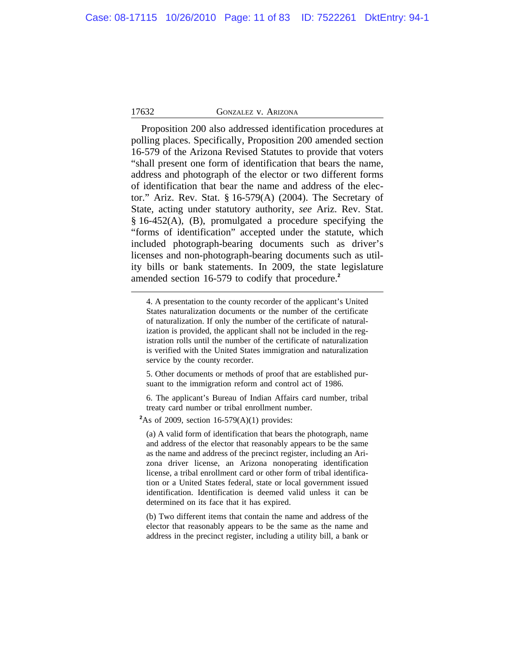Proposition 200 also addressed identification procedures at polling places. Specifically, Proposition 200 amended section 16-579 of the Arizona Revised Statutes to provide that voters "shall present one form of identification that bears the name, address and photograph of the elector or two different forms of identification that bear the name and address of the elector." Ariz. Rev. Stat. § 16-579(A) (2004). The Secretary of State, acting under statutory authority, *see* Ariz. Rev. Stat. § 16-452(A), (B), promulgated a procedure specifying the "forms of identification" accepted under the statute, which included photograph-bearing documents such as driver's licenses and non-photograph-bearing documents such as utility bills or bank statements. In 2009, the state legislature amended section 16-579 to codify that procedure.**<sup>2</sup>**

4. A presentation to the county recorder of the applicant's United States naturalization documents or the number of the certificate of naturalization. If only the number of the certificate of naturalization is provided, the applicant shall not be included in the registration rolls until the number of the certificate of naturalization is verified with the United States immigration and naturalization service by the county recorder.

5. Other documents or methods of proof that are established pursuant to the immigration reform and control act of 1986.

6. The applicant's Bureau of Indian Affairs card number, tribal treaty card number or tribal enrollment number.

 $2$ As of 2009, section 16-579(A)(1) provides:

(a) A valid form of identification that bears the photograph, name and address of the elector that reasonably appears to be the same as the name and address of the precinct register, including an Arizona driver license, an Arizona nonoperating identification license, a tribal enrollment card or other form of tribal identification or a United States federal, state or local government issued identification. Identification is deemed valid unless it can be determined on its face that it has expired.

(b) Two different items that contain the name and address of the elector that reasonably appears to be the same as the name and address in the precinct register, including a utility bill, a bank or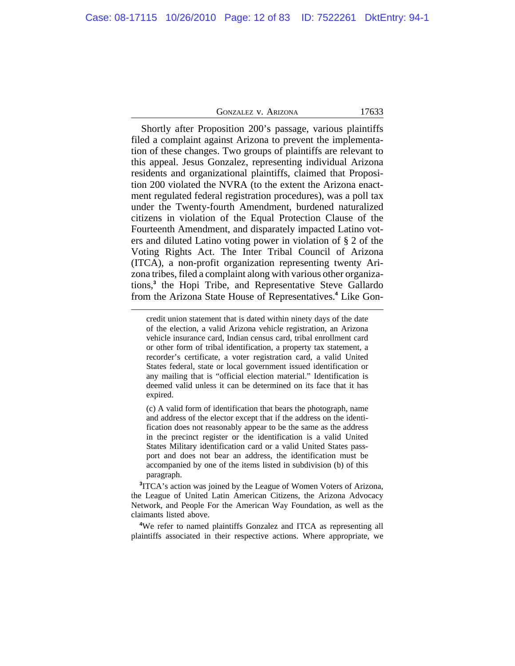| GONZALEZ V. ARIZONA |  |
|---------------------|--|
|---------------------|--|

17633

Shortly after Proposition 200's passage, various plaintiffs filed a complaint against Arizona to prevent the implementation of these changes. Two groups of plaintiffs are relevant to this appeal. Jesus Gonzalez, representing individual Arizona residents and organizational plaintiffs, claimed that Proposition 200 violated the NVRA (to the extent the Arizona enactment regulated federal registration procedures), was a poll tax under the Twenty-fourth Amendment, burdened naturalized citizens in violation of the Equal Protection Clause of the Fourteenth Amendment, and disparately impacted Latino voters and diluted Latino voting power in violation of § 2 of the Voting Rights Act. The Inter Tribal Council of Arizona (ITCA), a non-profit organization representing twenty Arizona tribes, filed a complaint along with various other organizations,**<sup>3</sup>** the Hopi Tribe, and Representative Steve Gallardo from the Arizona State House of Representatives.**<sup>4</sup>** Like Gon-

(c) A valid form of identification that bears the photograph, name and address of the elector except that if the address on the identification does not reasonably appear to be the same as the address in the precinct register or the identification is a valid United States Military identification card or a valid United States passport and does not bear an address, the identification must be accompanied by one of the items listed in subdivision (b) of this paragraph.

**3** ITCA's action was joined by the League of Women Voters of Arizona, the League of United Latin American Citizens, the Arizona Advocacy Network, and People For the American Way Foundation, as well as the claimants listed above.

**<sup>4</sup>**We refer to named plaintiffs Gonzalez and ITCA as representing all plaintiffs associated in their respective actions. Where appropriate, we

credit union statement that is dated within ninety days of the date of the election, a valid Arizona vehicle registration, an Arizona vehicle insurance card, Indian census card, tribal enrollment card or other form of tribal identification, a property tax statement, a recorder's certificate, a voter registration card, a valid United States federal, state or local government issued identification or any mailing that is "official election material." Identification is deemed valid unless it can be determined on its face that it has expired.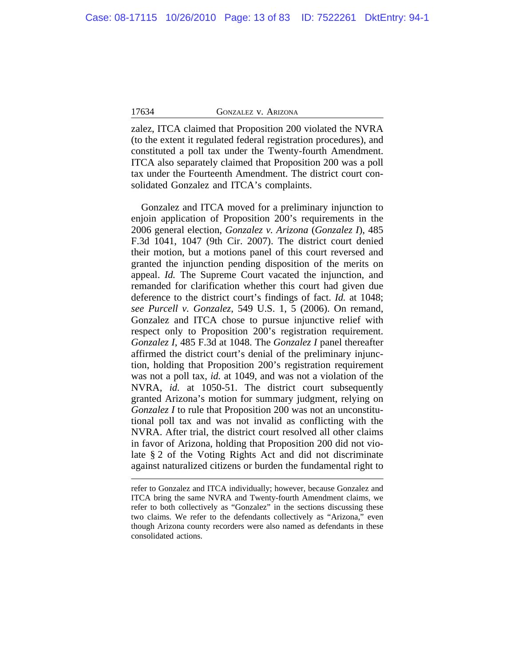zalez, ITCA claimed that Proposition 200 violated the NVRA (to the extent it regulated federal registration procedures), and constituted a poll tax under the Twenty-fourth Amendment. ITCA also separately claimed that Proposition 200 was a poll tax under the Fourteenth Amendment. The district court consolidated Gonzalez and ITCA's complaints.

Gonzalez and ITCA moved for a preliminary injunction to enjoin application of Proposition 200's requirements in the 2006 general election, *Gonzalez v. Arizona* (*Gonzalez I*), 485 F.3d 1041, 1047 (9th Cir. 2007). The district court denied their motion, but a motions panel of this court reversed and granted the injunction pending disposition of the merits on appeal. *Id.* The Supreme Court vacated the injunction, and remanded for clarification whether this court had given due deference to the district court's findings of fact. *Id.* at 1048; *see Purcell v. Gonzalez*, 549 U.S. 1, 5 (2006). On remand, Gonzalez and ITCA chose to pursue injunctive relief with respect only to Proposition 200's registration requirement. *Gonzalez I*, 485 F.3d at 1048. The *Gonzalez I* panel thereafter affirmed the district court's denial of the preliminary injunction, holding that Proposition 200's registration requirement was not a poll tax, *id.* at 1049, and was not a violation of the NVRA, *id.* at 1050-51. The district court subsequently granted Arizona's motion for summary judgment, relying on *Gonzalez I* to rule that Proposition 200 was not an unconstitutional poll tax and was not invalid as conflicting with the NVRA. After trial, the district court resolved all other claims in favor of Arizona, holding that Proposition 200 did not violate § 2 of the Voting Rights Act and did not discriminate against naturalized citizens or burden the fundamental right to

refer to Gonzalez and ITCA individually; however, because Gonzalez and ITCA bring the same NVRA and Twenty-fourth Amendment claims, we refer to both collectively as "Gonzalez" in the sections discussing these two claims. We refer to the defendants collectively as "Arizona," even though Arizona county recorders were also named as defendants in these consolidated actions.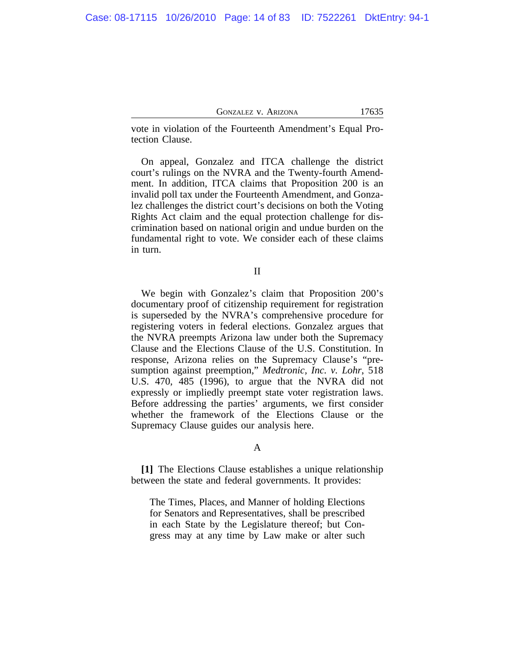vote in violation of the Fourteenth Amendment's Equal Protection Clause.

On appeal, Gonzalez and ITCA challenge the district court's rulings on the NVRA and the Twenty-fourth Amendment. In addition, ITCA claims that Proposition 200 is an invalid poll tax under the Fourteenth Amendment, and Gonzalez challenges the district court's decisions on both the Voting Rights Act claim and the equal protection challenge for discrimination based on national origin and undue burden on the fundamental right to vote. We consider each of these claims in turn.

II

We begin with Gonzalez's claim that Proposition 200's documentary proof of citizenship requirement for registration is superseded by the NVRA's comprehensive procedure for registering voters in federal elections. Gonzalez argues that the NVRA preempts Arizona law under both the Supremacy Clause and the Elections Clause of the U.S. Constitution. In response, Arizona relies on the Supremacy Clause's "presumption against preemption," *Medtronic, Inc. v. Lohr*, 518 U.S. 470, 485 (1996), to argue that the NVRA did not expressly or impliedly preempt state voter registration laws. Before addressing the parties' arguments, we first consider whether the framework of the Elections Clause or the Supremacy Clause guides our analysis here.

#### A

**[1]** The Elections Clause establishes a unique relationship between the state and federal governments. It provides:

The Times, Places, and Manner of holding Elections for Senators and Representatives, shall be prescribed in each State by the Legislature thereof; but Congress may at any time by Law make or alter such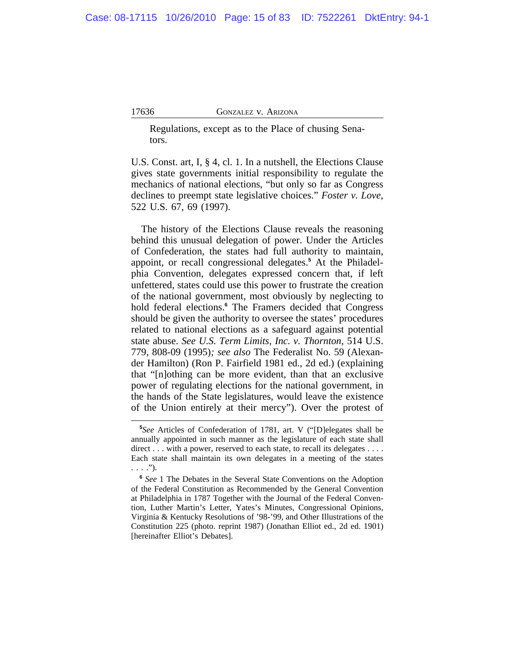Regulations, except as to the Place of chusing Senators.

U.S. Const. art, I, § 4, cl. 1. In a nutshell, the Elections Clause gives state governments initial responsibility to regulate the mechanics of national elections, "but only so far as Congress declines to preempt state legislative choices." *Foster v. Love*, 522 U.S. 67, 69 (1997).

The history of the Elections Clause reveals the reasoning behind this unusual delegation of power. Under the Articles of Confederation, the states had full authority to maintain, appoint, or recall congressional delegates.**<sup>5</sup>** At the Philadelphia Convention, delegates expressed concern that, if left unfettered, states could use this power to frustrate the creation of the national government, most obviously by neglecting to hold federal elections.**<sup>6</sup>** The Framers decided that Congress should be given the authority to oversee the states' procedures related to national elections as a safeguard against potential state abuse. *See U.S. Term Limits, Inc. v. Thornton*, 514 U.S. 779, 808-09 (1995)*; see also* The Federalist No. 59 (Alexander Hamilton) (Ron P. Fairfield 1981 ed., 2d ed.) (explaining that "[n]othing can be more evident, than that an exclusive power of regulating elections for the national government, in the hands of the State legislatures, would leave the existence of the Union entirely at their mercy"). Over the protest of

**<sup>5</sup>** *See* Articles of Confederation of 1781, art. V ("[D]elegates shall be annually appointed in such manner as the legislature of each state shall direct . . . with a power, reserved to each state, to recall its delegates . . . . Each state shall maintain its own delegates in a meeting of the states . . . .").

<sup>&</sup>lt;sup>6</sup> See 1 The Debates in the Several State Conventions on the Adoption of the Federal Constitution as Recommended by the General Convention at Philadelphia in 1787 Together with the Journal of the Federal Convention, Luther Martin's Letter, Yates's Minutes, Congressional Opinions, Virginia & Kentucky Resolutions of '98-'99, and Other Illustrations of the Constitution 225 (photo. reprint 1987) (Jonathan Elliot ed., 2d ed. 1901) [hereinafter Elliot's Debates].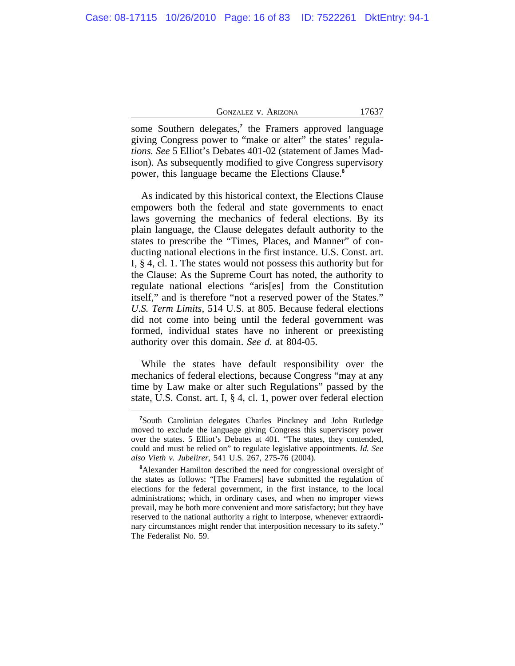some Southern delegates,**<sup>7</sup>** the Framers approved language giving Congress power to "make or alter" the states' regula*tions. See* 5 Elliot's Debates 401-02 (statement of James Madison). As subsequently modified to give Congress supervisory power, this language became the Elections Clause.**<sup>8</sup>**

As indicated by this historical context, the Elections Clause empowers both the federal and state governments to enact laws governing the mechanics of federal elections. By its plain language, the Clause delegates default authority to the states to prescribe the "Times, Places, and Manner" of conducting national elections in the first instance. U.S. Const. art. I, § 4, cl. 1. The states would not possess this authority but for the Clause: As the Supreme Court has noted, the authority to regulate national elections "aris[es] from the Constitution itself," and is therefore "not a reserved power of the States." *U.S. Term Limits*, 514 U.S. at 805. Because federal elections did not come into being until the federal government was formed, individual states have no inherent or preexisting authority over this domain. *See d.* at 804-05.

While the states have default responsibility over the mechanics of federal elections, because Congress "may at any time by Law make or alter such Regulations" passed by the state, U.S. Const. art. I, § 4, cl. 1, power over federal election

**<sup>7</sup>**South Carolinian delegates Charles Pinckney and John Rutledge moved to exclude the language giving Congress this supervisory power over the states. 5 Elliot's Debates at 401. "The states, they contended, could and must be relied on" to regulate legislative appointments. *Id. See also Vieth v. Jubelirer*, 541 U.S. 267, 275-76 (2004).

**<sup>8</sup>**Alexander Hamilton described the need for congressional oversight of the states as follows: "[The Framers] have submitted the regulation of elections for the federal government, in the first instance, to the local administrations; which, in ordinary cases, and when no improper views prevail, may be both more convenient and more satisfactory; but they have reserved to the national authority a right to interpose, whenever extraordinary circumstances might render that interposition necessary to its safety." The Federalist No. 59.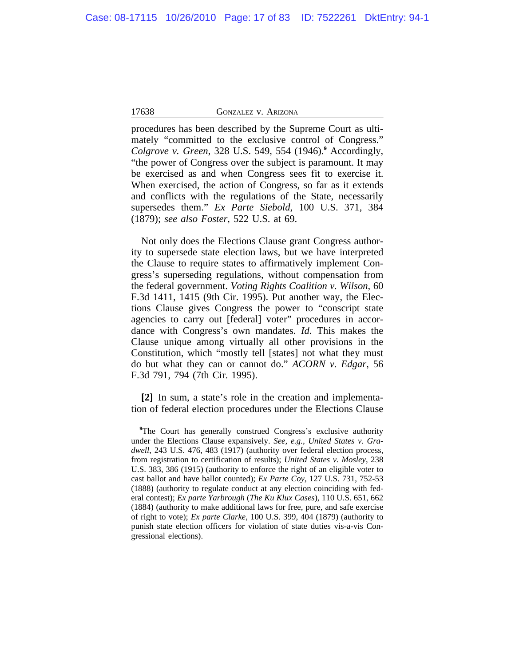procedures has been described by the Supreme Court as ultimately "committed to the exclusive control of Congress." *Colgrove v. Green*, 328 U.S. 549, 554 (1946).**<sup>9</sup>** Accordingly, "the power of Congress over the subject is paramount. It may be exercised as and when Congress sees fit to exercise it. When exercised, the action of Congress, so far as it extends and conflicts with the regulations of the State, necessarily supersedes them." *Ex Parte Siebold*, 100 U.S. 371, 384 (1879); *see also Foster*, 522 U.S. at 69.

Not only does the Elections Clause grant Congress authority to supersede state election laws, but we have interpreted the Clause to require states to affirmatively implement Congress's superseding regulations, without compensation from the federal government. *Voting Rights Coalition v. Wilson*, 60 F.3d 1411, 1415 (9th Cir. 1995). Put another way, the Elections Clause gives Congress the power to "conscript state agencies to carry out [federal] voter" procedures in accordance with Congress's own mandates. *Id.* This makes the Clause unique among virtually all other provisions in the Constitution, which "mostly tell [states] not what they must do but what they can or cannot do." *ACORN v. Edgar*, 56 F.3d 791, 794 (7th Cir. 1995).

**[2]** In sum, a state's role in the creation and implementation of federal election procedures under the Elections Clause

<sup>&</sup>lt;sup>9</sup>The Court has generally construed Congress's exclusive authority under the Elections Clause expansively. *See, e.g., United States v. Gradwell*, 243 U.S. 476, 483 (1917) (authority over federal election process, from registration to certification of results); *United States v. Mosley*, 238 U.S. 383, 386 (1915) (authority to enforce the right of an eligible voter to cast ballot and have ballot counted); *Ex Parte Coy*, 127 U.S. 731, 752-53 (1888) (authority to regulate conduct at any election coinciding with federal contest); *Ex parte Yarbrough* (*The Ku Klux Cases*), 110 U.S. 651, 662 (1884) (authority to make additional laws for free, pure, and safe exercise of right to vote); *Ex parte Clarke*, 100 U.S. 399, 404 (1879) (authority to punish state election officers for violation of state duties vis-a-vis Congressional elections).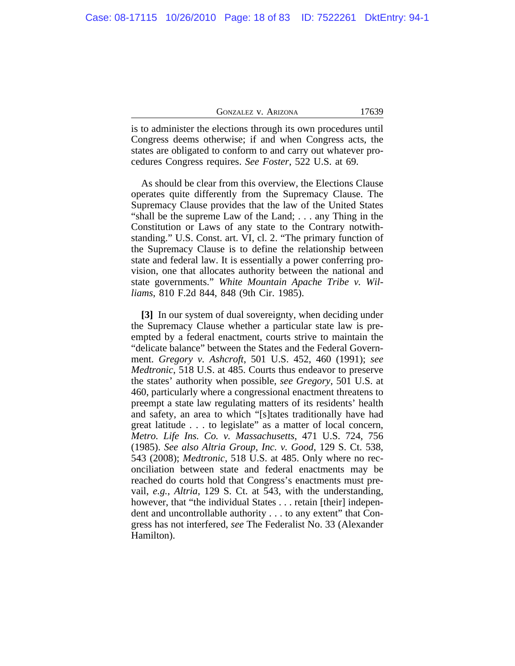| 17639<br><b>GONZALEZ V. ARIZONA</b> |
|-------------------------------------|
|-------------------------------------|

is to administer the elections through its own procedures until Congress deems otherwise; if and when Congress acts, the states are obligated to conform to and carry out whatever procedures Congress requires. *See Foster*, 522 U.S. at 69.

As should be clear from this overview, the Elections Clause operates quite differently from the Supremacy Clause. The Supremacy Clause provides that the law of the United States "shall be the supreme Law of the Land; . . . any Thing in the Constitution or Laws of any state to the Contrary notwithstanding." U.S. Const. art. VI, cl. 2. "The primary function of the Supremacy Clause is to define the relationship between state and federal law. It is essentially a power conferring provision, one that allocates authority between the national and state governments." *White Mountain Apache Tribe v. Williams*, 810 F.2d 844, 848 (9th Cir. 1985).

**[3]** In our system of dual sovereignty, when deciding under the Supremacy Clause whether a particular state law is preempted by a federal enactment, courts strive to maintain the "delicate balance" between the States and the Federal Government. *Gregory v. Ashcroft*, 501 U.S. 452, 460 (1991); *see Medtronic*, 518 U.S. at 485. Courts thus endeavor to preserve the states' authority when possible, *see Gregory*, 501 U.S. at 460, particularly where a congressional enactment threatens to preempt a state law regulating matters of its residents' health and safety, an area to which "[s]tates traditionally have had great latitude . . . to legislate" as a matter of local concern, *Metro. Life Ins. Co. v. Massachusetts*, 471 U.S. 724, 756 (1985). *See also Altria Group, Inc. v. Good*, 129 S. Ct. 538, 543 (2008); *Medtronic*, 518 U.S. at 485. Only where no reconciliation between state and federal enactments may be reached do courts hold that Congress's enactments must prevail, *e.g.*, *Altria*, 129 S. Ct. at 543, with the understanding, however, that "the individual States . . . retain [their] independent and uncontrollable authority . . . to any extent" that Congress has not interfered, *see* The Federalist No. 33 (Alexander Hamilton).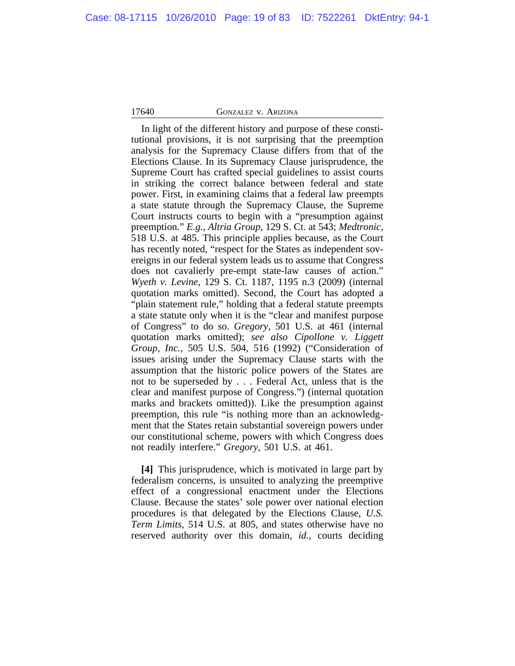In light of the different history and purpose of these constitutional provisions, it is not surprising that the preemption analysis for the Supremacy Clause differs from that of the Elections Clause. In its Supremacy Clause jurisprudence, the Supreme Court has crafted special guidelines to assist courts in striking the correct balance between federal and state power. First, in examining claims that a federal law preempts a state statute through the Supremacy Clause, the Supreme Court instructs courts to begin with a "presumption against preemption." *E.g.*, *Altria Group*, 129 S. Ct. at 543; *Medtronic*, 518 U.S. at 485. This principle applies because, as the Court has recently noted, "respect for the States as independent sovereigns in our federal system leads us to assume that Congress does not cavalierly pre-empt state-law causes of action." *Wyeth v. Levine*, 129 S. Ct. 1187, 1195 n.3 (2009) (internal quotation marks omitted). Second, the Court has adopted a "plain statement rule," holding that a federal statute preempts a state statute only when it is the "clear and manifest purpose of Congress" to do so. *Gregory*, 501 U.S. at 461 (internal quotation marks omitted); *see also Cipollone v. Liggett Group, Inc.*, 505 U.S. 504, 516 (1992) ("Consideration of issues arising under the Supremacy Clause starts with the assumption that the historic police powers of the States are not to be superseded by . . . Federal Act, unless that is the clear and manifest purpose of Congress.") (internal quotation marks and brackets omitted)). Like the presumption against preemption, this rule "is nothing more than an acknowledgment that the States retain substantial sovereign powers under our constitutional scheme, powers with which Congress does not readily interfere." *Gregory*, 501 U.S. at 461.

**[4]** This jurisprudence, which is motivated in large part by federalism concerns, is unsuited to analyzing the preemptive effect of a congressional enactment under the Elections Clause. Because the states' sole power over national election procedures is that delegated by the Elections Clause, *U.S. Term Limits*, 514 U.S. at 805, and states otherwise have no reserved authority over this domain*, id.*, courts deciding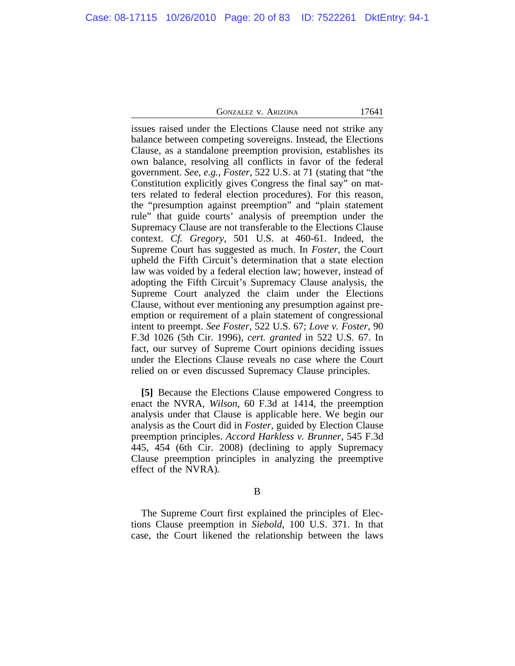issues raised under the Elections Clause need not strike any balance between competing sovereigns. Instead, the Elections Clause, as a standalone preemption provision, establishes its own balance, resolving all conflicts in favor of the federal government. *See, e.g.*, *Foster*, 522 U.S. at 71 (stating that "the Constitution explicitly gives Congress the final say" on matters related to federal election procedures). For this reason, the "presumption against preemption" and "plain statement rule" that guide courts' analysis of preemption under the Supremacy Clause are not transferable to the Elections Clause context. *Cf. Gregory*, 501 U.S. at 460-61. Indeed, the Supreme Court has suggested as much. In *Foster*, the Court upheld the Fifth Circuit's determination that a state election law was voided by a federal election law; however, instead of adopting the Fifth Circuit's Supremacy Clause analysis, the Supreme Court analyzed the claim under the Elections Clause, without ever mentioning any presumption against preemption or requirement of a plain statement of congressional intent to preempt. *See Foster*, 522 U.S. 67; *Love v. Foster*, 90 F.3d 1026 (5th Cir. 1996), *cert. granted* in 522 U.S. 67. In fact, our survey of Supreme Court opinions deciding issues under the Elections Clause reveals no case where the Court relied on or even discussed Supremacy Clause principles.

**[5]** Because the Elections Clause empowered Congress to enact the NVRA, *Wilson*, 60 F.3d at 1414, the preemption analysis under that Clause is applicable here. We begin our analysis as the Court did in *Foster*, guided by Election Clause preemption principles. *Accord Harkless v. Brunner*, 545 F.3d 445, 454 (6th Cir. 2008) (declining to apply Supremacy Clause preemption principles in analyzing the preemptive effect of the NVRA).

#### B

The Supreme Court first explained the principles of Elections Clause preemption in *Siebold*, 100 U.S. 371. In that case, the Court likened the relationship between the laws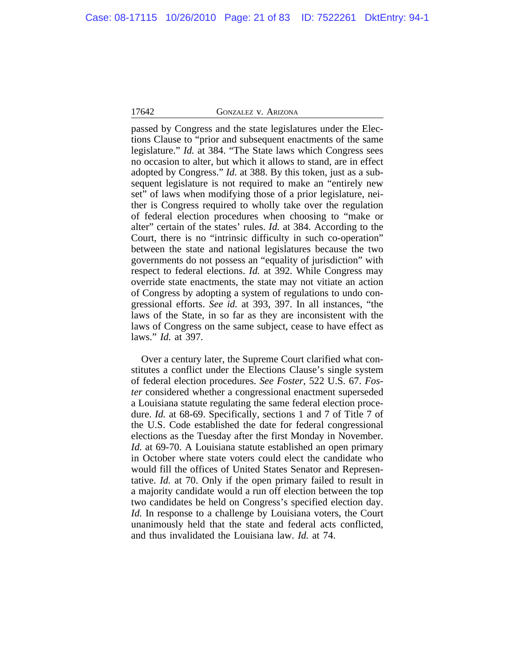passed by Congress and the state legislatures under the Elections Clause to "prior and subsequent enactments of the same legislature." *Id.* at 384. "The State laws which Congress sees no occasion to alter, but which it allows to stand, are in effect adopted by Congress." *Id.* at 388. By this token, just as a subsequent legislature is not required to make an "entirely new set" of laws when modifying those of a prior legislature, neither is Congress required to wholly take over the regulation of federal election procedures when choosing to "make or alter" certain of the states' rules. *Id.* at 384. According to the Court, there is no "intrinsic difficulty in such co-operation" between the state and national legislatures because the two governments do not possess an "equality of jurisdiction" with respect to federal elections. *Id.* at 392. While Congress may override state enactments, the state may not vitiate an action of Congress by adopting a system of regulations to undo congressional efforts. *See id.* at 393, 397. In all instances, "the laws of the State, in so far as they are inconsistent with the laws of Congress on the same subject, cease to have effect as laws." *Id.* at 397.

Over a century later, the Supreme Court clarified what constitutes a conflict under the Elections Clause's single system of federal election procedures. *See Foster*, 522 U.S. 67. *Foster* considered whether a congressional enactment superseded a Louisiana statute regulating the same federal election procedure. *Id.* at 68-69. Specifically, sections 1 and 7 of Title 7 of the U.S. Code established the date for federal congressional elections as the Tuesday after the first Monday in November. *Id.* at 69-70. A Louisiana statute established an open primary in October where state voters could elect the candidate who would fill the offices of United States Senator and Representative. *Id.* at 70. Only if the open primary failed to result in a majority candidate would a run off election between the top two candidates be held on Congress's specified election day. *Id.* In response to a challenge by Louisiana voters, the Court unanimously held that the state and federal acts conflicted, and thus invalidated the Louisiana law. *Id.* at 74.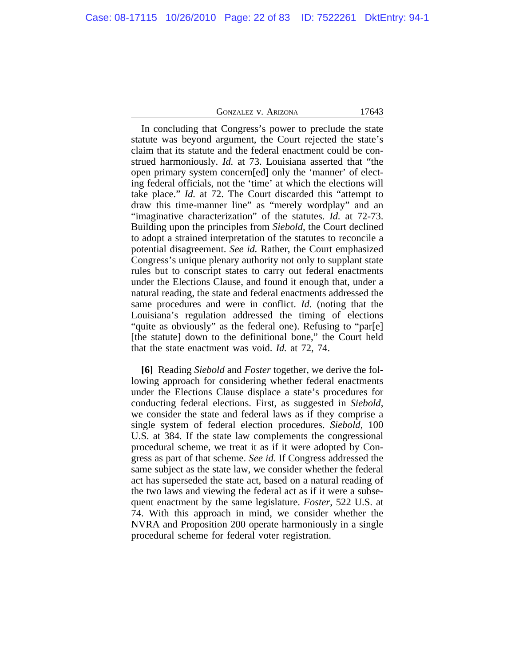In concluding that Congress's power to preclude the state statute was beyond argument, the Court rejected the state's claim that its statute and the federal enactment could be construed harmoniously. *Id.* at 73. Louisiana asserted that "the open primary system concern[ed] only the 'manner' of electing federal officials, not the 'time' at which the elections will take place." *Id.* at 72. The Court discarded this "attempt to draw this time-manner line" as "merely wordplay" and an "imaginative characterization" of the statutes. *Id.* at 72-73. Building upon the principles from *Siebold*, the Court declined to adopt a strained interpretation of the statutes to reconcile a potential disagreement. *See id.* Rather, the Court emphasized Congress's unique plenary authority not only to supplant state rules but to conscript states to carry out federal enactments under the Elections Clause, and found it enough that, under a natural reading, the state and federal enactments addressed the same procedures and were in conflict. *Id.* (noting that the Louisiana's regulation addressed the timing of elections "quite as obviously" as the federal one). Refusing to "par[e] [the statute] down to the definitional bone," the Court held that the state enactment was void. *Id.* at 72, 74.

**[6]** Reading *Siebold* and *Foster* together, we derive the following approach for considering whether federal enactments under the Elections Clause displace a state's procedures for conducting federal elections. First, as suggested in *Siebold*, we consider the state and federal laws as if they comprise a single system of federal election procedures. *Siebold*, 100 U.S. at 384. If the state law complements the congressional procedural scheme, we treat it as if it were adopted by Congress as part of that scheme. *See id.* If Congress addressed the same subject as the state law, we consider whether the federal act has superseded the state act, based on a natural reading of the two laws and viewing the federal act as if it were a subsequent enactment by the same legislature. *Foster*, 522 U.S. at 74. With this approach in mind, we consider whether the NVRA and Proposition 200 operate harmoniously in a single procedural scheme for federal voter registration.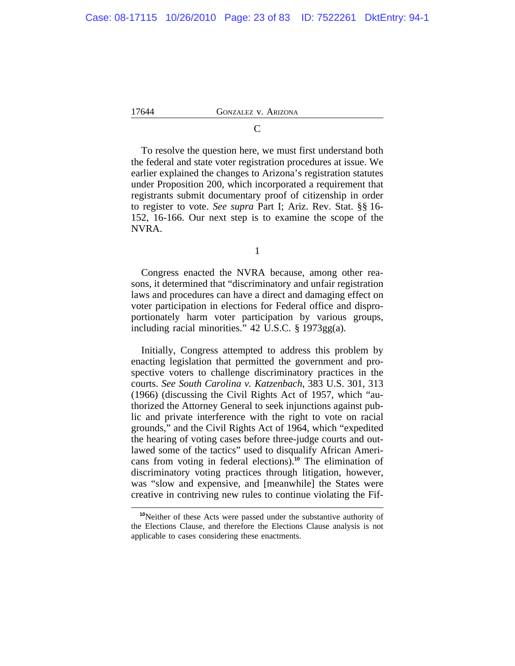To resolve the question here, we must first understand both the federal and state voter registration procedures at issue. We earlier explained the changes to Arizona's registration statutes under Proposition 200, which incorporated a requirement that registrants submit documentary proof of citizenship in order to register to vote. *See supra* Part I; Ariz. Rev. Stat. §§ 16- 152, 16-166. Our next step is to examine the scope of the NVRA.

1

Congress enacted the NVRA because, among other reasons, it determined that "discriminatory and unfair registration laws and procedures can have a direct and damaging effect on voter participation in elections for Federal office and disproportionately harm voter participation by various groups, including racial minorities." 42 U.S.C. § 1973gg(a).

Initially, Congress attempted to address this problem by enacting legislation that permitted the government and prospective voters to challenge discriminatory practices in the courts. *See South Carolina v. Katzenbach*, 383 U.S. 301, 313 (1966) (discussing the Civil Rights Act of 1957, which "authorized the Attorney General to seek injunctions against public and private interference with the right to vote on racial grounds," and the Civil Rights Act of 1964, which "expedited the hearing of voting cases before three-judge courts and outlawed some of the tactics" used to disqualify African Americans from voting in federal elections).**<sup>10</sup>** The elimination of discriminatory voting practices through litigation, however, was "slow and expensive, and [meanwhile] the States were creative in contriving new rules to continue violating the Fif-

**<sup>10</sup>**Neither of these Acts were passed under the substantive authority of the Elections Clause, and therefore the Elections Clause analysis is not applicable to cases considering these enactments.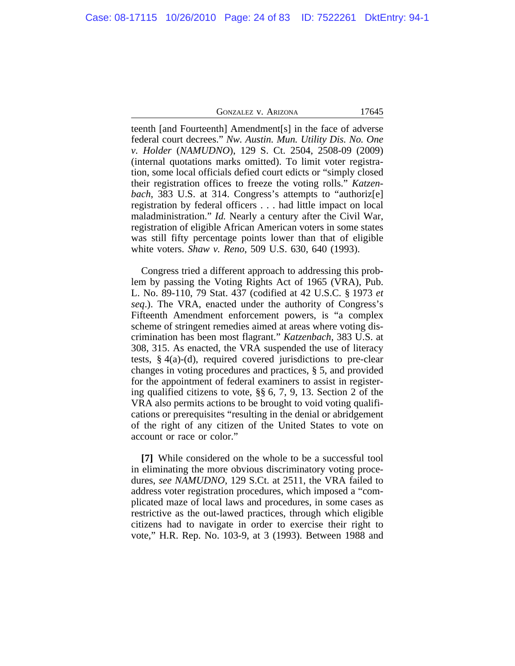teenth [and Fourteenth] Amendment[s] in the face of adverse federal court decrees." *Nw. Austin. Mun. Utility Dis. No. One v. Holder* (*NAMUDNO*), 129 S. Ct. 2504, 2508-09 (2009) (internal quotations marks omitted). To limit voter registration, some local officials defied court edicts or "simply closed their registration offices to freeze the voting rolls." *Katzenbach*, 383 U.S. at 314. Congress's attempts to "authoriz[e] registration by federal officers . . . had little impact on local maladministration." *Id.* Nearly a century after the Civil War, registration of eligible African American voters in some states was still fifty percentage points lower than that of eligible white voters. *Shaw v. Reno*, 509 U.S. 630, 640 (1993).

Congress tried a different approach to addressing this problem by passing the Voting Rights Act of 1965 (VRA), Pub. L. No. 89-110, 79 Stat. 437 (codified at 42 U.S.C. § 1973 *et seq*.). The VRA, enacted under the authority of Congress's Fifteenth Amendment enforcement powers, is "a complex scheme of stringent remedies aimed at areas where voting discrimination has been most flagrant." *Katzenbach*, 383 U.S. at 308, 315. As enacted, the VRA suspended the use of literacy tests,  $§$  4(a)-(d), required covered jurisdictions to pre-clear changes in voting procedures and practices, § 5, and provided for the appointment of federal examiners to assist in registering qualified citizens to vote, §§ 6, 7, 9, 13. Section 2 of the VRA also permits actions to be brought to void voting qualifications or prerequisites "resulting in the denial or abridgement of the right of any citizen of the United States to vote on account or race or color."

**[7]** While considered on the whole to be a successful tool in eliminating the more obvious discriminatory voting procedures, *see NAMUDNO*, 129 S.Ct. at 2511, the VRA failed to address voter registration procedures, which imposed a "complicated maze of local laws and procedures, in some cases as restrictive as the out-lawed practices, through which eligible citizens had to navigate in order to exercise their right to vote," H.R. Rep. No. 103-9, at 3 (1993). Between 1988 and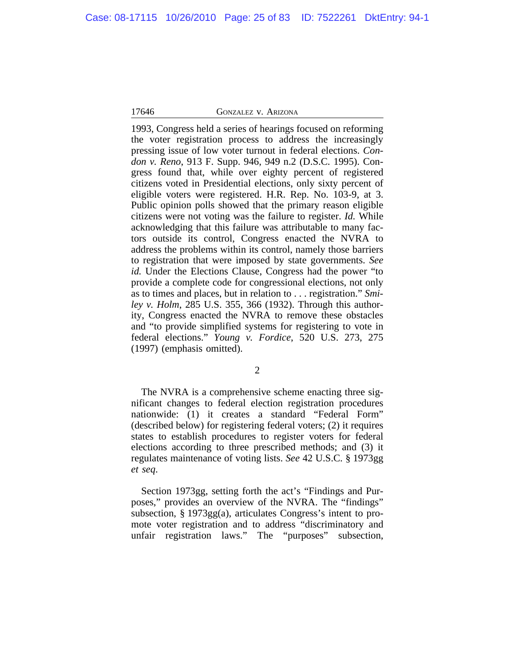1993, Congress held a series of hearings focused on reforming the voter registration process to address the increasingly pressing issue of low voter turnout in federal elections. *Condon v. Reno*, 913 F. Supp. 946, 949 n.2 (D.S.C. 1995). Congress found that, while over eighty percent of registered citizens voted in Presidential elections, only sixty percent of eligible voters were registered. H.R. Rep. No. 103-9, at 3. Public opinion polls showed that the primary reason eligible citizens were not voting was the failure to register. *Id.* While acknowledging that this failure was attributable to many factors outside its control, Congress enacted the NVRA to address the problems within its control, namely those barriers to registration that were imposed by state governments. *See id.* Under the Elections Clause, Congress had the power "to provide a complete code for congressional elections, not only as to times and places, but in relation to . . . registration." *Smiley v. Holm*, 285 U.S. 355, 366 (1932). Through this authority, Congress enacted the NVRA to remove these obstacles and "to provide simplified systems for registering to vote in federal elections." *Young v. Fordice*, 520 U.S. 273, 275 (1997) (emphasis omitted).

2

The NVRA is a comprehensive scheme enacting three significant changes to federal election registration procedures nationwide: (1) it creates a standard "Federal Form" (described below) for registering federal voters; (2) it requires states to establish procedures to register voters for federal elections according to three prescribed methods; and (3) it regulates maintenance of voting lists. *See* 42 U.S.C. § 1973gg *et seq*.

Section 1973gg, setting forth the act's "Findings and Purposes," provides an overview of the NVRA. The "findings" subsection, § 1973gg(a), articulates Congress's intent to promote voter registration and to address "discriminatory and unfair registration laws." The "purposes" subsection,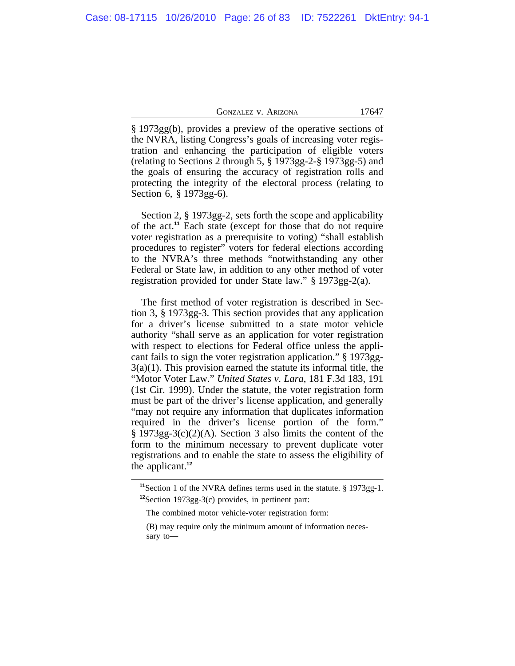§ 1973gg(b), provides a preview of the operative sections of the NVRA, listing Congress's goals of increasing voter registration and enhancing the participation of eligible voters (relating to Sections 2 through 5, § 1973gg-2-§ 1973gg-5) and the goals of ensuring the accuracy of registration rolls and protecting the integrity of the electoral process (relating to Section 6, § 1973gg-6).

Section 2, § 1973gg-2, sets forth the scope and applicability of the act.**<sup>11</sup>** Each state (except for those that do not require voter registration as a prerequisite to voting) "shall establish procedures to register" voters for federal elections according to the NVRA's three methods "notwithstanding any other Federal or State law, in addition to any other method of voter registration provided for under State law." § 1973gg-2(a).

The first method of voter registration is described in Section 3, § 1973gg-3. This section provides that any application for a driver's license submitted to a state motor vehicle authority "shall serve as an application for voter registration with respect to elections for Federal office unless the applicant fails to sign the voter registration application." § 1973gg-3(a)(1). This provision earned the statute its informal title, the "Motor Voter Law." *United States v. Lara*, 181 F.3d 183, 191 (1st Cir. 1999). Under the statute, the voter registration form must be part of the driver's license application, and generally "may not require any information that duplicates information required in the driver's license portion of the form."  $§$  1973gg-3(c)(2)(A). Section 3 also limits the content of the form to the minimum necessary to prevent duplicate voter registrations and to enable the state to assess the eligibility of the applicant.**<sup>12</sup>**

**<sup>11</sup>**Section 1 of the NVRA defines terms used in the statute. § 1973gg-1. **<sup>12</sup>**Section 1973gg-3(c) provides, in pertinent part:

The combined motor vehicle-voter registration form:

<sup>(</sup>B) may require only the minimum amount of information necessary to—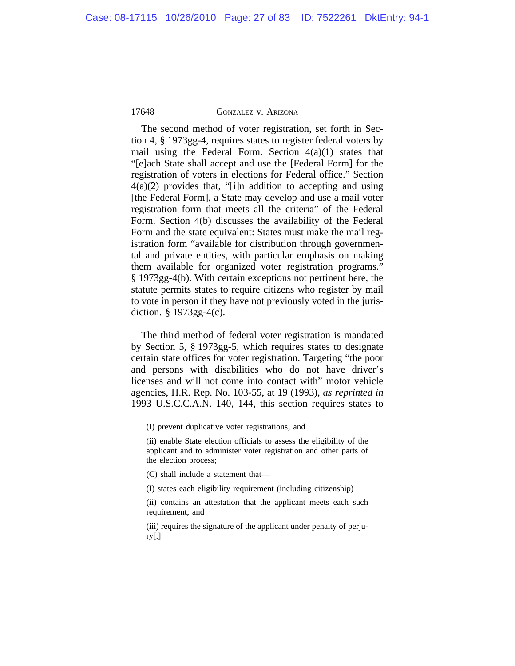The second method of voter registration, set forth in Section 4, § 1973gg-4, requires states to register federal voters by mail using the Federal Form. Section  $4(a)(1)$  states that "[e]ach State shall accept and use the [Federal Form] for the registration of voters in elections for Federal office." Section 4(a)(2) provides that, "[i]n addition to accepting and using [the Federal Form], a State may develop and use a mail voter registration form that meets all the criteria" of the Federal Form. Section 4(b) discusses the availability of the Federal Form and the state equivalent: States must make the mail registration form "available for distribution through governmental and private entities, with particular emphasis on making them available for organized voter registration programs." § 1973gg-4(b). With certain exceptions not pertinent here, the statute permits states to require citizens who register by mail to vote in person if they have not previously voted in the jurisdiction. § 1973gg-4(c).

The third method of federal voter registration is mandated by Section 5, § 1973gg-5, which requires states to designate certain state offices for voter registration. Targeting "the poor and persons with disabilities who do not have driver's licenses and will not come into contact with" motor vehicle agencies, H.R. Rep. No. 103-55, at 19 (1993), *as reprinted in* 1993 U.S.C.C.A.N. 140, 144, this section requires states to

(C) shall include a statement that—

(I) states each eligibility requirement (including citizenship)

<sup>(</sup>I) prevent duplicative voter registrations; and

<sup>(</sup>ii) enable State election officials to assess the eligibility of the applicant and to administer voter registration and other parts of the election process;

<sup>(</sup>ii) contains an attestation that the applicant meets each such requirement; and

<sup>(</sup>iii) requires the signature of the applicant under penalty of perjury[.]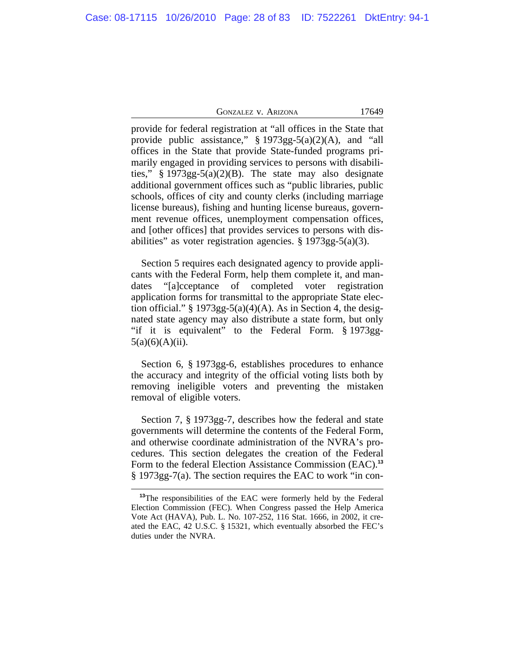| GONZALEZ V. ARIZONA |  |  |  |
|---------------------|--|--|--|
|---------------------|--|--|--|

17649

provide for federal registration at "all offices in the State that provide public assistance," § 1973gg-5(a)(2)(A), and "all offices in the State that provide State-funded programs primarily engaged in providing services to persons with disabilities," § 1973gg-5(a)(2)(B). The state may also designate additional government offices such as "public libraries, public schools, offices of city and county clerks (including marriage license bureaus), fishing and hunting license bureaus, government revenue offices, unemployment compensation offices, and [other offices] that provides services to persons with disabilities" as voter registration agencies. § 1973gg-5(a)(3).

Section 5 requires each designated agency to provide applicants with the Federal Form, help them complete it, and mandates "[a]cceptance of completed voter registration application forms for transmittal to the appropriate State election official."  $\S 1973gg-5(a)(4)(A)$ . As in Section 4, the designated state agency may also distribute a state form, but only "if it is equivalent" to the Federal Form. § 1973gg- $5(a)(6)(A)(ii)$ .

Section 6, § 1973gg-6, establishes procedures to enhance the accuracy and integrity of the official voting lists both by removing ineligible voters and preventing the mistaken removal of eligible voters.

Section 7, § 1973gg-7, describes how the federal and state governments will determine the contents of the Federal Form, and otherwise coordinate administration of the NVRA's procedures. This section delegates the creation of the Federal Form to the federal Election Assistance Commission (EAC).**<sup>13</sup>** § 1973gg-7(a). The section requires the EAC to work "in con-

**<sup>13</sup>**The responsibilities of the EAC were formerly held by the Federal Election Commission (FEC). When Congress passed the Help America Vote Act (HAVA), Pub. L. No. 107-252, 116 Stat. 1666, in 2002, it created the EAC, 42 U.S.C. § 15321, which eventually absorbed the FEC's duties under the NVRA.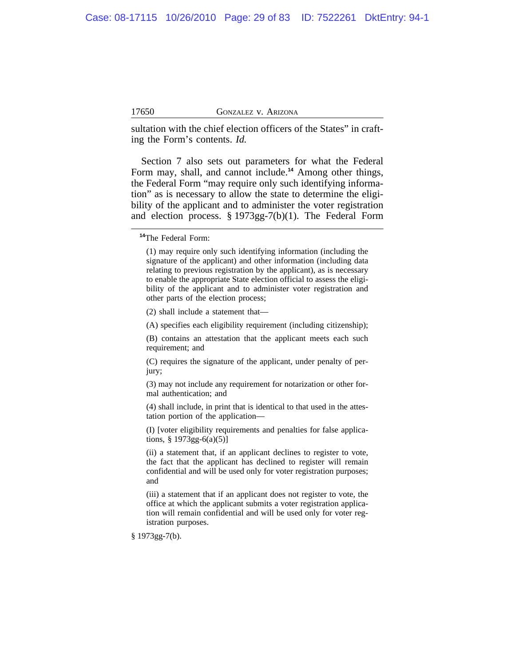sultation with the chief election officers of the States" in crafting the Form's contents. *Id.*

Section 7 also sets out parameters for what the Federal Form may, shall, and cannot include.**<sup>14</sup>** Among other things, the Federal Form "may require only such identifying information" as is necessary to allow the state to determine the eligibility of the applicant and to administer the voter registration and election process. § 1973gg-7(b)(1). The Federal Form

(2) shall include a statement that—

(A) specifies each eligibility requirement (including citizenship);

(B) contains an attestation that the applicant meets each such requirement; and

(C) requires the signature of the applicant, under penalty of perjury;

(3) may not include any requirement for notarization or other formal authentication; and

(4) shall include, in print that is identical to that used in the attestation portion of the application—

(I) [voter eligibility requirements and penalties for false applications,  $§ 1973gg-6(a)(5)]$ 

(ii) a statement that, if an applicant declines to register to vote, the fact that the applicant has declined to register will remain confidential and will be used only for voter registration purposes; and

(iii) a statement that if an applicant does not register to vote, the office at which the applicant submits a voter registration application will remain confidential and will be used only for voter registration purposes.

§ 1973gg-7(b).

**<sup>14</sup>**The Federal Form:

<sup>(1)</sup> may require only such identifying information (including the signature of the applicant) and other information (including data relating to previous registration by the applicant), as is necessary to enable the appropriate State election official to assess the eligibility of the applicant and to administer voter registration and other parts of the election process;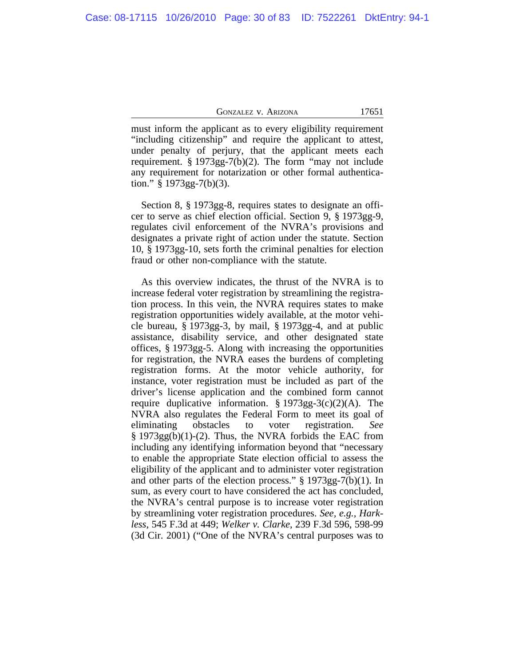must inform the applicant as to every eligibility requirement "including citizenship" and require the applicant to attest, under penalty of perjury, that the applicant meets each requirement. § 1973gg-7(b)(2). The form "may not include any requirement for notarization or other formal authentication."  $§$  1973gg-7(b)(3).

Section 8, § 1973gg-8, requires states to designate an officer to serve as chief election official. Section 9, § 1973gg-9, regulates civil enforcement of the NVRA's provisions and designates a private right of action under the statute. Section 10, § 1973gg-10, sets forth the criminal penalties for election fraud or other non-compliance with the statute.

As this overview indicates, the thrust of the NVRA is to increase federal voter registration by streamlining the registration process. In this vein, the NVRA requires states to make registration opportunities widely available, at the motor vehicle bureau, § 1973gg-3, by mail, § 1973gg-4, and at public assistance, disability service, and other designated state offices, § 1973gg-5. Along with increasing the opportunities for registration, the NVRA eases the burdens of completing registration forms. At the motor vehicle authority, for instance, voter registration must be included as part of the driver's license application and the combined form cannot require duplicative information.  $\S 1973gg-3(c)(2)(A)$ . The NVRA also regulates the Federal Form to meet its goal of eliminating obstacles to voter registration. *See*  $§$  1973gg(b)(1)-(2). Thus, the NVRA forbids the EAC from including any identifying information beyond that "necessary to enable the appropriate State election official to assess the eligibility of the applicant and to administer voter registration and other parts of the election process." § 1973gg-7(b)(1). In sum, as every court to have considered the act has concluded, the NVRA's central purpose is to increase voter registration by streamlining voter registration procedures. *See, e.g.*, *Harkless*, 545 F.3d at 449; *Welker v. Clarke*, 239 F.3d 596, 598-99 (3d Cir. 2001) ("One of the NVRA's central purposes was to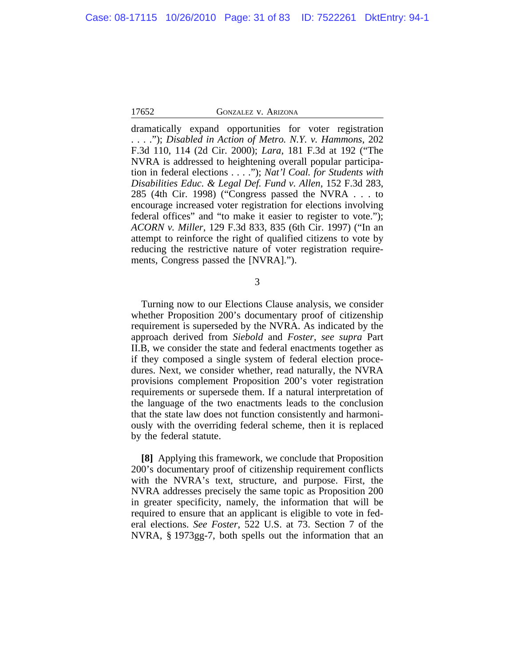dramatically expand opportunities for voter registration . . . ."); *Disabled in Action of Metro. N.Y. v. Hammons*, 202 F.3d 110, 114 (2d Cir. 2000); *Lara*, 181 F.3d at 192 ("The NVRA is addressed to heightening overall popular participation in federal elections . . . ."); *Nat'l Coal. for Students with Disabilities Educ. & Legal Def. Fund v. Allen*, 152 F.3d 283, 285 (4th Cir. 1998) ("Congress passed the NVRA . . . to encourage increased voter registration for elections involving federal offices" and "to make it easier to register to vote."); *ACORN v. Miller*, 129 F.3d 833, 835 (6th Cir. 1997) ("In an attempt to reinforce the right of qualified citizens to vote by reducing the restrictive nature of voter registration requirements, Congress passed the [NVRA].").

3

Turning now to our Elections Clause analysis, we consider whether Proposition 200's documentary proof of citizenship requirement is superseded by the NVRA. As indicated by the approach derived from *Siebold* and *Foster*, *see supra* Part II.B, we consider the state and federal enactments together as if they composed a single system of federal election procedures. Next, we consider whether, read naturally, the NVRA provisions complement Proposition 200's voter registration requirements or supersede them. If a natural interpretation of the language of the two enactments leads to the conclusion that the state law does not function consistently and harmoniously with the overriding federal scheme, then it is replaced by the federal statute.

**[8]** Applying this framework, we conclude that Proposition 200's documentary proof of citizenship requirement conflicts with the NVRA's text, structure, and purpose. First, the NVRA addresses precisely the same topic as Proposition 200 in greater specificity, namely, the information that will be required to ensure that an applicant is eligible to vote in federal elections. *See Foster*, 522 U.S. at 73. Section 7 of the NVRA, § 1973gg-7, both spells out the information that an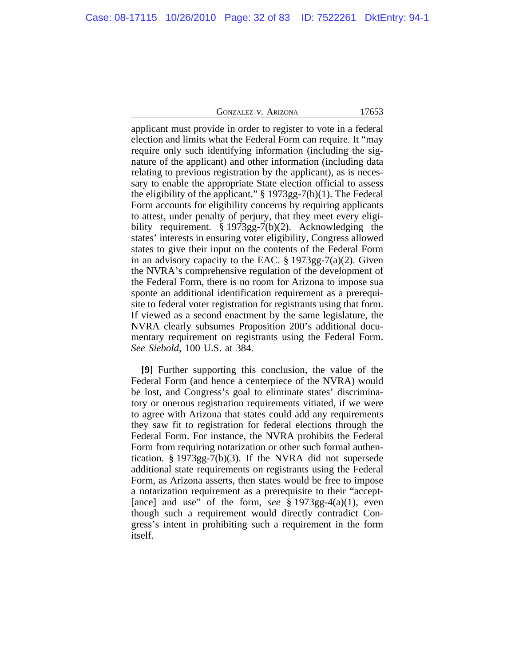applicant must provide in order to register to vote in a federal election and limits what the Federal Form can require. It "may require only such identifying information (including the signature of the applicant) and other information (including data relating to previous registration by the applicant), as is necessary to enable the appropriate State election official to assess the eligibility of the applicant."  $\S 1973gg-7(b)(1)$ . The Federal Form accounts for eligibility concerns by requiring applicants to attest, under penalty of perjury, that they meet every eligibility requirement. § 1973gg-7(b)(2). Acknowledging the states' interests in ensuring voter eligibility, Congress allowed states to give their input on the contents of the Federal Form in an advisory capacity to the EAC.  $\S 1973gg-7(a)(2)$ . Given the NVRA's comprehensive regulation of the development of the Federal Form, there is no room for Arizona to impose sua sponte an additional identification requirement as a prerequisite to federal voter registration for registrants using that form. If viewed as a second enactment by the same legislature, the NVRA clearly subsumes Proposition 200's additional documentary requirement on registrants using the Federal Form. *See Siebold*, 100 U.S. at 384.

**[9]** Further supporting this conclusion, the value of the Federal Form (and hence a centerpiece of the NVRA) would be lost, and Congress's goal to eliminate states' discriminatory or onerous registration requirements vitiated, if we were to agree with Arizona that states could add any requirements they saw fit to registration for federal elections through the Federal Form. For instance, the NVRA prohibits the Federal Form from requiring notarization or other such formal authentication. § 1973gg-7(b)(3). If the NVRA did not supersede additional state requirements on registrants using the Federal Form, as Arizona asserts, then states would be free to impose a notarization requirement as a prerequisite to their "accept- [ance] and use" of the form, *see* § 1973gg-4(a)(1), even though such a requirement would directly contradict Congress's intent in prohibiting such a requirement in the form itself.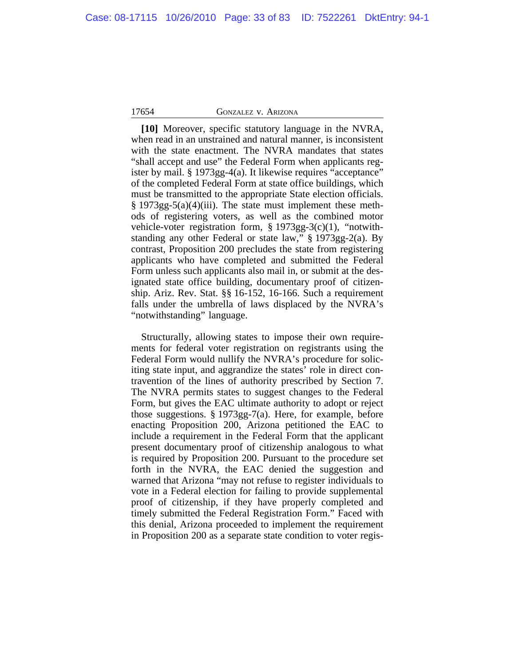**[10]** Moreover, specific statutory language in the NVRA, when read in an unstrained and natural manner, is inconsistent with the state enactment. The NVRA mandates that states "shall accept and use" the Federal Form when applicants register by mail. § 1973gg-4(a). It likewise requires "acceptance" of the completed Federal Form at state office buildings, which must be transmitted to the appropriate State election officials.  $§$  1973gg-5(a)(4)(iii). The state must implement these methods of registering voters, as well as the combined motor vehicle-voter registration form, § 1973gg-3(c)(1), "notwithstanding any other Federal or state law," § 1973gg-2(a). By contrast, Proposition 200 precludes the state from registering applicants who have completed and submitted the Federal Form unless such applicants also mail in, or submit at the designated state office building, documentary proof of citizenship. Ariz. Rev. Stat. §§ 16-152, 16-166. Such a requirement falls under the umbrella of laws displaced by the NVRA's "notwithstanding" language.

Structurally, allowing states to impose their own requirements for federal voter registration on registrants using the Federal Form would nullify the NVRA's procedure for soliciting state input, and aggrandize the states' role in direct contravention of the lines of authority prescribed by Section 7. The NVRA permits states to suggest changes to the Federal Form, but gives the EAC ultimate authority to adopt or reject those suggestions. § 1973gg-7(a). Here, for example, before enacting Proposition 200, Arizona petitioned the EAC to include a requirement in the Federal Form that the applicant present documentary proof of citizenship analogous to what is required by Proposition 200. Pursuant to the procedure set forth in the NVRA, the EAC denied the suggestion and warned that Arizona "may not refuse to register individuals to vote in a Federal election for failing to provide supplemental proof of citizenship, if they have properly completed and timely submitted the Federal Registration Form." Faced with this denial, Arizona proceeded to implement the requirement in Proposition 200 as a separate state condition to voter regis-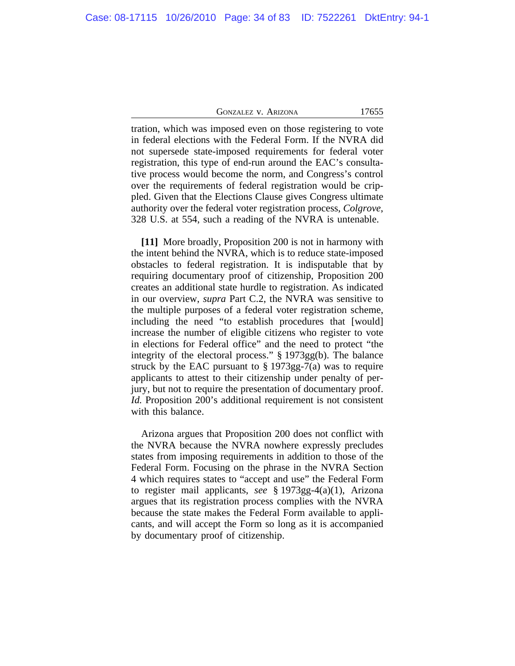tration, which was imposed even on those registering to vote in federal elections with the Federal Form. If the NVRA did not supersede state-imposed requirements for federal voter registration, this type of end-run around the EAC's consultative process would become the norm, and Congress's control over the requirements of federal registration would be crippled. Given that the Elections Clause gives Congress ultimate authority over the federal voter registration process, *Colgrove*, 328 U.S. at 554, such a reading of the NVRA is untenable.

**[11]** More broadly, Proposition 200 is not in harmony with the intent behind the NVRA, which is to reduce state-imposed obstacles to federal registration. It is indisputable that by requiring documentary proof of citizenship, Proposition 200 creates an additional state hurdle to registration. As indicated in our overview, *supra* Part C.2, the NVRA was sensitive to the multiple purposes of a federal voter registration scheme, including the need "to establish procedures that [would] increase the number of eligible citizens who register to vote in elections for Federal office" and the need to protect "the integrity of the electoral process." § 1973gg(b). The balance struck by the EAC pursuant to  $\S 1973gg-7(a)$  was to require applicants to attest to their citizenship under penalty of perjury, but not to require the presentation of documentary proof. *Id.* Proposition 200's additional requirement is not consistent with this balance.

Arizona argues that Proposition 200 does not conflict with the NVRA because the NVRA nowhere expressly precludes states from imposing requirements in addition to those of the Federal Form. Focusing on the phrase in the NVRA Section 4 which requires states to "accept and use" the Federal Form to register mail applicants, *see* § 1973gg-4(a)(1), Arizona argues that its registration process complies with the NVRA because the state makes the Federal Form available to applicants, and will accept the Form so long as it is accompanied by documentary proof of citizenship.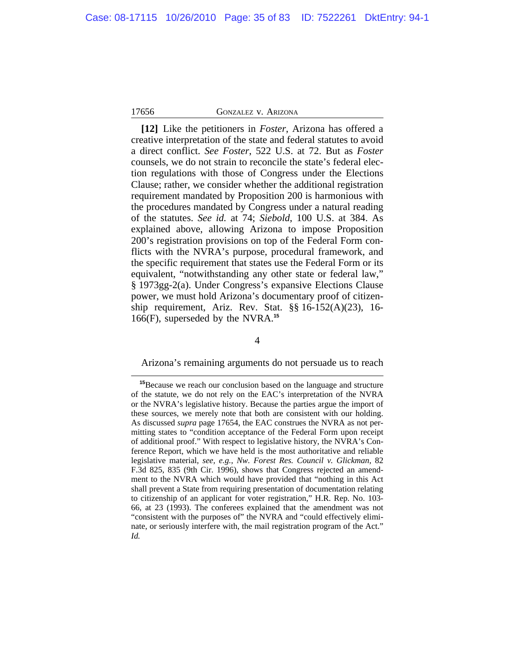**[12]** Like the petitioners in *Foster*, Arizona has offered a creative interpretation of the state and federal statutes to avoid a direct conflict. *See Foster*, 522 U.S. at 72. But as *Foster* counsels, we do not strain to reconcile the state's federal election regulations with those of Congress under the Elections Clause; rather, we consider whether the additional registration requirement mandated by Proposition 200 is harmonious with the procedures mandated by Congress under a natural reading of the statutes. *See id.* at 74; *Siebold*, 100 U.S. at 384. As explained above, allowing Arizona to impose Proposition 200's registration provisions on top of the Federal Form conflicts with the NVRA's purpose, procedural framework, and the specific requirement that states use the Federal Form or its equivalent, "notwithstanding any other state or federal law," § 1973gg-2(a). Under Congress's expansive Elections Clause power, we must hold Arizona's documentary proof of citizenship requirement, Ariz. Rev. Stat. §§ 16-152(A)(23), 16- 166(F), superseded by the NVRA.**<sup>15</sup>**

#### 4

#### Arizona's remaining arguments do not persuade us to reach

**<sup>15</sup>**Because we reach our conclusion based on the language and structure of the statute, we do not rely on the EAC's interpretation of the NVRA or the NVRA's legislative history. Because the parties argue the import of these sources, we merely note that both are consistent with our holding. As discussed *supra* page 17654, the EAC construes the NVRA as not permitting states to "condition acceptance of the Federal Form upon receipt of additional proof." With respect to legislative history, the NVRA's Conference Report, which we have held is the most authoritative and reliable legislative material, *see, e.g.*, *Nw. Forest Res. Council v. Glickman*, 82 F.3d 825, 835 (9th Cir. 1996), shows that Congress rejected an amendment to the NVRA which would have provided that "nothing in this Act shall prevent a State from requiring presentation of documentation relating to citizenship of an applicant for voter registration," H.R. Rep. No. 103- 66, at 23 (1993). The conferees explained that the amendment was not "consistent with the purposes of" the NVRA and "could effectively eliminate, or seriously interfere with, the mail registration program of the Act." *Id.*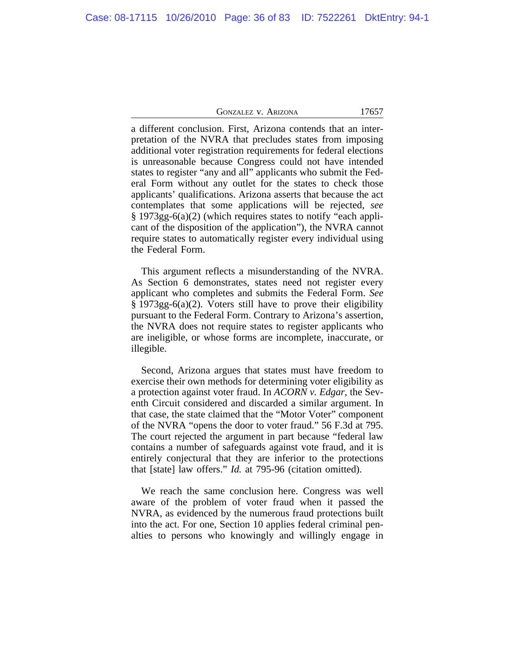a different conclusion. First, Arizona contends that an interpretation of the NVRA that precludes states from imposing additional voter registration requirements for federal elections is unreasonable because Congress could not have intended states to register "any and all" applicants who submit the Federal Form without any outlet for the states to check those applicants' qualifications. Arizona asserts that because the act contemplates that some applications will be rejected, *see* § 1973gg-6(a)(2) (which requires states to notify "each applicant of the disposition of the application"), the NVRA cannot require states to automatically register every individual using the Federal Form.

This argument reflects a misunderstanding of the NVRA. As Section 6 demonstrates, states need not register every applicant who completes and submits the Federal Form. *See* § 1973gg-6(a)(2). Voters still have to prove their eligibility pursuant to the Federal Form. Contrary to Arizona's assertion, the NVRA does not require states to register applicants who are ineligible, or whose forms are incomplete, inaccurate, or illegible.

Second, Arizona argues that states must have freedom to exercise their own methods for determining voter eligibility as a protection against voter fraud. In *ACORN v. Edgar*, the Seventh Circuit considered and discarded a similar argument. In that case, the state claimed that the "Motor Voter" component of the NVRA "opens the door to voter fraud." 56 F.3d at 795. The court rejected the argument in part because "federal law contains a number of safeguards against vote fraud, and it is entirely conjectural that they are inferior to the protections that [state] law offers." *Id.* at 795-96 (citation omitted).

We reach the same conclusion here. Congress was well aware of the problem of voter fraud when it passed the NVRA, as evidenced by the numerous fraud protections built into the act. For one, Section 10 applies federal criminal penalties to persons who knowingly and willingly engage in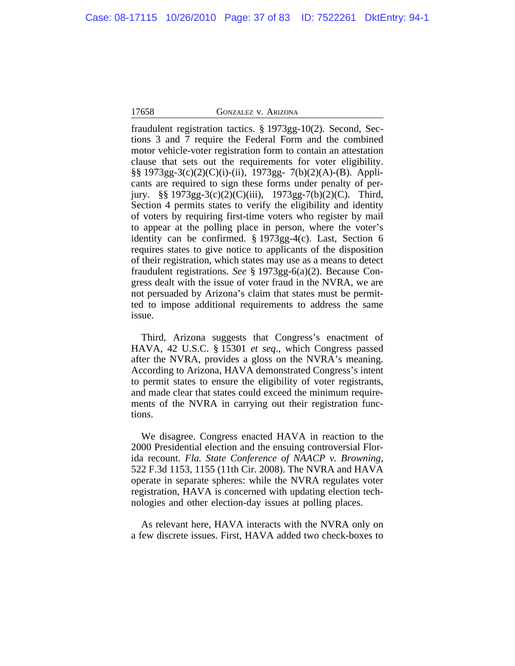fraudulent registration tactics. § 1973gg-10(2). Second, Sections 3 and 7 require the Federal Form and the combined motor vehicle-voter registration form to contain an attestation clause that sets out the requirements for voter eligibility. §§ 1973gg-3(c)(2)(C)(i)-(ii), 1973gg- 7(b)(2)(A)-(B). Applicants are required to sign these forms under penalty of perjury. §§ 1973gg-3(c)(2)(C)(iii), 1973gg-7(b)(2)(C). Third, Section 4 permits states to verify the eligibility and identity of voters by requiring first-time voters who register by mail to appear at the polling place in person, where the voter's identity can be confirmed. § 1973gg-4(c). Last, Section 6 requires states to give notice to applicants of the disposition of their registration, which states may use as a means to detect fraudulent registrations. *See* § 1973gg-6(a)(2). Because Congress dealt with the issue of voter fraud in the NVRA, we are not persuaded by Arizona's claim that states must be permitted to impose additional requirements to address the same issue.

Third, Arizona suggests that Congress's enactment of HAVA, 42 U.S.C. § 15301 *et seq*., which Congress passed after the NVRA, provides a gloss on the NVRA's meaning. According to Arizona, HAVA demonstrated Congress's intent to permit states to ensure the eligibility of voter registrants, and made clear that states could exceed the minimum requirements of the NVRA in carrying out their registration functions.

We disagree. Congress enacted HAVA in reaction to the 2000 Presidential election and the ensuing controversial Florida recount. *Fla. State Conference of NAACP v. Browning*, 522 F.3d 1153, 1155 (11th Cir. 2008). The NVRA and HAVA operate in separate spheres: while the NVRA regulates voter registration, HAVA is concerned with updating election technologies and other election-day issues at polling places.

As relevant here, HAVA interacts with the NVRA only on a few discrete issues. First, HAVA added two check-boxes to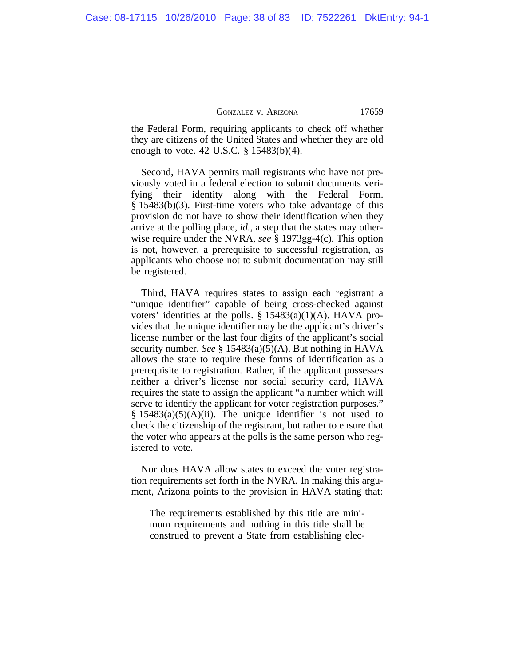| GONZALEZ V. ARIZONA | 17659 |
|---------------------|-------|
|---------------------|-------|

the Federal Form, requiring applicants to check off whether they are citizens of the United States and whether they are old enough to vote. 42 U.S.C. § 15483(b)(4).

Second, HAVA permits mail registrants who have not previously voted in a federal election to submit documents verifying their identity along with the Federal Form. § 15483(b)(3). First-time voters who take advantage of this provision do not have to show their identification when they arrive at the polling place, *id.*, a step that the states may otherwise require under the NVRA, *see* § 1973gg-4(c). This option is not, however, a prerequisite to successful registration, as applicants who choose not to submit documentation may still be registered.

Third, HAVA requires states to assign each registrant a "unique identifier" capable of being cross-checked against voters' identities at the polls.  $\S$  15483(a)(1)(A). HAVA provides that the unique identifier may be the applicant's driver's license number or the last four digits of the applicant's social security number. *See* § 15483(a)(5)(A). But nothing in HAVA allows the state to require these forms of identification as a prerequisite to registration. Rather, if the applicant possesses neither a driver's license nor social security card, HAVA requires the state to assign the applicant "a number which will serve to identify the applicant for voter registration purposes."  $§$  15483(a)(5)(A)(ii). The unique identifier is not used to check the citizenship of the registrant, but rather to ensure that the voter who appears at the polls is the same person who registered to vote.

Nor does HAVA allow states to exceed the voter registration requirements set forth in the NVRA. In making this argument, Arizona points to the provision in HAVA stating that:

The requirements established by this title are minimum requirements and nothing in this title shall be construed to prevent a State from establishing elec-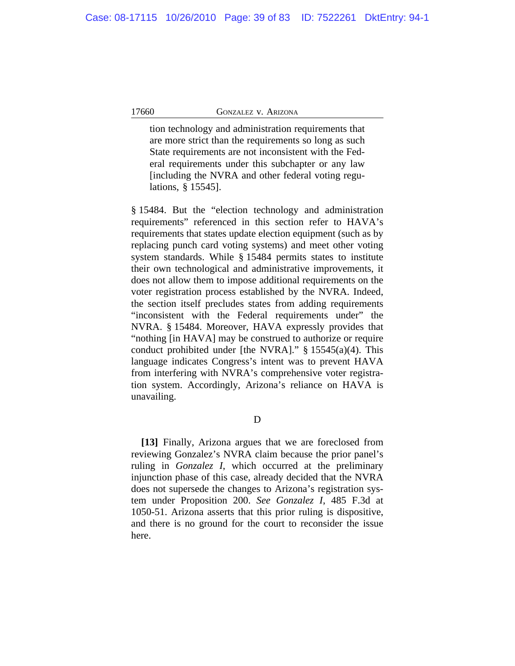tion technology and administration requirements that are more strict than the requirements so long as such State requirements are not inconsistent with the Federal requirements under this subchapter or any law [including the NVRA and other federal voting regulations, § 15545].

§ 15484. But the "election technology and administration requirements" referenced in this section refer to HAVA's requirements that states update election equipment (such as by replacing punch card voting systems) and meet other voting system standards. While § 15484 permits states to institute their own technological and administrative improvements, it does not allow them to impose additional requirements on the voter registration process established by the NVRA. Indeed, the section itself precludes states from adding requirements "inconsistent with the Federal requirements under" the NVRA. § 15484. Moreover, HAVA expressly provides that "nothing [in HAVA] may be construed to authorize or require conduct prohibited under [the NVRA]." § 15545(a)(4). This language indicates Congress's intent was to prevent HAVA from interfering with NVRA's comprehensive voter registration system. Accordingly, Arizona's reliance on HAVA is unavailing.

D

**[13]** Finally, Arizona argues that we are foreclosed from reviewing Gonzalez's NVRA claim because the prior panel's ruling in *Gonzalez I*, which occurred at the preliminary injunction phase of this case, already decided that the NVRA does not supersede the changes to Arizona's registration system under Proposition 200. *See Gonzalez I*, 485 F.3d at 1050-51. Arizona asserts that this prior ruling is dispositive, and there is no ground for the court to reconsider the issue here.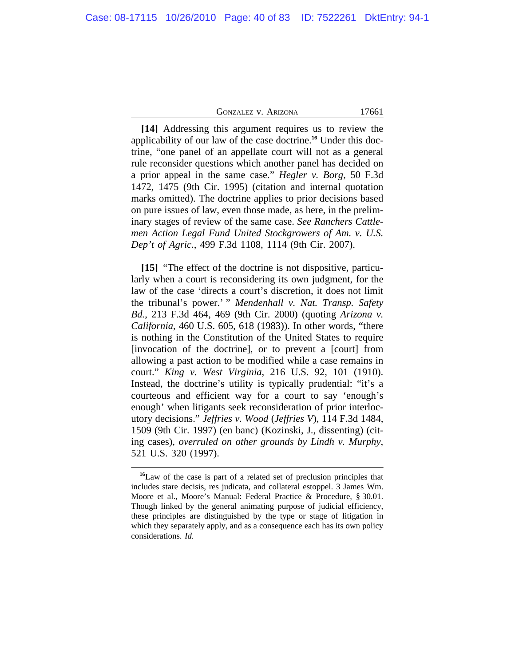**[14]** Addressing this argument requires us to review the applicability of our law of the case doctrine.**16** Under this doctrine, "one panel of an appellate court will not as a general rule reconsider questions which another panel has decided on a prior appeal in the same case." *Hegler v. Borg*, 50 F.3d 1472, 1475 (9th Cir. 1995) (citation and internal quotation marks omitted). The doctrine applies to prior decisions based on pure issues of law, even those made, as here, in the preliminary stages of review of the same case. *See Ranchers Cattlemen Action Legal Fund United Stockgrowers of Am. v. U.S. Dep't of Agric.*, 499 F.3d 1108, 1114 (9th Cir. 2007).

**[15]** "The effect of the doctrine is not dispositive, particularly when a court is reconsidering its own judgment, for the law of the case 'directs a court's discretion, it does not limit the tribunal's power.' " *Mendenhall v. Nat. Transp. Safety Bd.*, 213 F.3d 464, 469 (9th Cir. 2000) (quoting *Arizona v. California*, 460 U.S. 605, 618 (1983)). In other words, "there is nothing in the Constitution of the United States to require [invocation of the doctrine], or to prevent a [court] from allowing a past action to be modified while a case remains in court." *King v. West Virginia*, 216 U.S. 92, 101 (1910). Instead, the doctrine's utility is typically prudential: "it's a courteous and efficient way for a court to say 'enough's enough' when litigants seek reconsideration of prior interlocutory decisions." *Jeffries v. Wood* (*Jeffries V*), 114 F.3d 1484, 1509 (9th Cir. 1997) (en banc) (Kozinski, J., dissenting) (citing cases), *overruled on other grounds by Lindh v. Murphy*, 521 U.S. 320 (1997).

**<sup>16</sup>**Law of the case is part of a related set of preclusion principles that includes stare decisis, res judicata, and collateral estoppel. 3 James Wm. Moore et al., Moore's Manual: Federal Practice & Procedure, § 30.01. Though linked by the general animating purpose of judicial efficiency, these principles are distinguished by the type or stage of litigation in which they separately apply, and as a consequence each has its own policy considerations. *Id.*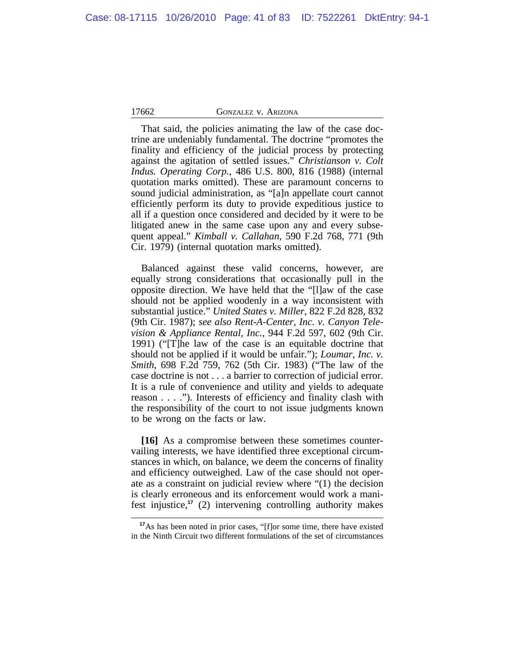That said, the policies animating the law of the case doctrine are undeniably fundamental. The doctrine "promotes the finality and efficiency of the judicial process by protecting against the agitation of settled issues." *Christianson v. Colt Indus. Operating Corp.*, 486 U.S. 800, 816 (1988) (internal quotation marks omitted). These are paramount concerns to sound judicial administration, as "[a]n appellate court cannot efficiently perform its duty to provide expeditious justice to all if a question once considered and decided by it were to be litigated anew in the same case upon any and every subsequent appeal." *Kimball v. Callahan*, 590 F.2d 768, 771 (9th Cir. 1979) (internal quotation marks omitted).

Balanced against these valid concerns, however, are equally strong considerations that occasionally pull in the opposite direction. We have held that the "[l]aw of the case should not be applied woodenly in a way inconsistent with substantial justice." *United States v. Miller*, 822 F.2d 828, 832 (9th Cir. 1987); *see also Rent-A-Center, Inc. v. Canyon Television & Appliance Rental, Inc.*, 944 F.2d 597, 602 (9th Cir. 1991) ("[T]he law of the case is an equitable doctrine that should not be applied if it would be unfair."); *Loumar, Inc. v. Smith*, 698 F.2d 759, 762 (5th Cir. 1983) ("The law of the case doctrine is not . . . a barrier to correction of judicial error. It is a rule of convenience and utility and yields to adequate reason . . . ."). Interests of efficiency and finality clash with the responsibility of the court to not issue judgments known to be wrong on the facts or law.

**[16]** As a compromise between these sometimes countervailing interests, we have identified three exceptional circumstances in which, on balance, we deem the concerns of finality and efficiency outweighed. Law of the case should not operate as a constraint on judicial review where "(1) the decision is clearly erroneous and its enforcement would work a manifest injustice,**<sup>17</sup>** (2) intervening controlling authority makes

<sup>&</sup>lt;sup>17</sup>As has been noted in prior cases, "[f]or some time, there have existed in the Ninth Circuit two different formulations of the set of circumstances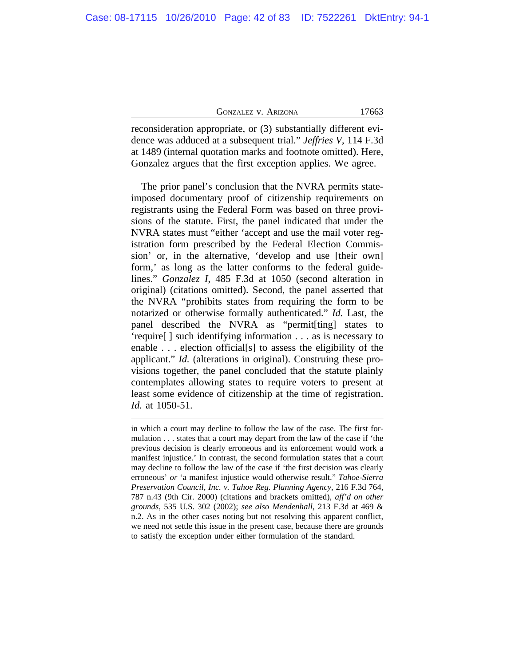| GONZALEZ V. ARIZONA |  |
|---------------------|--|
|---------------------|--|

17663

reconsideration appropriate, or (3) substantially different evidence was adduced at a subsequent trial." *Jeffries V*, 114 F.3d at 1489 (internal quotation marks and footnote omitted). Here, Gonzalez argues that the first exception applies. We agree.

The prior panel's conclusion that the NVRA permits stateimposed documentary proof of citizenship requirements on registrants using the Federal Form was based on three provisions of the statute. First, the panel indicated that under the NVRA states must "either 'accept and use the mail voter registration form prescribed by the Federal Election Commission' or, in the alternative, 'develop and use [their own] form,' as long as the latter conforms to the federal guidelines." *Gonzalez I*, 485 F.3d at 1050 (second alteration in original) (citations omitted). Second, the panel asserted that the NVRA "prohibits states from requiring the form to be notarized or otherwise formally authenticated." *Id.* Last, the panel described the NVRA as "permit[ting] states to 'require[ ] such identifying information . . . as is necessary to enable . . . election official[s] to assess the eligibility of the applicant." *Id.* (alterations in original). Construing these provisions together, the panel concluded that the statute plainly contemplates allowing states to require voters to present at least some evidence of citizenship at the time of registration. *Id.* at 1050-51.

in which a court may decline to follow the law of the case. The first formulation . . . states that a court may depart from the law of the case if 'the previous decision is clearly erroneous and its enforcement would work a manifest injustice.' In contrast, the second formulation states that a court may decline to follow the law of the case if 'the first decision was clearly erroneous' *or* 'a manifest injustice would otherwise result." *Tahoe-Sierra Preservation Council, Inc. v. Tahoe Reg. Planning Agency*, 216 F.3d 764, 787 n.43 (9th Cir. 2000) (citations and brackets omitted), *aff'd on other grounds*, 535 U.S. 302 (2002); *see also Mendenhall*, 213 F.3d at 469 & n.2. As in the other cases noting but not resolving this apparent conflict, we need not settle this issue in the present case, because there are grounds to satisfy the exception under either formulation of the standard.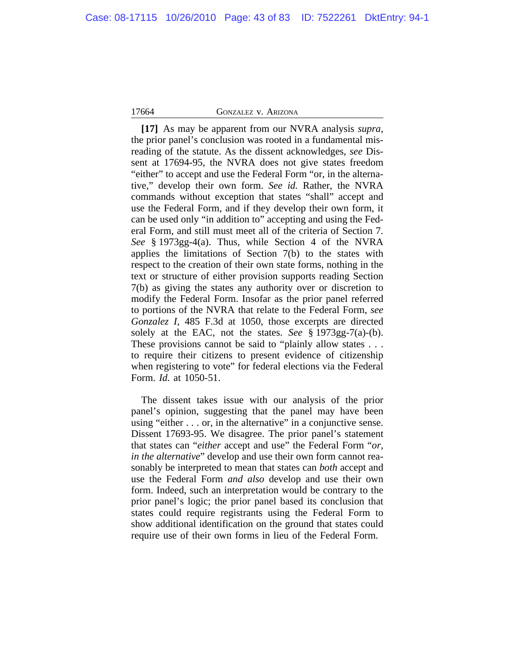**[17]** As may be apparent from our NVRA analysis *supra*, the prior panel's conclusion was rooted in a fundamental misreading of the statute. As the dissent acknowledges, *see* Dissent at 17694-95, the NVRA does not give states freedom "either" to accept and use the Federal Form "or, in the alternative," develop their own form. *See id.* Rather, the NVRA commands without exception that states "shall" accept and use the Federal Form, and if they develop their own form, it can be used only "in addition to" accepting and using the Federal Form, and still must meet all of the criteria of Section 7. *See* § 1973gg-4(a). Thus, while Section 4 of the NVRA applies the limitations of Section 7(b) to the states with respect to the creation of their own state forms, nothing in the text or structure of either provision supports reading Section 7(b) as giving the states any authority over or discretion to modify the Federal Form. Insofar as the prior panel referred to portions of the NVRA that relate to the Federal Form, *see Gonzalez I*, 485 F.3d at 1050, those excerpts are directed solely at the EAC, not the states. *See* § 1973gg-7(a)-(b). These provisions cannot be said to "plainly allow states . . . to require their citizens to present evidence of citizenship when registering to vote" for federal elections via the Federal Form. *Id.* at 1050-51.

The dissent takes issue with our analysis of the prior panel's opinion, suggesting that the panel may have been using "either . . . or, in the alternative" in a conjunctive sense. Dissent 17693-95. We disagree. The prior panel's statement that states can "*either* accept and use" the Federal Form "*or, in the alternative*" develop and use their own form cannot reasonably be interpreted to mean that states can *both* accept and use the Federal Form *and also* develop and use their own form. Indeed, such an interpretation would be contrary to the prior panel's logic; the prior panel based its conclusion that states could require registrants using the Federal Form to show additional identification on the ground that states could require use of their own forms in lieu of the Federal Form.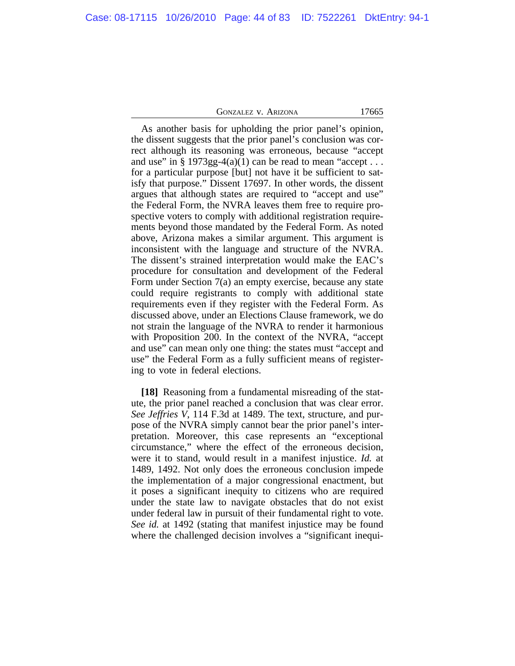As another basis for upholding the prior panel's opinion, the dissent suggests that the prior panel's conclusion was correct although its reasoning was erroneous, because "accept and use" in  $\S 1973gg-4(a)(1)$  can be read to mean "accept... for a particular purpose [but] not have it be sufficient to satisfy that purpose." Dissent 17697. In other words, the dissent argues that although states are required to "accept and use" the Federal Form, the NVRA leaves them free to require prospective voters to comply with additional registration requirements beyond those mandated by the Federal Form. As noted above, Arizona makes a similar argument. This argument is inconsistent with the language and structure of the NVRA. The dissent's strained interpretation would make the EAC's procedure for consultation and development of the Federal Form under Section 7(a) an empty exercise, because any state could require registrants to comply with additional state requirements even if they register with the Federal Form. As discussed above, under an Elections Clause framework, we do not strain the language of the NVRA to render it harmonious with Proposition 200. In the context of the NVRA, "accept and use" can mean only one thing: the states must "accept and use" the Federal Form as a fully sufficient means of registering to vote in federal elections.

**[18]** Reasoning from a fundamental misreading of the statute, the prior panel reached a conclusion that was clear error. *See Jeffries V*, 114 F.3d at 1489. The text, structure, and purpose of the NVRA simply cannot bear the prior panel's interpretation. Moreover, this case represents an "exceptional circumstance," where the effect of the erroneous decision, were it to stand, would result in a manifest injustice. *Id.* at 1489, 1492. Not only does the erroneous conclusion impede the implementation of a major congressional enactment, but it poses a significant inequity to citizens who are required under the state law to navigate obstacles that do not exist under federal law in pursuit of their fundamental right to vote. *See id.* at 1492 (stating that manifest injustice may be found where the challenged decision involves a "significant inequi-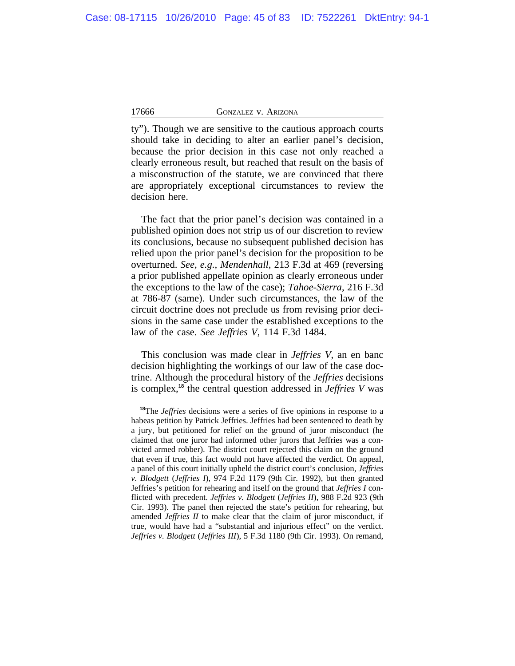ty"). Though we are sensitive to the cautious approach courts should take in deciding to alter an earlier panel's decision, because the prior decision in this case not only reached a clearly erroneous result, but reached that result on the basis of a misconstruction of the statute, we are convinced that there are appropriately exceptional circumstances to review the decision here.

The fact that the prior panel's decision was contained in a published opinion does not strip us of our discretion to review its conclusions, because no subsequent published decision has relied upon the prior panel's decision for the proposition to be overturned. *See, e.g., Mendenhall*, 213 F.3d at 469 (reversing a prior published appellate opinion as clearly erroneous under the exceptions to the law of the case); *Tahoe-Sierra*, 216 F.3d at 786-87 (same). Under such circumstances, the law of the circuit doctrine does not preclude us from revising prior decisions in the same case under the established exceptions to the law of the case. *See Jeffries V*, 114 F.3d 1484.

This conclusion was made clear in *Jeffries V*, an en banc decision highlighting the workings of our law of the case doctrine. Although the procedural history of the *Jeffries* decisions is complex,**<sup>18</sup>** the central question addressed in *Jeffries V* was

**<sup>18</sup>**The *Jeffries* decisions were a series of five opinions in response to a habeas petition by Patrick Jeffries. Jeffries had been sentenced to death by a jury, but petitioned for relief on the ground of juror misconduct (he claimed that one juror had informed other jurors that Jeffries was a convicted armed robber). The district court rejected this claim on the ground that even if true, this fact would not have affected the verdict. On appeal, a panel of this court initially upheld the district court's conclusion, *Jeffries v. Blodgett* (*Jeffries I*), 974 F.2d 1179 (9th Cir. 1992), but then granted Jeffries's petition for rehearing and itself on the ground that *Jeffries I* conflicted with precedent. *Jeffries v. Blodgett* (*Jeffries II*), 988 F.2d 923 (9th Cir. 1993). The panel then rejected the state's petition for rehearing, but amended *Jeffries II* to make clear that the claim of juror misconduct, if true, would have had a "substantial and injurious effect" on the verdict. *Jeffries v. Blodgett* (*Jeffries III*), 5 F.3d 1180 (9th Cir. 1993). On remand,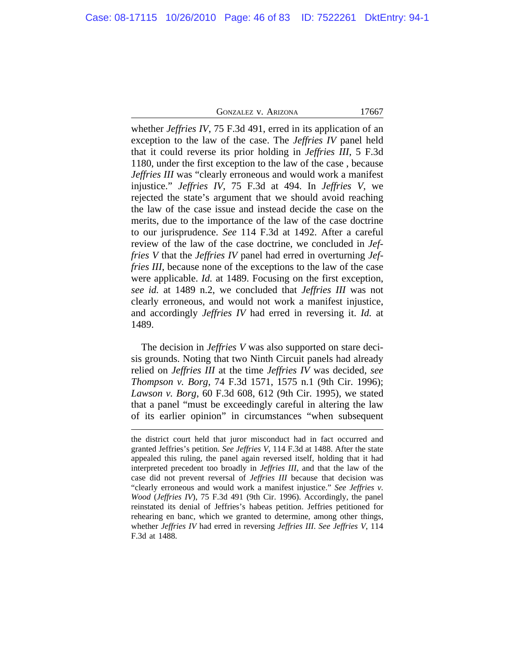whether *Jeffries IV*, 75 F.3d 491, erred in its application of an exception to the law of the case. The *Jeffries IV* panel held that it could reverse its prior holding in *Jeffries III*, 5 F.3d 1180, under the first exception to the law of the case , because *Jeffries III* was "clearly erroneous and would work a manifest injustice." *Jeffries IV*, 75 F.3d at 494. In *Jeffries V*, we rejected the state's argument that we should avoid reaching the law of the case issue and instead decide the case on the merits, due to the importance of the law of the case doctrine to our jurisprudence. *See* 114 F.3d at 1492. After a careful review of the law of the case doctrine, we concluded in *Jeffries V* that the *Jeffries IV* panel had erred in overturning *Jeffries III*, because none of the exceptions to the law of the case were applicable. *Id.* at 1489. Focusing on the first exception, *see id.* at 1489 n.2, we concluded that *Jeffries III* was not clearly erroneous, and would not work a manifest injustice, and accordingly *Jeffries IV* had erred in reversing it. *Id.* at 1489.

The decision in *Jeffries V* was also supported on stare decisis grounds. Noting that two Ninth Circuit panels had already relied on *Jeffries III* at the time *Jeffries IV* was decided, *see Thompson v. Borg*, 74 F.3d 1571, 1575 n.1 (9th Cir. 1996); *Lawson v. Borg*, 60 F.3d 608, 612 (9th Cir. 1995), we stated that a panel "must be exceedingly careful in altering the law of its earlier opinion" in circumstances "when subsequent

the district court held that juror misconduct had in fact occurred and granted Jeffries's petition. *See Jeffries V*, 114 F.3d at 1488. After the state appealed this ruling, the panel again reversed itself, holding that it had interpreted precedent too broadly in *Jeffries III*, and that the law of the case did not prevent reversal of *Jeffries III* because that decision was "clearly erroneous and would work a manifest injustice." *See Jeffries v. Wood* (*Jeffries IV*), 75 F.3d 491 (9th Cir. 1996). Accordingly, the panel reinstated its denial of Jeffries's habeas petition. Jeffries petitioned for rehearing en banc, which we granted to determine, among other things, whether *Jeffries IV* had erred in reversing *Jeffries III*. *See Jeffries V*, 114 F.3d at 1488.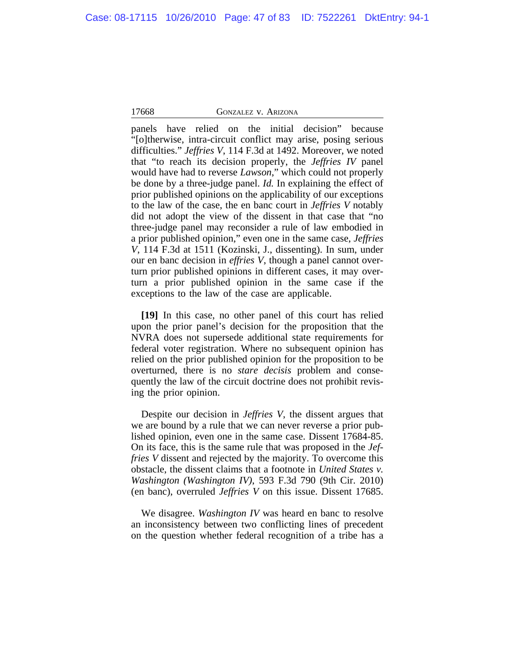panels have relied on the initial decision" because "[o]therwise, intra-circuit conflict may arise, posing serious difficulties." *Jeffries V*, 114 F.3d at 1492. Moreover, we noted that "to reach its decision properly, the *Jeffries IV* panel would have had to reverse *Lawson*," which could not properly be done by a three-judge panel. *Id.* In explaining the effect of prior published opinions on the applicability of our exceptions to the law of the case, the en banc court in *Jeffries V* notably did not adopt the view of the dissent in that case that "no three-judge panel may reconsider a rule of law embodied in a prior published opinion," even one in the same case, *Jeffries V*, 114 F.3d at 1511 (Kozinski, J., dissenting). In sum, under our en banc decision in *effries V*, though a panel cannot overturn prior published opinions in different cases, it may overturn a prior published opinion in the same case if the exceptions to the law of the case are applicable.

**[19]** In this case, no other panel of this court has relied upon the prior panel's decision for the proposition that the NVRA does not supersede additional state requirements for federal voter registration. Where no subsequent opinion has relied on the prior published opinion for the proposition to be overturned, there is no *stare decisis* problem and consequently the law of the circuit doctrine does not prohibit revising the prior opinion.

Despite our decision in *Jeffries V*, the dissent argues that we are bound by a rule that we can never reverse a prior published opinion, even one in the same case. Dissent 17684-85. On its face, this is the same rule that was proposed in the *Jeffries V* dissent and rejected by the majority. To overcome this obstacle, the dissent claims that a footnote in *United States v. Washington (Washington IV)*, 593 F.3d 790 (9th Cir. 2010) (en banc), overruled *Jeffries V* on this issue. Dissent 17685.

We disagree. *Washington IV* was heard en banc to resolve an inconsistency between two conflicting lines of precedent on the question whether federal recognition of a tribe has a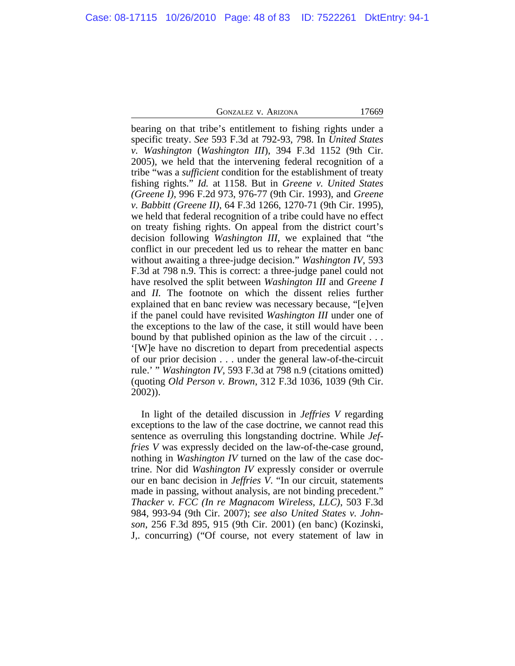bearing on that tribe's entitlement to fishing rights under a specific treaty. *See* 593 F.3d at 792-93, 798. In *United States v. Washington* (*Washington III*), 394 F.3d 1152 (9th Cir. 2005), we held that the intervening federal recognition of a tribe "was a *sufficient* condition for the establishment of treaty fishing rights." *Id.* at 1158. But in *Greene v. United States (Greene I)*, 996 F.2d 973, 976-77 (9th Cir. 1993), and *Greene v. Babbitt (Greene II)*, 64 F.3d 1266, 1270-71 (9th Cir. 1995), we held that federal recognition of a tribe could have no effect on treaty fishing rights. On appeal from the district court's decision following *Washington III*, we explained that "the conflict in our precedent led us to rehear the matter en banc without awaiting a three-judge decision." *Washington IV*, 593 F.3d at 798 n.9. This is correct: a three-judge panel could not have resolved the split between *Washington III* and *Greene I* and *II.* The footnote on which the dissent relies further explained that en banc review was necessary because, "[e]ven if the panel could have revisited *Washington III* under one of the exceptions to the law of the case, it still would have been bound by that published opinion as the law of the circuit . . . '[W]e have no discretion to depart from precedential aspects of our prior decision . . . under the general law-of-the-circuit rule.' " *Washington IV*, 593 F.3d at 798 n.9 (citations omitted) (quoting *Old Person v. Brown*, 312 F.3d 1036, 1039 (9th Cir. 2002)).

In light of the detailed discussion in *Jeffries V* regarding exceptions to the law of the case doctrine, we cannot read this sentence as overruling this longstanding doctrine. While *Jeffries V* was expressly decided on the law-of-the-case ground, nothing in *Washington IV* turned on the law of the case doctrine. Nor did *Washington IV* expressly consider or overrule our en banc decision in *Jeffries V*. "In our circuit, statements made in passing, without analysis, are not binding precedent." *Thacker v. FCC (In re Magnacom Wireless, LLC)*, 503 F.3d 984, 993-94 (9th Cir. 2007); *see also United States v. Johnson*, 256 F.3d 895, 915 (9th Cir. 2001) (en banc) (Kozinski, J,. concurring) ("Of course, not every statement of law in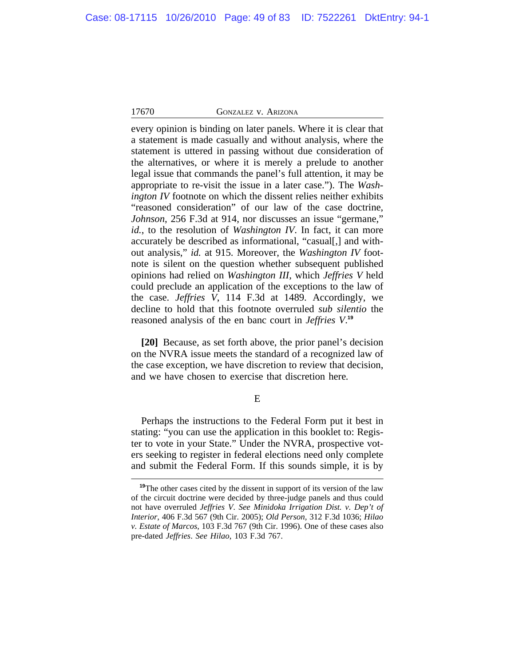every opinion is binding on later panels. Where it is clear that a statement is made casually and without analysis, where the statement is uttered in passing without due consideration of the alternatives, or where it is merely a prelude to another legal issue that commands the panel's full attention, it may be appropriate to re-visit the issue in a later case."). The *Washington IV* footnote on which the dissent relies neither exhibits "reasoned consideration" of our law of the case doctrine, *Johnson*, 256 F.3d at 914, nor discusses an issue "germane," *id.*, to the resolution of *Washington IV*. In fact, it can more accurately be described as informational, "casual[,] and without analysis," *id.* at 915. Moreover, the *Washington IV* footnote is silent on the question whether subsequent published opinions had relied on *Washington III*, which *Jeffries V* held could preclude an application of the exceptions to the law of the case. *Jeffries V*, 114 F.3d at 1489. Accordingly, we decline to hold that this footnote overruled *sub silentio* the reasoned analysis of the en banc court in *Jeffries V*. **19**

**[20]** Because, as set forth above, the prior panel's decision on the NVRA issue meets the standard of a recognized law of the case exception, we have discretion to review that decision, and we have chosen to exercise that discretion here*.* 

## E

Perhaps the instructions to the Federal Form put it best in stating: "you can use the application in this booklet to: Register to vote in your State." Under the NVRA, prospective voters seeking to register in federal elections need only complete and submit the Federal Form. If this sounds simple, it is by

**<sup>19</sup>**The other cases cited by the dissent in support of its version of the law of the circuit doctrine were decided by three-judge panels and thus could not have overruled *Jeffries V*. *See Minidoka Irrigation Dist. v. Dep't of Interior*, 406 F.3d 567 (9th Cir. 2005); *Old Person,* 312 F.3d 1036; *Hilao v. Estate of Marcos*, 103 F.3d 767 (9th Cir. 1996). One of these cases also pre-dated *Jeffries*. *See Hilao*, 103 F.3d 767.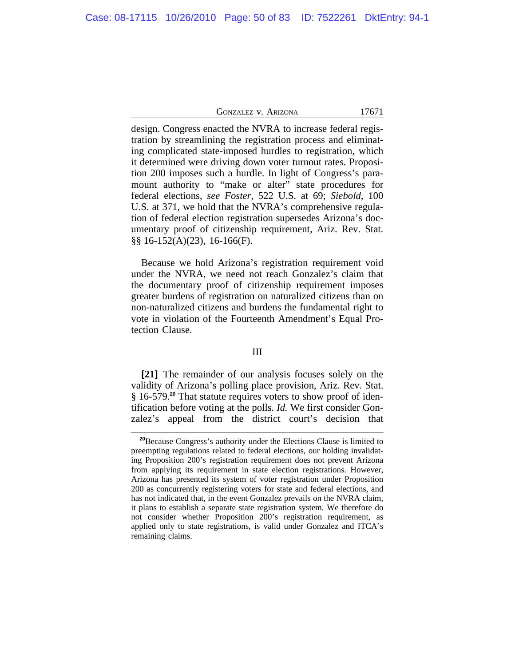design. Congress enacted the NVRA to increase federal registration by streamlining the registration process and eliminating complicated state-imposed hurdles to registration, which it determined were driving down voter turnout rates. Proposition 200 imposes such a hurdle. In light of Congress's paramount authority to "make or alter" state procedures for federal elections, *see Foster*, 522 U.S. at 69; *Siebold*, 100 U.S. at 371, we hold that the NVRA's comprehensive regulation of federal election registration supersedes Arizona's documentary proof of citizenship requirement, Ariz. Rev. Stat. §§ 16-152(A)(23), 16-166(F).

Because we hold Arizona's registration requirement void under the NVRA, we need not reach Gonzalez's claim that the documentary proof of citizenship requirement imposes greater burdens of registration on naturalized citizens than on non-naturalized citizens and burdens the fundamental right to vote in violation of the Fourteenth Amendment's Equal Protection Clause.

## III

**[21]** The remainder of our analysis focuses solely on the validity of Arizona's polling place provision, Ariz. Rev. Stat. § 16-579.**<sup>20</sup>** That statute requires voters to show proof of identification before voting at the polls. *Id.* We first consider Gonzalez's appeal from the district court's decision that

**<sup>20</sup>**Because Congress's authority under the Elections Clause is limited to preempting regulations related to federal elections, our holding invalidating Proposition 200's registration requirement does not prevent Arizona from applying its requirement in state election registrations. However, Arizona has presented its system of voter registration under Proposition 200 as concurrently registering voters for state and federal elections, and has not indicated that, in the event Gonzalez prevails on the NVRA claim, it plans to establish a separate state registration system. We therefore do not consider whether Proposition 200's registration requirement, as applied only to state registrations, is valid under Gonzalez and ITCA's remaining claims.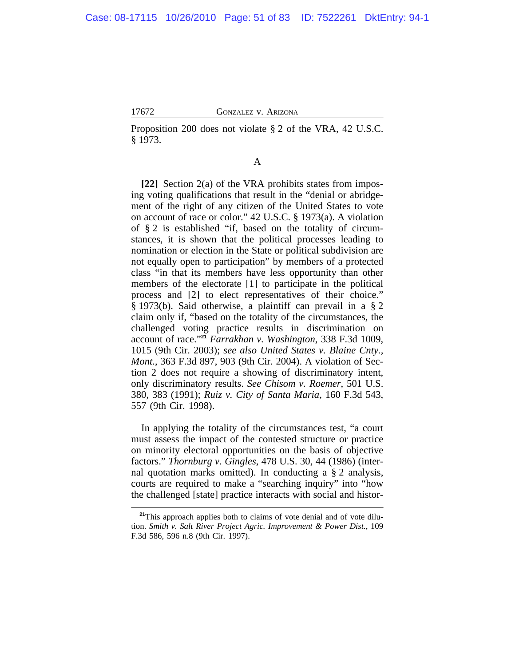Proposition 200 does not violate § 2 of the VRA, 42 U.S.C. § 1973.

# A

**[22]** Section 2(a) of the VRA prohibits states from imposing voting qualifications that result in the "denial or abridgement of the right of any citizen of the United States to vote on account of race or color." 42 U.S.C. § 1973(a). A violation of § 2 is established "if, based on the totality of circumstances, it is shown that the political processes leading to nomination or election in the State or political subdivision are not equally open to participation" by members of a protected class "in that its members have less opportunity than other members of the electorate [1] to participate in the political process and [2] to elect representatives of their choice." § 1973(b). Said otherwise, a plaintiff can prevail in a § 2 claim only if, "based on the totality of the circumstances, the challenged voting practice results in discrimination on account of race." **<sup>21</sup>** *Farrakhan v. Washington*, 338 F.3d 1009, 1015 (9th Cir. 2003); *see also United States v. Blaine Cnty., Mont.*, 363 F.3d 897, 903 (9th Cir. 2004). A violation of Section 2 does not require a showing of discriminatory intent, only discriminatory results. *See Chisom v. Roemer*, 501 U.S. 380, 383 (1991); *Ruiz v. City of Santa Maria*, 160 F.3d 543, 557 (9th Cir. 1998).

In applying the totality of the circumstances test, "a court must assess the impact of the contested structure or practice on minority electoral opportunities on the basis of objective factors." *Thornburg v. Gingles*, 478 U.S. 30, 44 (1986) (internal quotation marks omitted). In conducting a § 2 analysis, courts are required to make a "searching inquiry" into "how the challenged [state] practice interacts with social and histor-

<sup>&</sup>lt;sup>21</sup>This approach applies both to claims of vote denial and of vote dilution. *Smith v. Salt River Project Agric. Improvement & Power Dist.*, 109 F.3d 586, 596 n.8 (9th Cir. 1997).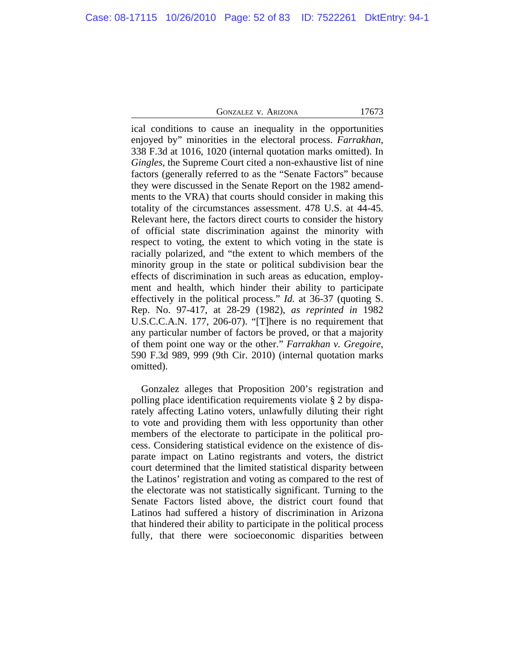ical conditions to cause an inequality in the opportunities enjoyed by" minorities in the electoral process. *Farrakhan*, 338 F.3d at 1016, 1020 (internal quotation marks omitted). In *Gingles*, the Supreme Court cited a non-exhaustive list of nine factors (generally referred to as the "Senate Factors" because they were discussed in the Senate Report on the 1982 amendments to the VRA) that courts should consider in making this totality of the circumstances assessment. 478 U.S. at 44-45. Relevant here, the factors direct courts to consider the history of official state discrimination against the minority with respect to voting, the extent to which voting in the state is racially polarized, and "the extent to which members of the minority group in the state or political subdivision bear the effects of discrimination in such areas as education, employment and health, which hinder their ability to participate effectively in the political process." *Id.* at 36-37 (quoting S. Rep. No. 97-417, at 28-29 (1982), *as reprinted in* 1982 U.S.C.C.A.N. 177, 206-07). "[T]here is no requirement that any particular number of factors be proved, or that a majority of them point one way or the other." *Farrakhan v. Gregoire*, 590 F.3d 989, 999 (9th Cir. 2010) (internal quotation marks omitted).

Gonzalez alleges that Proposition 200's registration and polling place identification requirements violate § 2 by disparately affecting Latino voters, unlawfully diluting their right to vote and providing them with less opportunity than other members of the electorate to participate in the political process. Considering statistical evidence on the existence of disparate impact on Latino registrants and voters, the district court determined that the limited statistical disparity between the Latinos' registration and voting as compared to the rest of the electorate was not statistically significant. Turning to the Senate Factors listed above, the district court found that Latinos had suffered a history of discrimination in Arizona that hindered their ability to participate in the political process fully, that there were socioeconomic disparities between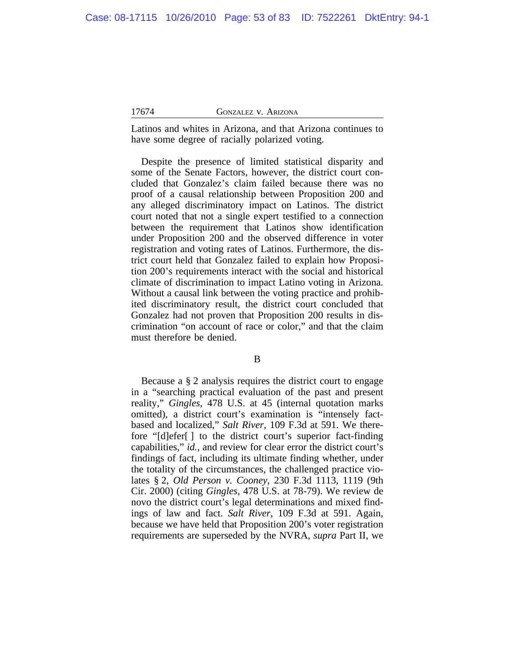Latinos and whites in Arizona, and that Arizona continues to have some degree of racially polarized voting.

Despite the presence of limited statistical disparity and some of the Senate Factors, however, the district court concluded that Gonzalez's claim failed because there was no proof of a causal relationship between Proposition 200 and any alleged discriminatory impact on Latinos. The district court noted that not a single expert testified to a connection between the requirement that Latinos show identification under Proposition 200 and the observed difference in voter registration and voting rates of Latinos. Furthermore, the district court held that Gonzalez failed to explain how Proposition 200's requirements interact with the social and historical climate of discrimination to impact Latino voting in Arizona. Without a causal link between the voting practice and prohibited discriminatory result, the district court concluded that Gonzalez had not proven that Proposition 200 results in discrimination "on account of race or color," and that the claim must therefore be denied.

B

Because a § 2 analysis requires the district court to engage in a "searching practical evaluation of the past and present reality," *Gingles*, 478 U.S. at 45 (internal quotation marks omitted), a district court's examination is "intensely factbased and localized," *Salt River*, 109 F.3d at 591. We therefore "[d]efer[ ] to the district court's superior fact-finding capabilities," *id.*, and review for clear error the district court's findings of fact, including its ultimate finding whether, under the totality of the circumstances, the challenged practice violates § 2, *Old Person v. Cooney*, 230 F.3d 1113, 1119 (9th Cir. 2000) (citing *Gingles*, 478 U.S. at 78-79). We review de novo the district court's legal determinations and mixed findings of law and fact. *Salt River*, 109 F.3d at 591. Again, because we have held that Proposition 200's voter registration requirements are superseded by the NVRA, *supra* Part II, we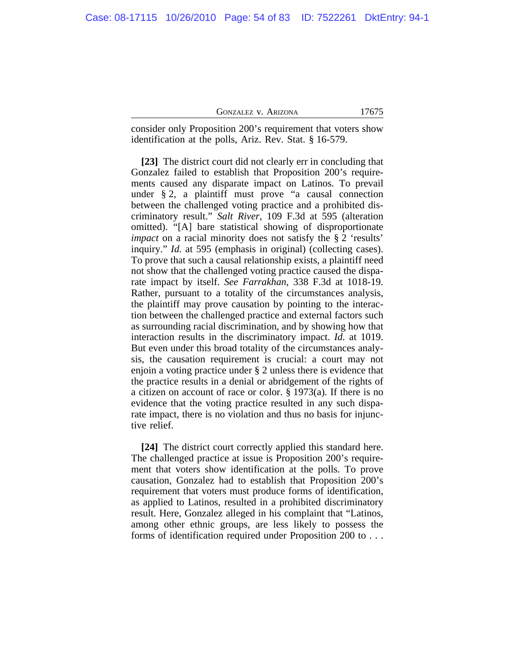| 17675<br><b>GONZALEZ V. ARIZONA</b> |  |
|-------------------------------------|--|
|-------------------------------------|--|

consider only Proposition 200's requirement that voters show identification at the polls, Ariz. Rev. Stat. § 16-579.

**[23]** The district court did not clearly err in concluding that Gonzalez failed to establish that Proposition 200's requirements caused any disparate impact on Latinos. To prevail under § 2, a plaintiff must prove "a causal connection between the challenged voting practice and a prohibited discriminatory result." *Salt River*, 109 F.3d at 595 (alteration omitted). "[A] bare statistical showing of disproportionate *impact* on a racial minority does not satisfy the § 2 'results' inquiry." *Id.* at 595 (emphasis in original) (collecting cases). To prove that such a causal relationship exists, a plaintiff need not show that the challenged voting practice caused the disparate impact by itself. *See Farrakhan*, 338 F.3d at 1018-19. Rather, pursuant to a totality of the circumstances analysis, the plaintiff may prove causation by pointing to the interaction between the challenged practice and external factors such as surrounding racial discrimination, and by showing how that interaction results in the discriminatory impact. *Id.* at 1019. But even under this broad totality of the circumstances analysis, the causation requirement is crucial: a court may not enjoin a voting practice under § 2 unless there is evidence that the practice results in a denial or abridgement of the rights of a citizen on account of race or color. § 1973(a). If there is no evidence that the voting practice resulted in any such disparate impact, there is no violation and thus no basis for injunctive relief.

**[24]** The district court correctly applied this standard here. The challenged practice at issue is Proposition 200's requirement that voters show identification at the polls. To prove causation, Gonzalez had to establish that Proposition 200's requirement that voters must produce forms of identification, as applied to Latinos, resulted in a prohibited discriminatory result. Here, Gonzalez alleged in his complaint that "Latinos, among other ethnic groups, are less likely to possess the forms of identification required under Proposition 200 to . . .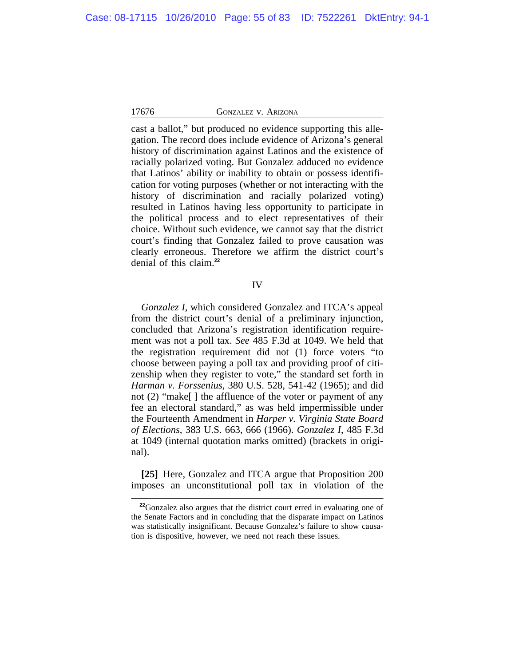cast a ballot," but produced no evidence supporting this allegation. The record does include evidence of Arizona's general history of discrimination against Latinos and the existence of racially polarized voting. But Gonzalez adduced no evidence that Latinos' ability or inability to obtain or possess identification for voting purposes (whether or not interacting with the history of discrimination and racially polarized voting) resulted in Latinos having less opportunity to participate in the political process and to elect representatives of their choice. Without such evidence, we cannot say that the district court's finding that Gonzalez failed to prove causation was clearly erroneous. Therefore we affirm the district court's denial of this claim.**<sup>22</sup>**

## IV

*Gonzalez I*, which considered Gonzalez and ITCA's appeal from the district court's denial of a preliminary injunction, concluded that Arizona's registration identification requirement was not a poll tax. *See* 485 F.3d at 1049. We held that the registration requirement did not (1) force voters "to choose between paying a poll tax and providing proof of citizenship when they register to vote," the standard set forth in *Harman v. Forssenius*, 380 U.S. 528, 541-42 (1965); and did not (2) "make[ ] the affluence of the voter or payment of any fee an electoral standard," as was held impermissible under the Fourteenth Amendment in *Harper v. Virginia State Board of Elections*, 383 U.S. 663, 666 (1966). *Gonzalez I*, 485 F.3d at 1049 (internal quotation marks omitted) (brackets in original).

**[25]** Here, Gonzalez and ITCA argue that Proposition 200 imposes an unconstitutional poll tax in violation of the

**<sup>22</sup>**Gonzalez also argues that the district court erred in evaluating one of the Senate Factors and in concluding that the disparate impact on Latinos was statistically insignificant. Because Gonzalez's failure to show causation is dispositive, however, we need not reach these issues.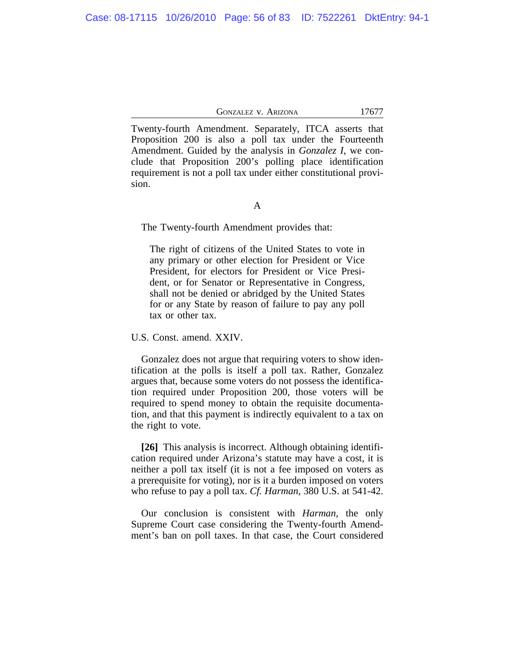Twenty-fourth Amendment. Separately, ITCA asserts that Proposition 200 is also a poll tax under the Fourteenth Amendment. Guided by the analysis in *Gonzalez I*, we conclude that Proposition 200's polling place identification requirement is not a poll tax under either constitutional provision.

A

The Twenty-fourth Amendment provides that:

The right of citizens of the United States to vote in any primary or other election for President or Vice President, for electors for President or Vice President, or for Senator or Representative in Congress, shall not be denied or abridged by the United States for or any State by reason of failure to pay any poll tax or other tax.

U.S. Const. amend. XXIV.

Gonzalez does not argue that requiring voters to show identification at the polls is itself a poll tax. Rather, Gonzalez argues that, because some voters do not possess the identification required under Proposition 200, those voters will be required to spend money to obtain the requisite documentation, and that this payment is indirectly equivalent to a tax on the right to vote.

**[26]** This analysis is incorrect. Although obtaining identification required under Arizona's statute may have a cost, it is neither a poll tax itself (it is not a fee imposed on voters as a prerequisite for voting), nor is it a burden imposed on voters who refuse to pay a poll tax. *Cf. Harman*, 380 U.S. at 541-42.

Our conclusion is consistent with *Harman*, the only Supreme Court case considering the Twenty-fourth Amendment's ban on poll taxes. In that case, the Court considered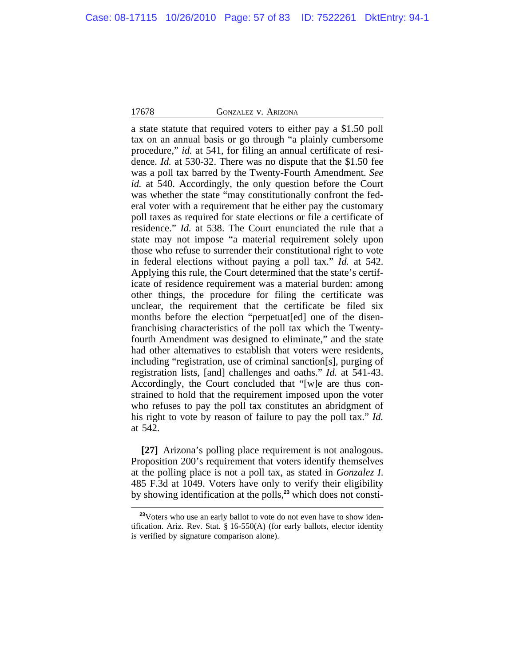a state statute that required voters to either pay a \$1.50 poll tax on an annual basis or go through "a plainly cumbersome procedure," *id.* at 541, for filing an annual certificate of residence. *Id.* at 530-32. There was no dispute that the \$1.50 fee was a poll tax barred by the Twenty-Fourth Amendment. *See id.* at 540. Accordingly, the only question before the Court was whether the state "may constitutionally confront the federal voter with a requirement that he either pay the customary poll taxes as required for state elections or file a certificate of residence." *Id.* at 538. The Court enunciated the rule that a state may not impose "a material requirement solely upon those who refuse to surrender their constitutional right to vote in federal elections without paying a poll tax." *Id.* at 542. Applying this rule, the Court determined that the state's certificate of residence requirement was a material burden: among other things, the procedure for filing the certificate was unclear, the requirement that the certificate be filed six months before the election "perpetuat[ed] one of the disenfranchising characteristics of the poll tax which the Twentyfourth Amendment was designed to eliminate," and the state had other alternatives to establish that voters were residents, including "registration, use of criminal sanction[s], purging of registration lists, [and] challenges and oaths." *Id.* at 541-43. Accordingly, the Court concluded that "[w]e are thus constrained to hold that the requirement imposed upon the voter who refuses to pay the poll tax constitutes an abridgment of his right to vote by reason of failure to pay the poll tax." *Id.* at 542.

**[27]** Arizona's polling place requirement is not analogous. Proposition 200's requirement that voters identify themselves at the polling place is not a poll tax, as stated in *Gonzalez I*. 485 F.3d at 1049. Voters have only to verify their eligibility by showing identification at the polls,**23** which does not consti-

<sup>&</sup>lt;sup>23</sup>Voters who use an early ballot to vote do not even have to show identification. Ariz. Rev. Stat. § 16-550(A) (for early ballots, elector identity is verified by signature comparison alone).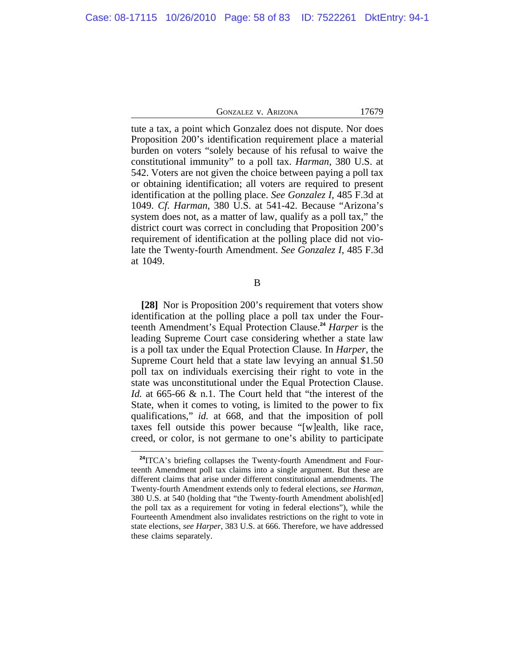tute a tax, a point which Gonzalez does not dispute. Nor does Proposition 200's identification requirement place a material burden on voters "solely because of his refusal to waive the constitutional immunity" to a poll tax. *Harman*, 380 U.S. at 542. Voters are not given the choice between paying a poll tax or obtaining identification; all voters are required to present identification at the polling place. *See Gonzalez I*, 485 F.3d at 1049. *Cf. Harman*, 380 U.S. at 541-42. Because "Arizona's system does not, as a matter of law, qualify as a poll tax," the district court was correct in concluding that Proposition 200's requirement of identification at the polling place did not violate the Twenty-fourth Amendment. *See Gonzalez I*, 485 F.3d at 1049.

B

**[28]** Nor is Proposition 200's requirement that voters show identification at the polling place a poll tax under the Fourteenth Amendment's Equal Protection Clause.**<sup>24</sup>** *Harper* is the leading Supreme Court case considering whether a state law is a poll tax under the Equal Protection Clause*.* In *Harper*, the Supreme Court held that a state law levying an annual \$1.50 poll tax on individuals exercising their right to vote in the state was unconstitutional under the Equal Protection Clause. *Id.* at 665-66 & n.1. The Court held that "the interest of the State, when it comes to voting, is limited to the power to fix qualifications," *id.* at 668, and that the imposition of poll taxes fell outside this power because "[w]ealth, like race, creed, or color, is not germane to one's ability to participate

**<sup>24</sup>**ITCA's briefing collapses the Twenty-fourth Amendment and Fourteenth Amendment poll tax claims into a single argument. But these are different claims that arise under different constitutional amendments. The Twenty-fourth Amendment extends only to federal elections, *see Harman*, 380 U.S. at 540 (holding that "the Twenty-fourth Amendment abolish[ed] the poll tax as a requirement for voting in federal elections"), while the Fourteenth Amendment also invalidates restrictions on the right to vote in state elections, *see Harper*, 383 U.S. at 666. Therefore, we have addressed these claims separately.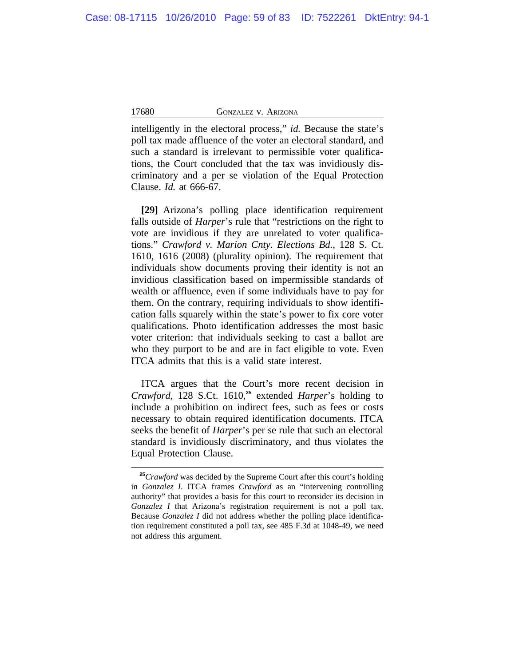intelligently in the electoral process," *id.* Because the state's poll tax made affluence of the voter an electoral standard, and such a standard is irrelevant to permissible voter qualifications, the Court concluded that the tax was invidiously discriminatory and a per se violation of the Equal Protection Clause. *Id.* at 666-67.

**[29]** Arizona's polling place identification requirement falls outside of *Harper*'s rule that "restrictions on the right to vote are invidious if they are unrelated to voter qualifications." *Crawford v. Marion Cnty. Elections Bd.*, 128 S. Ct. 1610, 1616 (2008) (plurality opinion). The requirement that individuals show documents proving their identity is not an invidious classification based on impermissible standards of wealth or affluence, even if some individuals have to pay for them. On the contrary, requiring individuals to show identification falls squarely within the state's power to fix core voter qualifications. Photo identification addresses the most basic voter criterion: that individuals seeking to cast a ballot are who they purport to be and are in fact eligible to vote. Even ITCA admits that this is a valid state interest.

ITCA argues that the Court's more recent decision in *Crawford*, 128 S.Ct. 1610,**<sup>25</sup>** extended *Harper*'s holding to include a prohibition on indirect fees, such as fees or costs necessary to obtain required identification documents. ITCA seeks the benefit of *Harper*'s per se rule that such an electoral standard is invidiously discriminatory, and thus violates the Equal Protection Clause.

<sup>&</sup>lt;sup>25</sup>*Crawford* was decided by the Supreme Court after this court's holding in *Gonzalez I*. ITCA frames *Crawford* as an "intervening controlling authority" that provides a basis for this court to reconsider its decision in *Gonzalez I* that Arizona's registration requirement is not a poll tax. Because *Gonzalez I* did not address whether the polling place identification requirement constituted a poll tax, see 485 F.3d at 1048-49, we need not address this argument.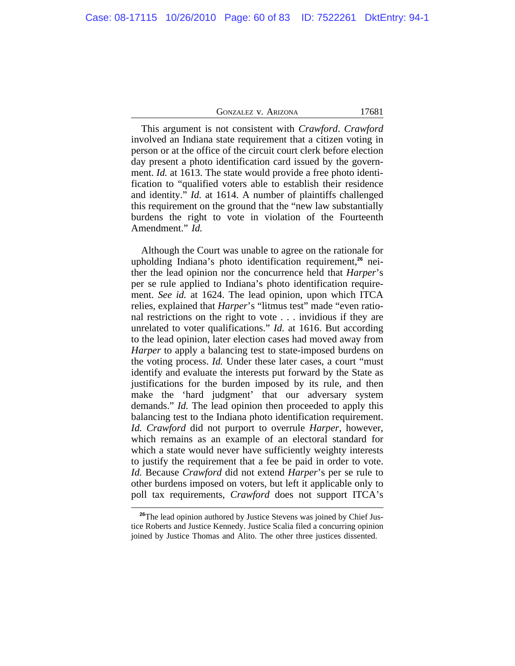This argument is not consistent with *Crawford*. *Crawford* involved an Indiana state requirement that a citizen voting in person or at the office of the circuit court clerk before election day present a photo identification card issued by the government. *Id.* at 1613. The state would provide a free photo identification to "qualified voters able to establish their residence and identity." *Id.* at 1614. A number of plaintiffs challenged this requirement on the ground that the "new law substantially burdens the right to vote in violation of the Fourteenth Amendment." *Id.*

Although the Court was unable to agree on the rationale for upholding Indiana's photo identification requirement,**26** neither the lead opinion nor the concurrence held that *Harper*'s per se rule applied to Indiana's photo identification requirement. *See id.* at 1624. The lead opinion, upon which ITCA relies, explained that *Harper*'s "litmus test" made "even rational restrictions on the right to vote . . . invidious if they are unrelated to voter qualifications." *Id.* at 1616. But according to the lead opinion, later election cases had moved away from *Harper* to apply a balancing test to state-imposed burdens on the voting process. *Id.* Under these later cases, a court "must identify and evaluate the interests put forward by the State as justifications for the burden imposed by its rule, and then make the 'hard judgment' that our adversary system demands." *Id.* The lead opinion then proceeded to apply this balancing test to the Indiana photo identification requirement. *Id. Crawford* did not purport to overrule *Harper*, however, which remains as an example of an electoral standard for which a state would never have sufficiently weighty interests to justify the requirement that a fee be paid in order to vote. *Id.* Because *Crawford* did not extend *Harper*'s per se rule to other burdens imposed on voters, but left it applicable only to poll tax requirements, *Crawford* does not support ITCA's

<sup>&</sup>lt;sup>26</sup>The lead opinion authored by Justice Stevens was joined by Chief Justice Roberts and Justice Kennedy. Justice Scalia filed a concurring opinion joined by Justice Thomas and Alito. The other three justices dissented.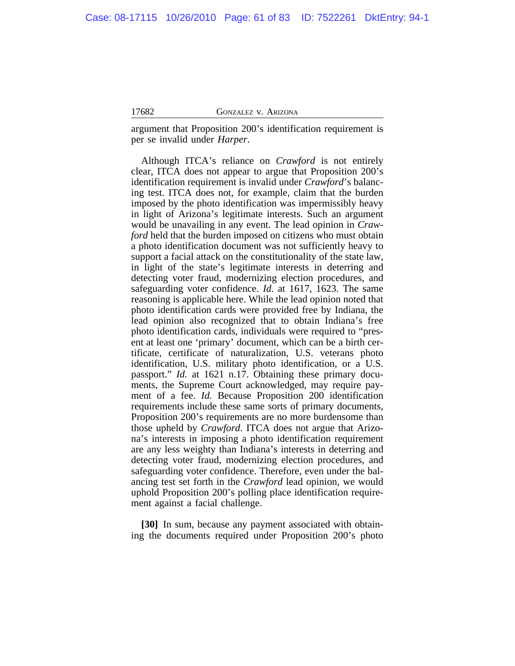argument that Proposition 200's identification requirement is per se invalid under *Harper*.

Although ITCA's reliance on *Crawford* is not entirely clear, ITCA does not appear to argue that Proposition 200's identification requirement is invalid under *Crawford*'s balancing test. ITCA does not, for example, claim that the burden imposed by the photo identification was impermissibly heavy in light of Arizona's legitimate interests. Such an argument would be unavailing in any event. The lead opinion in *Crawford* held that the burden imposed on citizens who must obtain a photo identification document was not sufficiently heavy to support a facial attack on the constitutionality of the state law, in light of the state's legitimate interests in deterring and detecting voter fraud, modernizing election procedures, and safeguarding voter confidence. *Id.* at 1617, 1623. The same reasoning is applicable here. While the lead opinion noted that photo identification cards were provided free by Indiana, the lead opinion also recognized that to obtain Indiana's free photo identification cards, individuals were required to "present at least one 'primary' document, which can be a birth certificate, certificate of naturalization, U.S. veterans photo identification, U.S. military photo identification, or a U.S. passport." *Id.* at 1621 n.17. Obtaining these primary documents, the Supreme Court acknowledged, may require payment of a fee. *Id.* Because Proposition 200 identification requirements include these same sorts of primary documents, Proposition 200's requirements are no more burdensome than those upheld by *Crawford*. ITCA does not argue that Arizona's interests in imposing a photo identification requirement are any less weighty than Indiana's interests in deterring and detecting voter fraud, modernizing election procedures, and safeguarding voter confidence. Therefore, even under the balancing test set forth in the *Crawford* lead opinion, we would uphold Proposition 200's polling place identification requirement against a facial challenge.

**[30]** In sum, because any payment associated with obtaining the documents required under Proposition 200's photo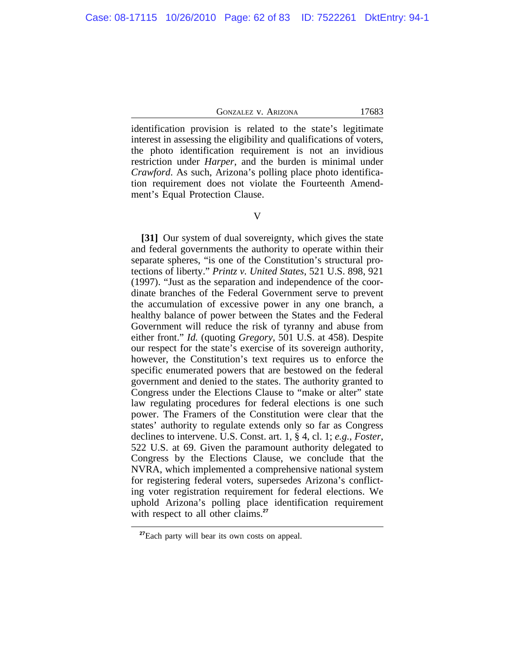identification provision is related to the state's legitimate interest in assessing the eligibility and qualifications of voters, the photo identification requirement is not an invidious restriction under *Harper*, and the burden is minimal under *Crawford*. As such, Arizona's polling place photo identification requirement does not violate the Fourteenth Amendment's Equal Protection Clause.

**[31]** Our system of dual sovereignty, which gives the state and federal governments the authority to operate within their separate spheres, "is one of the Constitution's structural protections of liberty." *Printz v. United States*, 521 U.S. 898, 921 (1997). "Just as the separation and independence of the coordinate branches of the Federal Government serve to prevent the accumulation of excessive power in any one branch, a healthy balance of power between the States and the Federal Government will reduce the risk of tyranny and abuse from either front." *Id.* (quoting *Gregory*, 501 U.S. at 458). Despite our respect for the state's exercise of its sovereign authority, however, the Constitution's text requires us to enforce the specific enumerated powers that are bestowed on the federal government and denied to the states. The authority granted to Congress under the Elections Clause to "make or alter" state law regulating procedures for federal elections is one such power. The Framers of the Constitution were clear that the states' authority to regulate extends only so far as Congress declines to intervene. U.S. Const. art. 1, § 4, cl. 1; *e.g.*, *Foster*, 522 U.S. at 69. Given the paramount authority delegated to Congress by the Elections Clause, we conclude that the NVRA, which implemented a comprehensive national system for registering federal voters, supersedes Arizona's conflicting voter registration requirement for federal elections. We uphold Arizona's polling place identification requirement with respect to all other claims.<sup>27</sup>

**<sup>27</sup>**Each party will bear its own costs on appeal.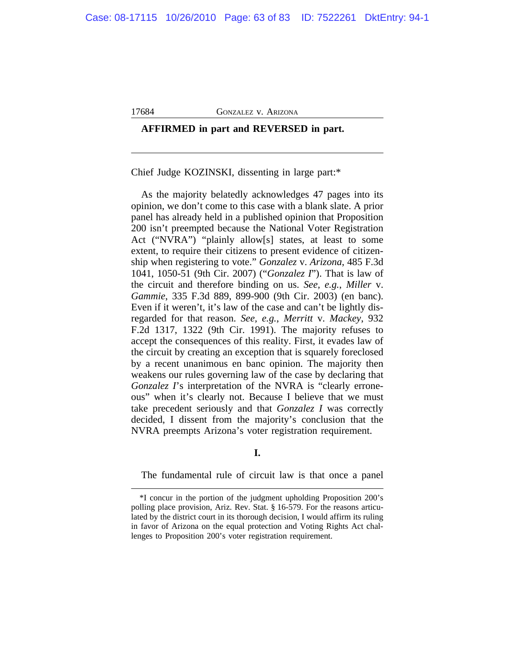# **AFFIRMED in part and REVERSED in part.**

Chief Judge KOZINSKI, dissenting in large part:\*

As the majority belatedly acknowledges 47 pages into its opinion, we don't come to this case with a blank slate. A prior panel has already held in a published opinion that Proposition 200 isn't preempted because the National Voter Registration Act ("NVRA") "plainly allow[s] states, at least to some extent, to require their citizens to present evidence of citizenship when registering to vote." *Gonzalez* v. *Arizona*, 485 F.3d 1041, 1050-51 (9th Cir. 2007) ("*Gonzalez I*"). That is law of the circuit and therefore binding on us. *See, e.g.*, *Miller* v. *Gammie*, 335 F.3d 889, 899-900 (9th Cir. 2003) (en banc). Even if it weren't, it's law of the case and can't be lightly disregarded for that reason. *See, e.g.*, *Merritt* v. *Mackey*, 932 F.2d 1317, 1322 (9th Cir. 1991). The majority refuses to accept the consequences of this reality. First, it evades law of the circuit by creating an exception that is squarely foreclosed by a recent unanimous en banc opinion. The majority then weakens our rules governing law of the case by declaring that *Gonzalez I*'s interpretation of the NVRA is "clearly erroneous" when it's clearly not. Because I believe that we must take precedent seriously and that *Gonzalez I* was correctly decided, I dissent from the majority's conclusion that the NVRA preempts Arizona's voter registration requirement.

**I.**

The fundamental rule of circuit law is that once a panel

<sup>\*</sup>I concur in the portion of the judgment upholding Proposition 200's polling place provision, Ariz. Rev. Stat. § 16-579. For the reasons articulated by the district court in its thorough decision, I would affirm its ruling in favor of Arizona on the equal protection and Voting Rights Act challenges to Proposition 200's voter registration requirement.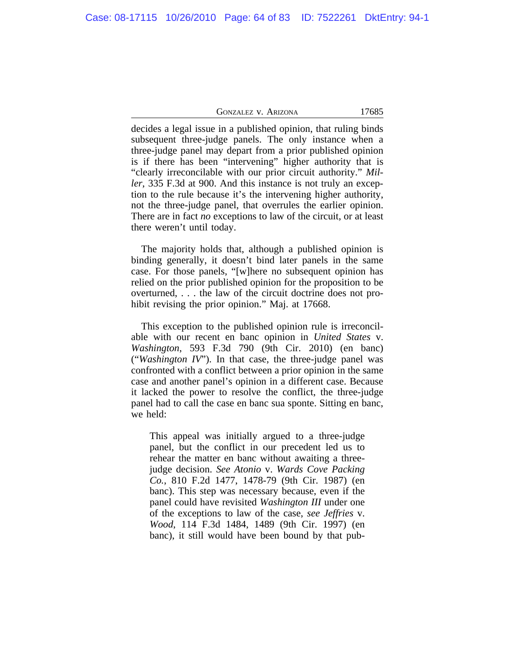decides a legal issue in a published opinion, that ruling binds subsequent three-judge panels. The only instance when a three-judge panel may depart from a prior published opinion is if there has been "intervening" higher authority that is "clearly irreconcilable with our prior circuit authority." *Miller*, 335 F.3d at 900. And this instance is not truly an exception to the rule because it's the intervening higher authority, not the three-judge panel, that overrules the earlier opinion. There are in fact *no* exceptions to law of the circuit, or at least there weren't until today.

The majority holds that, although a published opinion is binding generally, it doesn't bind later panels in the same case. For those panels, "[w]here no subsequent opinion has relied on the prior published opinion for the proposition to be overturned, . . . the law of the circuit doctrine does not prohibit revising the prior opinion." Maj. at 17668.

This exception to the published opinion rule is irreconcilable with our recent en banc opinion in *United States* v. *Washington*, 593 F.3d 790 (9th Cir. 2010) (en banc) ("*Washington IV*"). In that case, the three-judge panel was confronted with a conflict between a prior opinion in the same case and another panel's opinion in a different case. Because it lacked the power to resolve the conflict, the three-judge panel had to call the case en banc sua sponte. Sitting en banc, we held:

This appeal was initially argued to a three-judge panel, but the conflict in our precedent led us to rehear the matter en banc without awaiting a threejudge decision. *See Atonio* v. *Wards Cove Packing Co.*, 810 F.2d 1477, 1478-79 (9th Cir. 1987) (en banc). This step was necessary because, even if the panel could have revisited *Washington III* under one of the exceptions to law of the case, *see Jeffries* v. *Wood*, 114 F.3d 1484, 1489 (9th Cir. 1997) (en banc), it still would have been bound by that pub-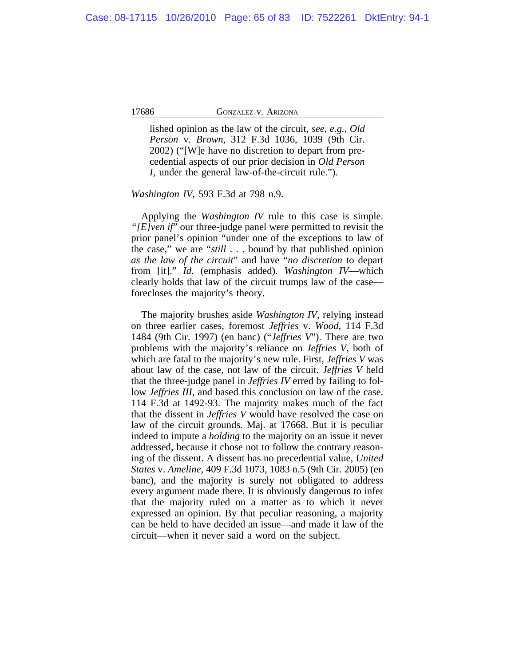lished opinion as the law of the circuit, *see, e.g.*, *Old Person* v. *Brown*, 312 F.3d 1036, 1039 (9th Cir. 2002) ("[W]e have no discretion to depart from precedential aspects of our prior decision in *Old Person I*, under the general law-of-the-circuit rule.").

*Washington IV*, 593 F.3d at 798 n.9.

Applying the *Washington IV* rule to this case is simple. *"[E]ven if*" our three-judge panel were permitted to revisit the prior panel's opinion "under one of the exceptions to law of the case," we are "*still* . . . bound by that published opinion *as the law of the circuit*" and have "*no discretion* to depart from [it]." *Id.* (emphasis added). *Washington IV*—which clearly holds that law of the circuit trumps law of the case forecloses the majority's theory.

The majority brushes aside *Washington IV*, relying instead on three earlier cases, foremost *Jeffries* v. *Wood*, 114 F.3d 1484 (9th Cir. 1997) (en banc) ("*Jeffries V*"). There are two problems with the majority's reliance on *Jeffries V*, both of which are fatal to the majority's new rule. First, *Jeffries V* was about law of the case, not law of the circuit. *Jeffries V* held that the three-judge panel in *Jeffries IV* erred by failing to follow *Jeffries III*, and based this conclusion on law of the case. 114 F.3d at 1492-93. The majority makes much of the fact that the dissent in *Jeffries V* would have resolved the case on law of the circuit grounds. Maj. at 17668. But it is peculiar indeed to impute a *holding* to the majority on an issue it never addressed, because it chose not to follow the contrary reasoning of the dissent. A dissent has no precedential value, *United States* v. *Ameline*, 409 F.3d 1073, 1083 n.5 (9th Cir. 2005) (en banc), and the majority is surely not obligated to address every argument made there. It is obviously dangerous to infer that the majority ruled on a matter as to which it never expressed an opinion. By that peculiar reasoning, a majority can be held to have decided an issue—and made it law of the circuit—when it never said a word on the subject.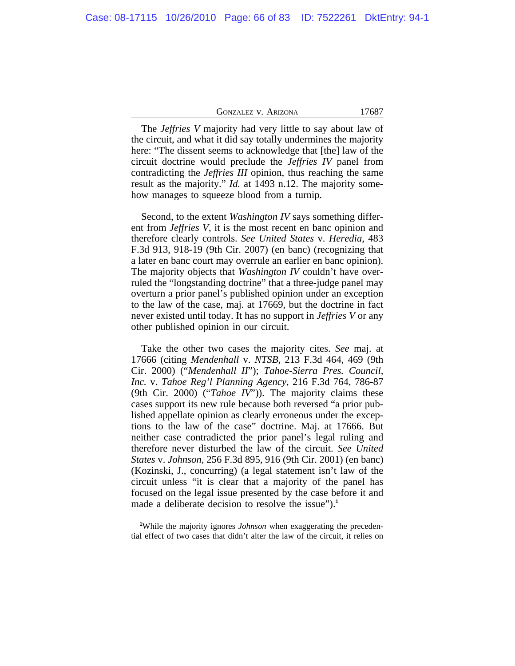| <b>GONZALEZ V. ARIZONA</b> | 17687 |
|----------------------------|-------|
|----------------------------|-------|

The *Jeffries V* majority had very little to say about law of the circuit, and what it did say totally undermines the majority here: "The dissent seems to acknowledge that [the] law of the circuit doctrine would preclude the *Jeffries IV* panel from contradicting the *Jeffries III* opinion, thus reaching the same result as the majority." *Id.* at 1493 n.12. The majority somehow manages to squeeze blood from a turnip.

Second, to the extent *Washington IV* says something different from *Jeffries V*, it is the most recent en banc opinion and therefore clearly controls. *See United States* v. *Heredia*, 483 F.3d 913, 918-19 (9th Cir. 2007) (en banc) (recognizing that a later en banc court may overrule an earlier en banc opinion). The majority objects that *Washington IV* couldn't have overruled the "longstanding doctrine" that a three-judge panel may overturn a prior panel's published opinion under an exception to the law of the case, maj. at 17669, but the doctrine in fact never existed until today. It has no support in *Jeffries V* or any other published opinion in our circuit.

Take the other two cases the majority cites. *See* maj. at 17666 (citing *Mendenhall* v. *NTSB*, 213 F.3d 464, 469 (9th Cir. 2000) ("*Mendenhall II*"); *Tahoe-Sierra Pres. Council, Inc.* v. *Tahoe Reg'l Planning Agency*, 216 F.3d 764, 786-87 (9th Cir. 2000) ("*Tahoe IV*")). The majority claims these cases support its new rule because both reversed "a prior published appellate opinion as clearly erroneous under the exceptions to the law of the case" doctrine. Maj. at 17666. But neither case contradicted the prior panel's legal ruling and therefore never disturbed the law of the circuit. *See United States* v. *Johnson*, 256 F.3d 895, 916 (9th Cir. 2001) (en banc) (Kozinski, J., concurring) (a legal statement isn't law of the circuit unless "it is clear that a majority of the panel has focused on the legal issue presented by the case before it and made a deliberate decision to resolve the issue").**<sup>1</sup>**

**<sup>1</sup>**While the majority ignores *Johnson* when exaggerating the precedential effect of two cases that didn't alter the law of the circuit, it relies on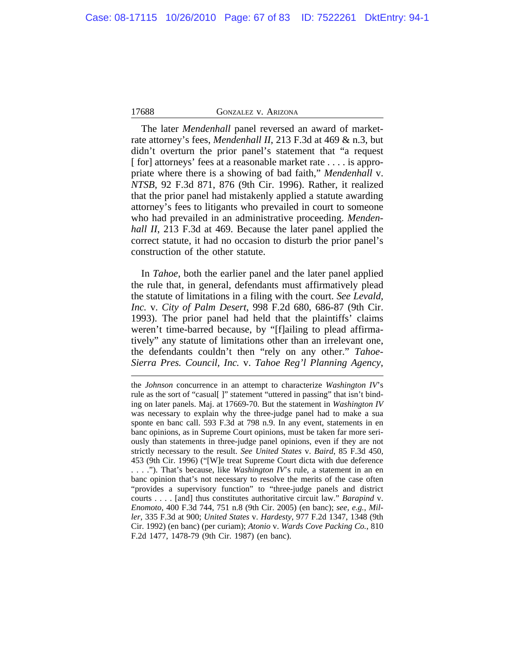The later *Mendenhall* panel reversed an award of marketrate attorney's fees, *Mendenhall II*, 213 F.3d at 469 & n.3, but didn't overturn the prior panel's statement that "a request [ for] attorneys' fees at a reasonable market rate . . . . is appropriate where there is a showing of bad faith," *Mendenhall* v. *NTSB*, 92 F.3d 871, 876 (9th Cir. 1996). Rather, it realized that the prior panel had mistakenly applied a statute awarding attorney's fees to litigants who prevailed in court to someone who had prevailed in an administrative proceeding. *Mendenhall II*, 213 F.3d at 469. Because the later panel applied the correct statute, it had no occasion to disturb the prior panel's construction of the other statute.

In *Tahoe*, both the earlier panel and the later panel applied the rule that, in general, defendants must affirmatively plead the statute of limitations in a filing with the court. *See Levald, Inc.* v. *City of Palm Desert*, 998 F.2d 680, 686-87 (9th Cir. 1993). The prior panel had held that the plaintiffs' claims weren't time-barred because, by "[f]ailing to plead affirmatively" any statute of limitations other than an irrelevant one, the defendants couldn't then "rely on any other." *Tahoe-Sierra Pres. Council, Inc.* v. *Tahoe Reg'l Planning Agency*,

the *Johnson* concurrence in an attempt to characterize *Washington IV*'s rule as the sort of "casual[ ]" statement "uttered in passing" that isn't binding on later panels. Maj. at 17669-70. But the statement in *Washington IV* was necessary to explain why the three-judge panel had to make a sua sponte en banc call. 593 F.3d at 798 n.9. In any event, statements in en banc opinions, as in Supreme Court opinions, must be taken far more seriously than statements in three-judge panel opinions, even if they are not strictly necessary to the result. *See United States* v. *Baird*, 85 F.3d 450, 453 (9th Cir. 1996) ("[W]e treat Supreme Court dicta with due deference . . . ."). That's because, like *Washington IV*'s rule, a statement in an en banc opinion that's not necessary to resolve the merits of the case often "provides a supervisory function" to "three-judge panels and district courts . . . . [and] thus constitutes authoritative circuit law." *Barapind* v. *Enomoto*, 400 F.3d 744, 751 n.8 (9th Cir. 2005) (en banc); *see, e.g.*, *Miller*, 335 F.3d at 900; *United States* v. *Hardesty*, 977 F.2d 1347, 1348 (9th Cir. 1992) (en banc) (per curiam); *Atonio* v. *Wards Cove Packing Co.*, 810 F.2d 1477, 1478-79 (9th Cir. 1987) (en banc).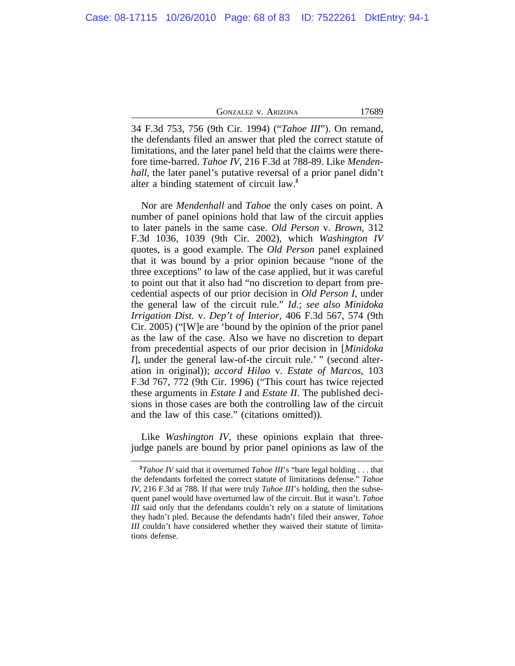34 F.3d 753, 756 (9th Cir. 1994) ("*Tahoe III*"). On remand, the defendants filed an answer that pled the correct statute of limitations, and the later panel held that the claims were therefore time-barred. *Tahoe IV*, 216 F.3d at 788-89. Like *Mendenhall*, the later panel's putative reversal of a prior panel didn't alter a binding statement of circuit law.**<sup>2</sup>**

Nor are *Mendenhall* and *Tahoe* the only cases on point. A number of panel opinions hold that law of the circuit applies to later panels in the same case. *Old Person* v. *Brown*, 312 F.3d 1036, 1039 (9th Cir. 2002), which *Washington IV* quotes, is a good example. The *Old Person* panel explained that it was bound by a prior opinion because "none of the three exceptions" to law of the case applied, but it was careful to point out that it also had "no discretion to depart from precedential aspects of our prior decision in *Old Person I*, under the general law of the circuit rule." *Id.*; *see also Minidoka Irrigation Dist.* v. *Dep't of Interior*, 406 F.3d 567, 574 (9th Cir. 2005) ("[W]e are 'bound by the opinion of the prior panel as the law of the case. Also we have no discretion to depart from precedential aspects of our prior decision in [*Minidoka I*], under the general law-of-the circuit rule.' " (second alteration in original)); *accord Hilao* v. *Estate of Marcos*, 103 F.3d 767, 772 (9th Cir. 1996) ("This court has twice rejected these arguments in *Estate I* and *Estate II*. The published decisions in those cases are both the controlling law of the circuit and the law of this case." (citations omitted)).

Like *Washington IV*, these opinions explain that threejudge panels are bound by prior panel opinions as law of the

**<sup>2</sup>***Tahoe IV* said that it overturned *Tahoe III*'s "bare legal holding . . . that the defendants forfeited the correct statute of limitations defense." *Tahoe IV*, 216 F.3d at 788. If that were truly *Tahoe III*'s holding, then the subsequent panel would have overturned law of the circuit. But it wasn't. *Tahoe III* said only that the defendants couldn't rely on a statute of limitations they hadn't pled. Because the defendants hadn't filed their answer, *Tahoe III* couldn't have considered whether they waived their statute of limitations defense.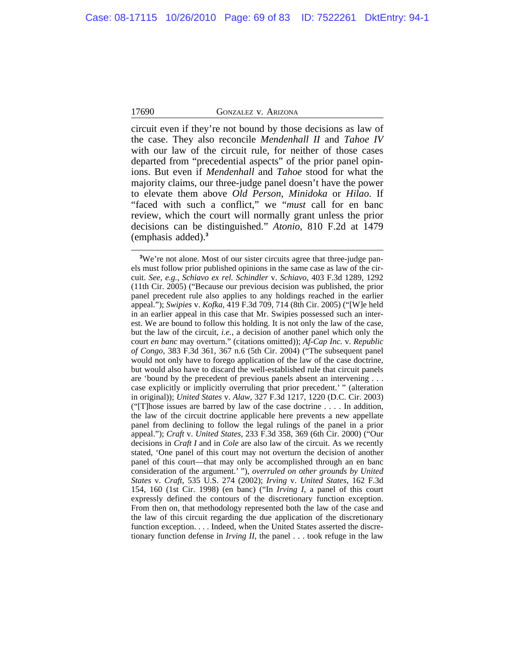circuit even if they're not bound by those decisions as law of the case. They also reconcile *Mendenhall II* and *Tahoe IV* with our law of the circuit rule, for neither of those cases departed from "precedential aspects" of the prior panel opinions. But even if *Mendenhall* and *Tahoe* stood for what the majority claims, our three-judge panel doesn't have the power to elevate them above *Old Person*, *Minidoka* or *Hilao*. If "faced with such a conflict," we "*must* call for en banc review, which the court will normally grant unless the prior decisions can be distinguished." *Atonio*, 810 F.2d at 1479 (emphasis added).**<sup>3</sup>**

<sup>&</sup>lt;sup>3</sup>We're not alone. Most of our sister circuits agree that three-judge panels must follow prior published opinions in the same case as law of the circuit. *See, e.g.*, *Schiavo ex rel. Schindler* v. *Schiavo*, 403 F.3d 1289, 1292 (11th Cir. 2005) ("Because our previous decision was published, the prior panel precedent rule also applies to any holdings reached in the earlier appeal."); *Swipies* v. *Kofka*, 419 F.3d 709, 714 (8th Cir. 2005) ("[W]e held in an earlier appeal in this case that Mr. Swipies possessed such an interest. We are bound to follow this holding. It is not only the law of the case, but the law of the circuit, *i.e.*, a decision of another panel which only the court *en banc* may overturn." (citations omitted)); *Af-Cap Inc.* v. *Republic of Congo*, 383 F.3d 361, 367 n.6 (5th Cir. 2004) ("The subsequent panel would not only have to forego application of the law of the case doctrine, but would also have to discard the well-established rule that circuit panels are 'bound by the precedent of previous panels absent an intervening . . . case explicitly or implicitly overruling that prior precedent.' " (alteration in original)); *United States* v. *Alaw*, 327 F.3d 1217, 1220 (D.C. Cir. 2003) ("[T]hose issues are barred by law of the case doctrine . . . . In addition, the law of the circuit doctrine applicable here prevents a new appellate panel from declining to follow the legal rulings of the panel in a prior appeal."); *Craft* v. *United States*, 233 F.3d 358, 369 (6th Cir. 2000) ("Our decisions in *Craft I* and in *Cole* are also law of the circuit. As we recently stated, 'One panel of this court may not overturn the decision of another panel of this court—that may only be accomplished through an en banc consideration of the argument.' "), *overruled on other grounds by United States* v. *Craft*, 535 U.S. 274 (2002); *Irving* v. *United States*, 162 F.3d 154, 160 (1st Cir. 1998) (en banc) ("In *Irving I*, a panel of this court expressly defined the contours of the discretionary function exception. From then on, that methodology represented both the law of the case and the law of this circuit regarding the due application of the discretionary function exception. . . . Indeed, when the United States asserted the discretionary function defense in *Irving II*, the panel . . . took refuge in the law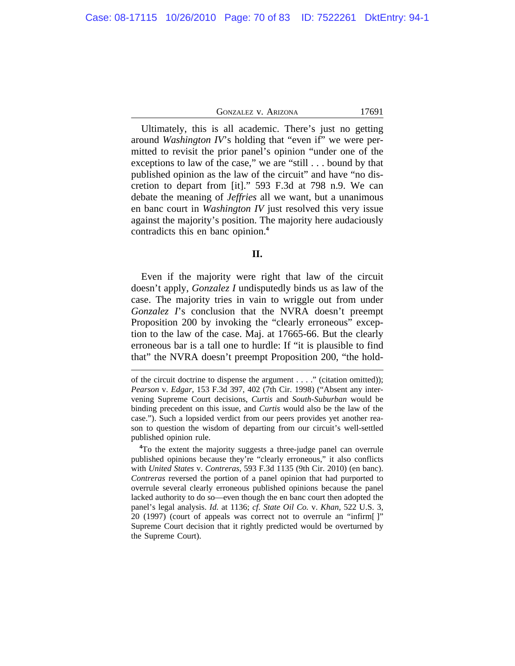Ultimately, this is all academic. There's just no getting around *Washington IV*'s holding that "even if" we were permitted to revisit the prior panel's opinion "under one of the exceptions to law of the case," we are "still . . . bound by that published opinion as the law of the circuit" and have "no discretion to depart from [it]." 593 F.3d at 798 n.9. We can debate the meaning of *Jeffries* all we want, but a unanimous en banc court in *Washington IV* just resolved this very issue against the majority's position. The majority here audaciously contradicts this en banc opinion.**<sup>4</sup>**

Even if the majority were right that law of the circuit doesn't apply, *Gonzalez I* undisputedly binds us as law of the case. The majority tries in vain to wriggle out from under *Gonzalez I*'s conclusion that the NVRA doesn't preempt Proposition 200 by invoking the "clearly erroneous" exception to the law of the case. Maj. at 17665-66. But the clearly erroneous bar is a tall one to hurdle: If "it is plausible to find that" the NVRA doesn't preempt Proposition 200, "the hold-

**<sup>4</sup>**To the extent the majority suggests a three-judge panel can overrule published opinions because they're "clearly erroneous," it also conflicts with *United States* v. *Contreras*, 593 F.3d 1135 (9th Cir. 2010) (en banc). *Contreras* reversed the portion of a panel opinion that had purported to overrule several clearly erroneous published opinions because the panel lacked authority to do so—even though the en banc court then adopted the panel's legal analysis. *Id.* at 1136; *cf. State Oil Co.* v. *Khan*, 522 U.S. 3, 20 (1997) (court of appeals was correct not to overrule an "infirm[ ]" Supreme Court decision that it rightly predicted would be overturned by the Supreme Court).

**II.**

of the circuit doctrine to dispense the argument . . . ." (citation omitted)); *Pearson* v. *Edgar*, 153 F.3d 397, 402 (7th Cir. 1998) ("Absent any intervening Supreme Court decisions, *Curtis* and *South-Suburban* would be binding precedent on this issue, and *Curtis* would also be the law of the case."). Such a lopsided verdict from our peers provides yet another reason to question the wisdom of departing from our circuit's well-settled published opinion rule.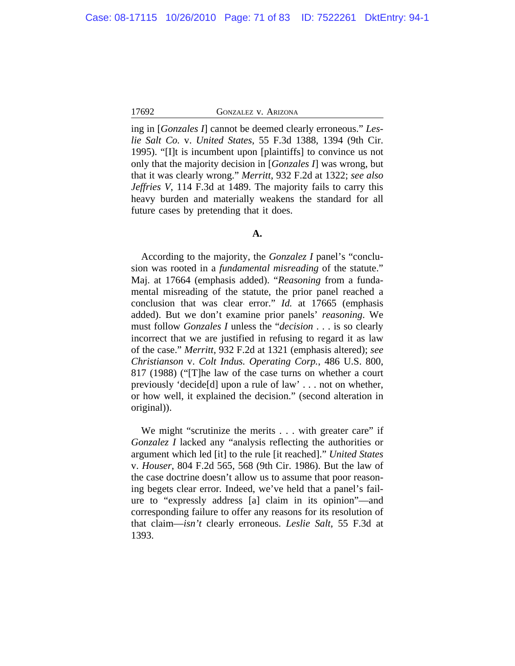ing in [*Gonzales I*] cannot be deemed clearly erroneous." *Leslie Salt Co.* v. *United States*, 55 F.3d 1388, 1394 (9th Cir. 1995). "[I]t is incumbent upon [plaintiffs] to convince us not only that the majority decision in [*Gonzales I*] was wrong, but that it was clearly wrong." *Merritt*, 932 F.2d at 1322; *see also Jeffries V*, 114 F.3d at 1489. The majority fails to carry this heavy burden and materially weakens the standard for all future cases by pretending that it does.

## **A.**

According to the majority, the *Gonzalez I* panel's "conclusion was rooted in a *fundamental misreading* of the statute." Maj. at 17664 (emphasis added). "*Reasoning* from a fundamental misreading of the statute, the prior panel reached a conclusion that was clear error." *Id.* at 17665 (emphasis added). But we don't examine prior panels' *reasoning*. We must follow *Gonzales I* unless the "*decision* . . . is so clearly incorrect that we are justified in refusing to regard it as law of the case." *Merritt*, 932 F.2d at 1321 (emphasis altered); *see Christianson* v. *Colt Indus. Operating Corp.*, 486 U.S. 800, 817 (1988) ("[T]he law of the case turns on whether a court previously 'decide[d] upon a rule of law' . . . not on whether, or how well, it explained the decision." (second alteration in original)).

We might "scrutinize the merits . . . with greater care" if *Gonzalez I* lacked any "analysis reflecting the authorities or argument which led [it] to the rule [it reached]." *United States* v. *Houser*, 804 F.2d 565, 568 (9th Cir. 1986). But the law of the case doctrine doesn't allow us to assume that poor reasoning begets clear error*.* Indeed, we've held that a panel's failure to "expressly address [a] claim in its opinion"—and corresponding failure to offer any reasons for its resolution of that claim—*isn't* clearly erroneous. *Leslie Salt*, 55 F.3d at 1393.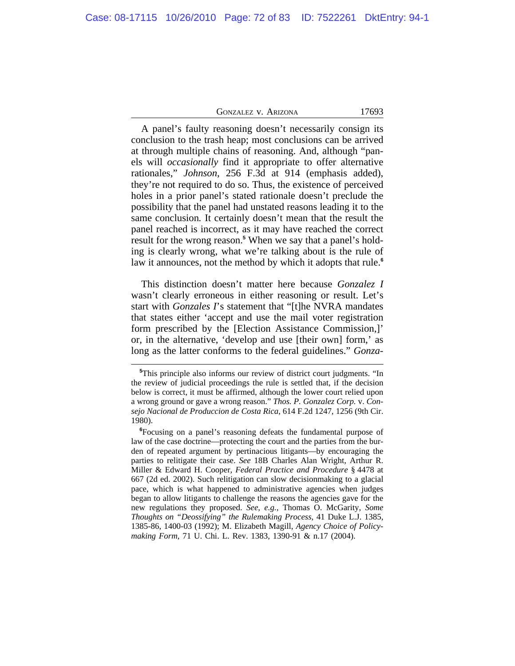| <b>GONZALEZ V. ARIZONA</b> | 17693 |
|----------------------------|-------|
|----------------------------|-------|

A panel's faulty reasoning doesn't necessarily consign its conclusion to the trash heap; most conclusions can be arrived at through multiple chains of reasoning. And, although "panels will *occasionally* find it appropriate to offer alternative rationales," *Johnson*, 256 F.3d at 914 (emphasis added), they're not required to do so. Thus, the existence of perceived holes in a prior panel's stated rationale doesn't preclude the possibility that the panel had unstated reasons leading it to the same conclusion*.* It certainly doesn't mean that the result the panel reached is incorrect, as it may have reached the correct result for the wrong reason.**<sup>5</sup>** When we say that a panel's holding is clearly wrong, what we're talking about is the rule of law it announces, not the method by which it adopts that rule.**<sup>6</sup>**

This distinction doesn't matter here because *Gonzalez I* wasn't clearly erroneous in either reasoning or result. Let's start with *Gonzales I*'s statement that "[t]he NVRA mandates that states either 'accept and use the mail voter registration form prescribed by the [Election Assistance Commission,]' or, in the alternative, 'develop and use [their own] form,' as long as the latter conforms to the federal guidelines." *Gonza-*

**<sup>5</sup>**This principle also informs our review of district court judgments. "In the review of judicial proceedings the rule is settled that, if the decision below is correct, it must be affirmed, although the lower court relied upon a wrong ground or gave a wrong reason." *Thos. P. Gonzalez Corp.* v. *Consejo Nacional de Produccion de Costa Rica*, 614 F.2d 1247, 1256 (9th Cir. 1980).

**<sup>6</sup>**Focusing on a panel's reasoning defeats the fundamental purpose of law of the case doctrine—protecting the court and the parties from the burden of repeated argument by pertinacious litigants—by encouraging the parties to relitigate their case. *See* 18B Charles Alan Wright, Arthur R. Miller & Edward H. Cooper, *Federal Practice and Procedure* § 4478 at 667 (2d ed. 2002). Such relitigation can slow decisionmaking to a glacial pace, which is what happened to administrative agencies when judges began to allow litigants to challenge the reasons the agencies gave for the new regulations they proposed. *See, e.g.*, Thomas O. McGarity, *Some Thoughts on "Deossifying" the Rulemaking Process*, 41 Duke L.J. 1385, 1385-86, 1400-03 (1992); M. Elizabeth Magill, *Agency Choice of Policymaking Form*, 71 U. Chi. L. Rev. 1383, 1390-91 & n.17 (2004).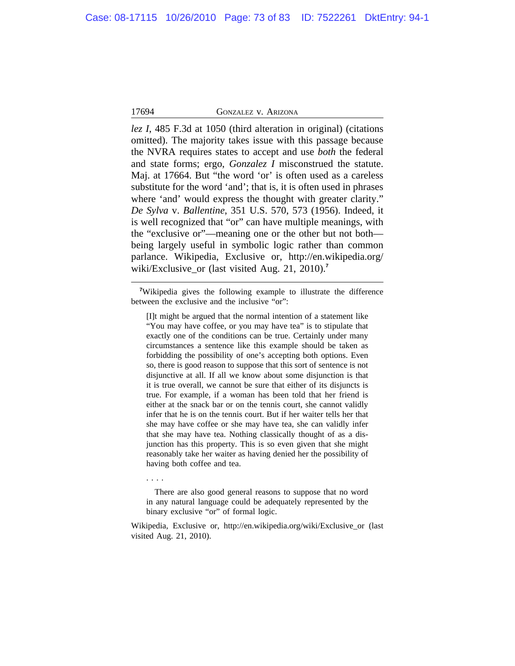*lez I*, 485 F.3d at 1050 (third alteration in original) (citations omitted). The majority takes issue with this passage because the NVRA requires states to accept and use *both* the federal and state forms; ergo, *Gonzalez I* misconstrued the statute. Maj. at 17664. But "the word 'or' is often used as a careless substitute for the word 'and'; that is, it is often used in phrases where 'and' would express the thought with greater clarity." *De Sylva* v. *Ballentine*, 351 U.S. 570, 573 (1956). Indeed, it is well recognized that "or" can have multiple meanings, with the "exclusive or"—meaning one or the other but not both being largely useful in symbolic logic rather than common parlance. Wikipedia, Exclusive or, http://en.wikipedia.org/ wiki/Exclusive or (last visited Aug. 21, 2010).<sup>7</sup>

**<sup>7</sup>**Wikipedia gives the following example to illustrate the difference between the exclusive and the inclusive "or":

[I]t might be argued that the normal intention of a statement like "You may have coffee, or you may have tea" is to stipulate that exactly one of the conditions can be true. Certainly under many circumstances a sentence like this example should be taken as forbidding the possibility of one's accepting both options. Even so, there is good reason to suppose that this sort of sentence is not disjunctive at all. If all we know about some disjunction is that it is true overall, we cannot be sure that either of its disjuncts is true. For example, if a woman has been told that her friend is either at the snack bar or on the tennis court, she cannot validly infer that he is on the tennis court. But if her waiter tells her that she may have coffee or she may have tea, she can validly infer that she may have tea. Nothing classically thought of as a disjunction has this property. This is so even given that she might reasonably take her waiter as having denied her the possibility of having both coffee and tea.

. . . .

There are also good general reasons to suppose that no word in any natural language could be adequately represented by the binary exclusive "or" of formal logic.

Wikipedia, Exclusive or, http://en.wikipedia.org/wiki/Exclusive\_or (last visited Aug. 21, 2010).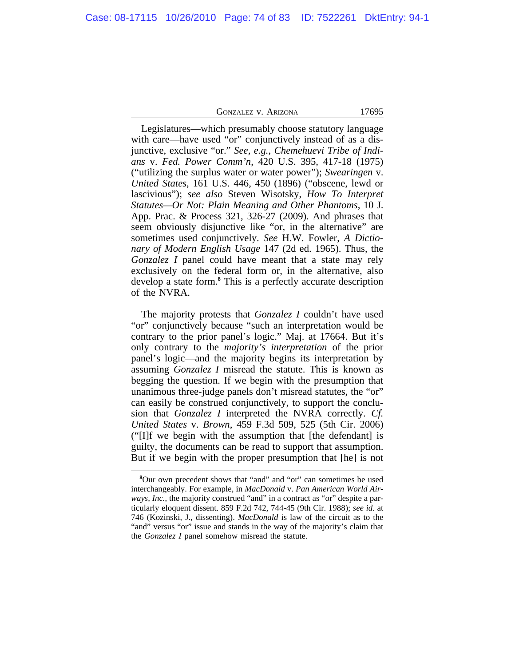Legislatures—which presumably choose statutory language with care—have used "or" conjunctively instead of as a disjunctive, exclusive "or." *See, e.g.*, *Chemehuevi Tribe of Indians* v. *Fed. Power Comm'n*, 420 U.S. 395, 417-18 (1975) ("utilizing the surplus water or water power"); *Swearingen* v. *United States*, 161 U.S. 446, 450 (1896) ("obscene, lewd or lascivious"); *see also* Steven Wisotsky, *How To Interpret Statutes—Or Not: Plain Meaning and Other Phantoms*, 10 J. App. Prac. & Process 321, 326-27 (2009). And phrases that seem obviously disjunctive like "or, in the alternative" are sometimes used conjunctively. *See* H.W. Fowler, *A Dictionary of Modern English Usage* 147 (2d ed. 1965). Thus, the *Gonzalez I* panel could have meant that a state may rely exclusively on the federal form or, in the alternative, also develop a state form.**<sup>8</sup>** This is a perfectly accurate description of the NVRA.

The majority protests that *Gonzalez I* couldn't have used "or" conjunctively because "such an interpretation would be contrary to the prior panel's logic." Maj. at 17664. But it's only contrary to the *majority's interpretation* of the prior panel's logic—and the majority begins its interpretation by assuming *Gonzalez I* misread the statute. This is known as begging the question. If we begin with the presumption that unanimous three-judge panels don't misread statutes, the "or" can easily be construed conjunctively, to support the conclusion that *Gonzalez I* interpreted the NVRA correctly. *Cf. United States* v. *Brown*, 459 F.3d 509, 525 (5th Cir. 2006) ("[I]f we begin with the assumption that [the defendant] is guilty, the documents can be read to support that assumption. But if we begin with the proper presumption that [he] is not

**<sup>8</sup>**Our own precedent shows that "and" and "or" can sometimes be used interchangeably. For example, in *MacDonald* v. *Pan American World Airways, Inc.*, the majority construed "and" in a contract as "or" despite a particularly eloquent dissent. 859 F.2d 742, 744-45 (9th Cir. 1988); *see id.* at 746 (Kozinski, J., dissenting). *MacDonald* is law of the circuit as to the "and" versus "or" issue and stands in the way of the majority's claim that the *Gonzalez I* panel somehow misread the statute.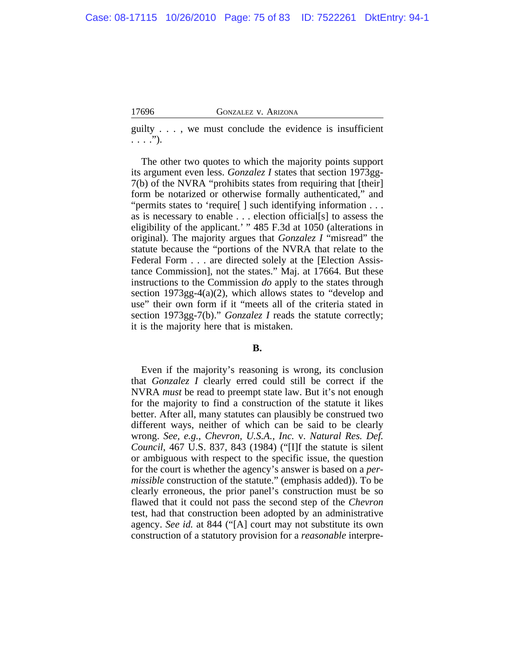guilty . . . , we must conclude the evidence is insufficient  $\ldots$ .").

The other two quotes to which the majority points support its argument even less. *Gonzalez I* states that section 1973gg-7(b) of the NVRA "prohibits states from requiring that [their] form be notarized or otherwise formally authenticated," and "permits states to 'require[ ] such identifying information . . . as is necessary to enable . . . election official[s] to assess the eligibility of the applicant.' " 485 F.3d at 1050 (alterations in original). The majority argues that *Gonzalez I* "misread" the statute because the "portions of the NVRA that relate to the Federal Form . . . are directed solely at the [Election Assistance Commission], not the states." Maj. at 17664. But these instructions to the Commission *do* apply to the states through section 1973gg-4(a)(2), which allows states to "develop and use" their own form if it "meets all of the criteria stated in section 1973gg-7(b)." *Gonzalez I* reads the statute correctly; it is the majority here that is mistaken.

# **B.**

Even if the majority's reasoning is wrong, its conclusion that *Gonzalez I* clearly erred could still be correct if the NVRA *must* be read to preempt state law. But it's not enough for the majority to find a construction of the statute it likes better. After all, many statutes can plausibly be construed two different ways, neither of which can be said to be clearly wrong. *See, e.g.*, *Chevron, U.S.A., Inc.* v. *Natural Res. Def. Council*, 467 U.S. 837, 843 (1984) ("[I]f the statute is silent or ambiguous with respect to the specific issue, the question for the court is whether the agency's answer is based on a *permissible* construction of the statute." (emphasis added)). To be clearly erroneous, the prior panel's construction must be so flawed that it could not pass the second step of the *Chevron* test, had that construction been adopted by an administrative agency. *See id.* at 844 ("[A] court may not substitute its own construction of a statutory provision for a *reasonable* interpre-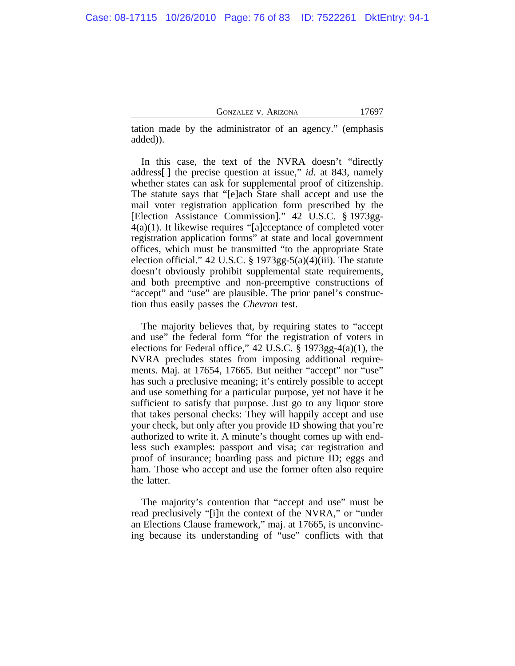tation made by the administrator of an agency." (emphasis added)).

In this case, the text of the NVRA doesn't "directly address[ ] the precise question at issue," *id.* at 843, namely whether states can ask for supplemental proof of citizenship. The statute says that "[e]ach State shall accept and use the mail voter registration application form prescribed by the [Election Assistance Commission]." 42 U.S.C. § 1973gg-4(a)(1). It likewise requires "[a]cceptance of completed voter registration application forms" at state and local government offices, which must be transmitted "to the appropriate State election official." 42 U.S.C. § 1973gg-5(a)(4)(iii). The statute doesn't obviously prohibit supplemental state requirements, and both preemptive and non-preemptive constructions of "accept" and "use" are plausible. The prior panel's construction thus easily passes the *Chevron* test.

The majority believes that, by requiring states to "accept and use" the federal form "for the registration of voters in elections for Federal office," 42 U.S.C. § 1973gg-4(a)(1), the NVRA precludes states from imposing additional requirements. Maj. at 17654, 17665. But neither "accept" nor "use" has such a preclusive meaning; it's entirely possible to accept and use something for a particular purpose, yet not have it be sufficient to satisfy that purpose. Just go to any liquor store that takes personal checks: They will happily accept and use your check, but only after you provide ID showing that you're authorized to write it. A minute's thought comes up with endless such examples: passport and visa; car registration and proof of insurance; boarding pass and picture ID; eggs and ham. Those who accept and use the former often also require the latter.

The majority's contention that "accept and use" must be read preclusively "[i]n the context of the NVRA," or "under an Elections Clause framework," maj. at 17665, is unconvincing because its understanding of "use" conflicts with that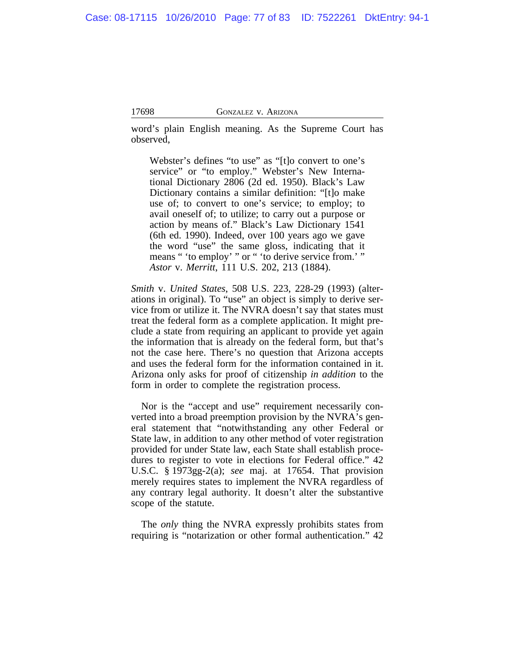word's plain English meaning. As the Supreme Court has observed,

Webster's defines "to use" as "[t]o convert to one's service" or "to employ." Webster's New International Dictionary 2806 (2d ed. 1950). Black's Law Dictionary contains a similar definition: "[t]o make use of; to convert to one's service; to employ; to avail oneself of; to utilize; to carry out a purpose or action by means of." Black's Law Dictionary 1541 (6th ed. 1990). Indeed, over 100 years ago we gave the word "use" the same gloss, indicating that it means " 'to employ' " or " 'to derive service from.' " *Astor* v. *Merritt*, 111 U.S. 202, 213 (1884).

*Smith* v. *United States*, 508 U.S. 223, 228-29 (1993) (alterations in original). To "use" an object is simply to derive service from or utilize it. The NVRA doesn't say that states must treat the federal form as a complete application. It might preclude a state from requiring an applicant to provide yet again the information that is already on the federal form, but that's not the case here. There's no question that Arizona accepts and uses the federal form for the information contained in it. Arizona only asks for proof of citizenship *in addition* to the form in order to complete the registration process.

Nor is the "accept and use" requirement necessarily converted into a broad preemption provision by the NVRA's general statement that "notwithstanding any other Federal or State law, in addition to any other method of voter registration provided for under State law, each State shall establish procedures to register to vote in elections for Federal office." 42 U.S.C. § 1973gg-2(a); *see* maj. at 17654. That provision merely requires states to implement the NVRA regardless of any contrary legal authority. It doesn't alter the substantive scope of the statute.

The *only* thing the NVRA expressly prohibits states from requiring is "notarization or other formal authentication." 42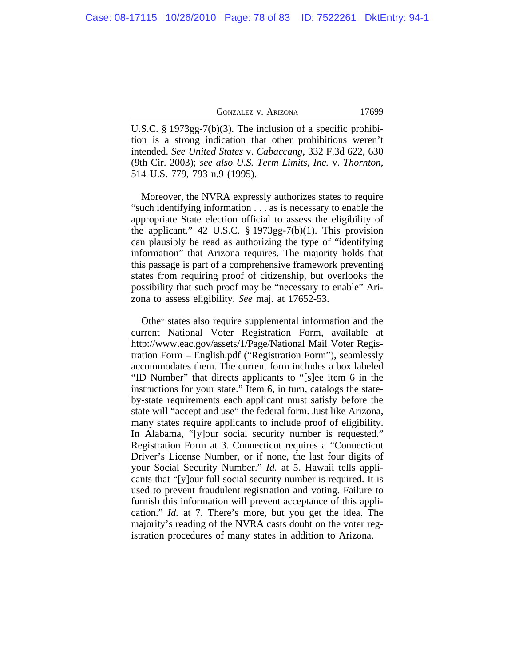U.S.C. § 1973gg-7(b)(3). The inclusion of a specific prohibition is a strong indication that other prohibitions weren't intended. *See United States* v. *Cabaccang*, 332 F.3d 622, 630 (9th Cir. 2003); *see also U.S. Term Limits, Inc.* v. *Thornton*, 514 U.S. 779, 793 n.9 (1995).

Moreover, the NVRA expressly authorizes states to require "such identifying information . . . as is necessary to enable the appropriate State election official to assess the eligibility of the applicant." 42 U.S.C.  $\S 1973gg-7(b)(1)$ . This provision can plausibly be read as authorizing the type of "identifying information" that Arizona requires. The majority holds that this passage is part of a comprehensive framework preventing states from requiring proof of citizenship, but overlooks the possibility that such proof may be "necessary to enable" Arizona to assess eligibility. *See* maj. at 17652-53.

Other states also require supplemental information and the current National Voter Registration Form, available at http://www.eac.gov/assets/1/Page/National Mail Voter Registration Form – English.pdf ("Registration Form"), seamlessly accommodates them. The current form includes a box labeled "ID Number" that directs applicants to "[s]ee item 6 in the instructions for your state." Item 6, in turn, catalogs the stateby-state requirements each applicant must satisfy before the state will "accept and use" the federal form. Just like Arizona, many states require applicants to include proof of eligibility. In Alabama, "[y]our social security number is requested." Registration Form at 3. Connecticut requires a "Connecticut Driver's License Number, or if none, the last four digits of your Social Security Number." *Id.* at 5. Hawaii tells applicants that "[y]our full social security number is required. It is used to prevent fraudulent registration and voting. Failure to furnish this information will prevent acceptance of this application." *Id.* at 7. There's more, but you get the idea. The majority's reading of the NVRA casts doubt on the voter registration procedures of many states in addition to Arizona.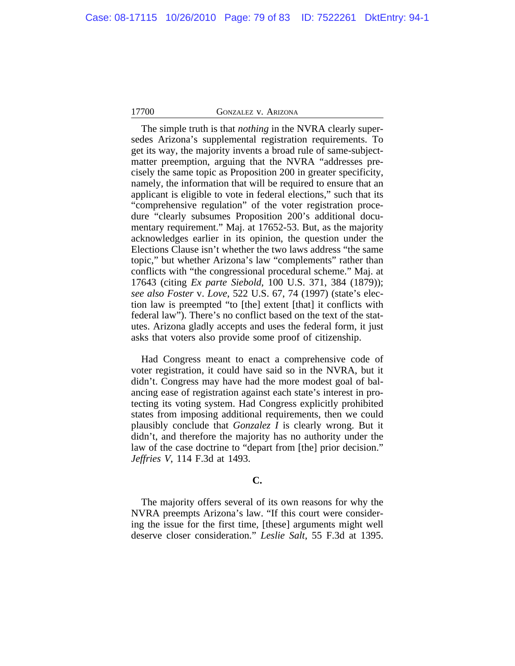The simple truth is that *nothing* in the NVRA clearly supersedes Arizona's supplemental registration requirements. To get its way, the majority invents a broad rule of same-subjectmatter preemption, arguing that the NVRA "addresses precisely the same topic as Proposition 200 in greater specificity, namely, the information that will be required to ensure that an applicant is eligible to vote in federal elections," such that its "comprehensive regulation" of the voter registration procedure "clearly subsumes Proposition 200's additional documentary requirement." Maj. at 17652-53. But, as the majority acknowledges earlier in its opinion, the question under the Elections Clause isn't whether the two laws address "the same topic," but whether Arizona's law "complements" rather than conflicts with "the congressional procedural scheme." Maj. at 17643 (citing *Ex parte Siebold*, 100 U.S. 371, 384 (1879)); *see also Foster* v. *Love*, 522 U.S. 67, 74 (1997) (state's election law is preempted "to [the] extent [that] it conflicts with federal law"). There's no conflict based on the text of the statutes. Arizona gladly accepts and uses the federal form, it just asks that voters also provide some proof of citizenship.

Had Congress meant to enact a comprehensive code of voter registration, it could have said so in the NVRA, but it didn't. Congress may have had the more modest goal of balancing ease of registration against each state's interest in protecting its voting system. Had Congress explicitly prohibited states from imposing additional requirements, then we could plausibly conclude that *Gonzalez I* is clearly wrong. But it didn't, and therefore the majority has no authority under the law of the case doctrine to "depart from [the] prior decision." *Jeffries V*, 114 F.3d at 1493.

# **C.**

The majority offers several of its own reasons for why the NVRA preempts Arizona's law. "If this court were considering the issue for the first time, [these] arguments might well deserve closer consideration." *Leslie Salt*, 55 F.3d at 1395.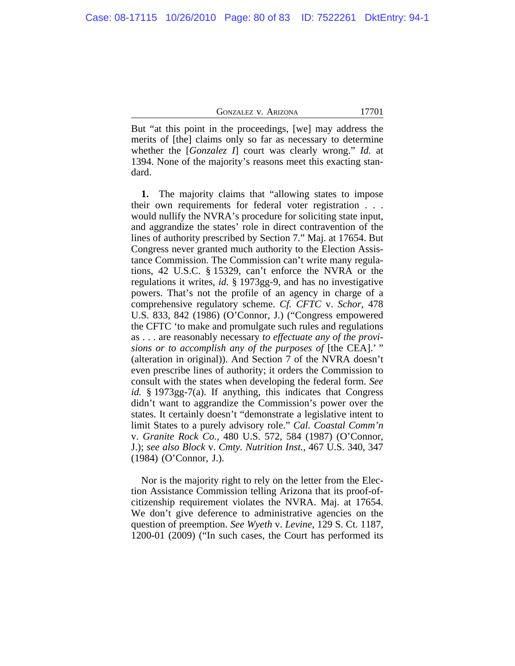But "at this point in the proceedings, [we] may address the merits of [the] claims only so far as necessary to determine whether the [*Gonzalez I*] court was clearly wrong." *Id.* at 1394. None of the majority's reasons meet this exacting standard.

**1.** The majority claims that "allowing states to impose their own requirements for federal voter registration . . . would nullify the NVRA's procedure for soliciting state input, and aggrandize the states' role in direct contravention of the lines of authority prescribed by Section 7." Maj. at 17654. But Congress never granted much authority to the Election Assistance Commission. The Commission can't write many regulations, 42 U.S.C. § 15329, can't enforce the NVRA or the regulations it writes, *id.* § 1973gg-9, and has no investigative powers. That's not the profile of an agency in charge of a comprehensive regulatory scheme. *Cf. CFTC* v. *Schor*, 478 U.S. 833, 842 (1986) (O'Connor, J.) ("Congress empowered the CFTC 'to make and promulgate such rules and regulations as . . . are reasonably necessary *to effectuate any of the provisions or to accomplish any of the purposes of* [the CEA].' " (alteration in original)). And Section 7 of the NVRA doesn't even prescribe lines of authority; it orders the Commission to consult with the states when developing the federal form. *See id.* § 1973gg-7(a). If anything, this indicates that Congress didn't want to aggrandize the Commission's power over the states. It certainly doesn't "demonstrate a legislative intent to limit States to a purely advisory role." *Cal. Coastal Comm'n* v. *Granite Rock Co.*, 480 U.S. 572, 584 (1987) (O'Connor, J.); *see also Block* v. *Cmty. Nutrition Inst.*, 467 U.S. 340, 347 (1984) (O'Connor, J.).

Nor is the majority right to rely on the letter from the Election Assistance Commission telling Arizona that its proof-ofcitizenship requirement violates the NVRA. Maj. at 17654. We don't give deference to administrative agencies on the question of preemption. *See Wyeth* v. *Levine*, 129 S. Ct. 1187, 1200-01 (2009) ("In such cases, the Court has performed its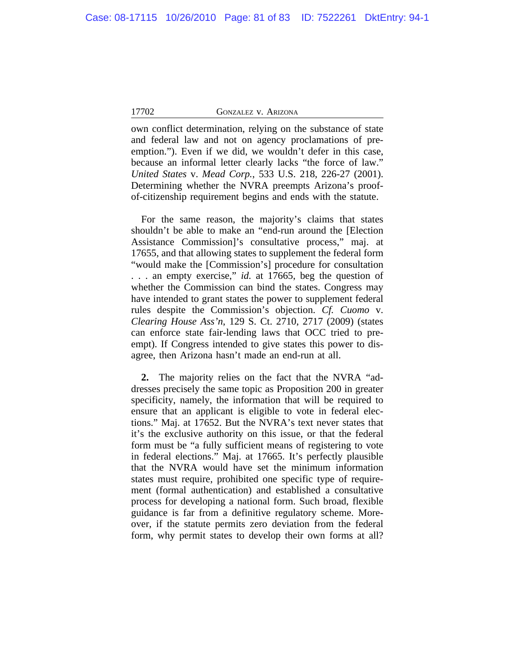own conflict determination, relying on the substance of state and federal law and not on agency proclamations of preemption."). Even if we did, we wouldn't defer in this case, because an informal letter clearly lacks "the force of law." *United States* v. *Mead Corp.*, 533 U.S. 218, 226-27 (2001). Determining whether the NVRA preempts Arizona's proofof-citizenship requirement begins and ends with the statute.

For the same reason, the majority's claims that states shouldn't be able to make an "end-run around the [Election Assistance Commission]'s consultative process," maj. at 17655, and that allowing states to supplement the federal form "would make the [Commission's] procedure for consultation . . . an empty exercise," *id.* at 17665, beg the question of whether the Commission can bind the states. Congress may have intended to grant states the power to supplement federal rules despite the Commission's objection. *Cf. Cuomo* v. *Clearing House Ass'n*, 129 S. Ct. 2710, 2717 (2009) (states can enforce state fair-lending laws that OCC tried to preempt). If Congress intended to give states this power to disagree, then Arizona hasn't made an end-run at all.

**2.** The majority relies on the fact that the NVRA "addresses precisely the same topic as Proposition 200 in greater specificity, namely, the information that will be required to ensure that an applicant is eligible to vote in federal elections." Maj. at 17652. But the NVRA's text never states that it's the exclusive authority on this issue, or that the federal form must be "a fully sufficient means of registering to vote in federal elections." Maj. at 17665. It's perfectly plausible that the NVRA would have set the minimum information states must require, prohibited one specific type of requirement (formal authentication) and established a consultative process for developing a national form. Such broad, flexible guidance is far from a definitive regulatory scheme. Moreover, if the statute permits zero deviation from the federal form, why permit states to develop their own forms at all?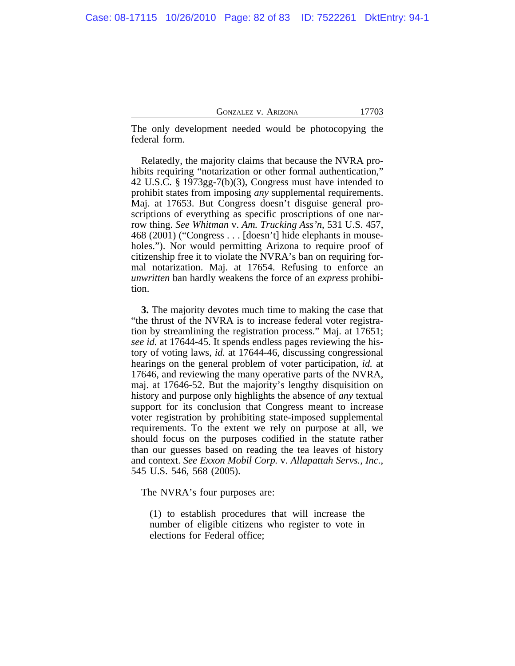The only development needed would be photocopying the federal form.

Relatedly, the majority claims that because the NVRA prohibits requiring "notarization or other formal authentication," 42 U.S.C. § 1973gg-7(b)(3), Congress must have intended to prohibit states from imposing *any* supplemental requirements. Maj. at 17653. But Congress doesn't disguise general proscriptions of everything as specific proscriptions of one narrow thing. *See Whitman* v. *Am. Trucking Ass'n*, 531 U.S. 457, 468 (2001) ("Congress . . . [doesn't] hide elephants in mouseholes."). Nor would permitting Arizona to require proof of citizenship free it to violate the NVRA's ban on requiring formal notarization. Maj. at 17654. Refusing to enforce an *unwritten* ban hardly weakens the force of an *express* prohibition.

**3.** The majority devotes much time to making the case that "the thrust of the NVRA is to increase federal voter registration by streamlining the registration process." Maj. at 17651; *see id.* at 17644-45. It spends endless pages reviewing the history of voting laws, *id.* at 17644-46, discussing congressional hearings on the general problem of voter participation, *id.* at 17646, and reviewing the many operative parts of the NVRA, maj. at 17646-52. But the majority's lengthy disquisition on history and purpose only highlights the absence of *any* textual support for its conclusion that Congress meant to increase voter registration by prohibiting state-imposed supplemental requirements. To the extent we rely on purpose at all, we should focus on the purposes codified in the statute rather than our guesses based on reading the tea leaves of history and context. *See Exxon Mobil Corp.* v. *Allapattah Servs., Inc.*, 545 U.S. 546, 568 (2005).

The NVRA's four purposes are:

(1) to establish procedures that will increase the number of eligible citizens who register to vote in elections for Federal office;